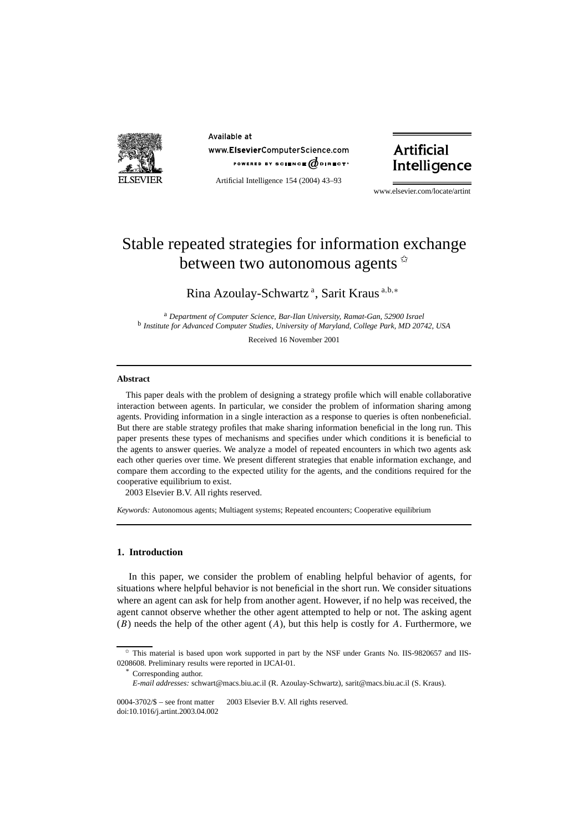

Available at www.ElsevierComputerScience.com POWERED BY SCIENCE @DIRECT<sup>®</sup>

Artificial Intelligence 154 (2004) 43–93

# **Artificial** Intelligence

www.elsevier.com/locate/artint

# Stable repeated strategies for information exchange between two autonomous agents  $*$

Rina Azoulay-Schwartz <sup>a</sup> , Sarit Kraus <sup>a</sup>*,*b*,*<sup>∗</sup>

<sup>a</sup> *Department of Computer Science, Bar-Ilan University, Ramat-Gan, 52900 Israel* <sup>b</sup> *Institute for Advanced Computer Studies, University of Maryland, College Park, MD 20742, USA*

Received 16 November 2001

#### **Abstract**

This paper deals with the problem of designing a strategy profile which will enable collaborative interaction between agents. In particular, we consider the problem of information sharing among agents. Providing information in a single interaction as a response to queries is often nonbeneficial. But there are stable strategy profiles that make sharing information beneficial in the long run. This paper presents these types of mechanisms and specifies under which conditions it is beneficial to the agents to answer queries. We analyze a model of repeated encounters in which two agents ask each other queries over time. We present different strategies that enable information exchange, and compare them according to the expected utility for the agents, and the conditions required for the cooperative equilibrium to exist.

2003 Elsevier B.V. All rights reserved.

*Keywords:* Autonomous agents; Multiagent systems; Repeated encounters; Cooperative equilibrium

# **1. Introduction**

In this paper, we consider the problem of enabling helpful behavior of agents, for situations where helpful behavior is not beneficial in the short run. We consider situations where an agent can ask for help from another agent. However, if no help was received, the agent cannot observe whether the other agent attempted to help or not. The asking agent (*B*) needs the help of the other agent (*A*), but this help is costly for *A*. Furthermore, we

Corresponding author.

 $*$  This material is based upon work supported in part by the NSF under Grants No. IIS-9820657 and IIS-0208608. Preliminary results were reported in IJCAI-01.

*E-mail addresses:* schwart@macs.biu.ac.il (R. Azoulay-Schwartz), sarit@macs.biu.ac.il (S. Kraus).

 $0004-3702/\$$  – see front matter  $\degree$  2003 Elsevier B.V. All rights reserved. doi:10.1016/j.artint.2003.04.002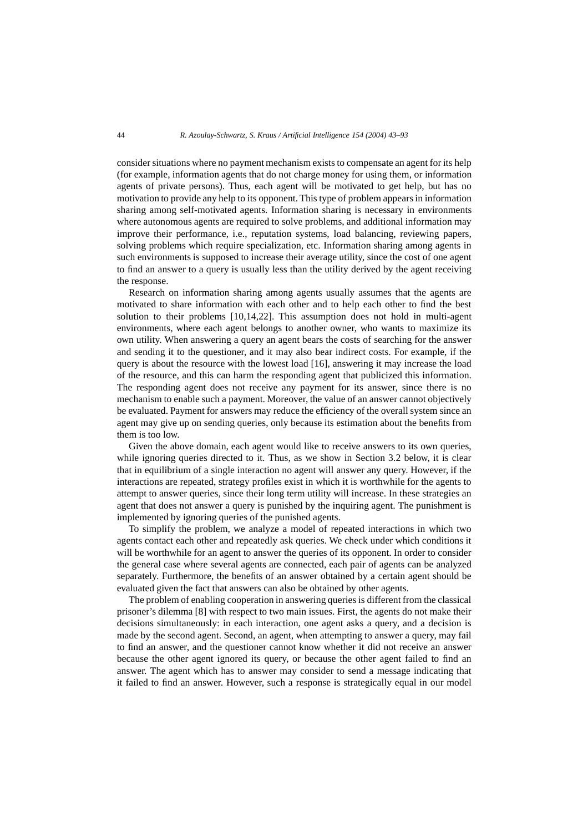consider situations where no payment mechanism exists to compensate an agent for its help (for example, information agents that do not charge money for using them, or information agents of private persons). Thus, each agent will be motivated to get help, but has no motivation to provide any help to its opponent. This type of problem appears in information sharing among self-motivated agents. Information sharing is necessary in environments where autonomous agents are required to solve problems, and additional information may improve their performance, i.e., reputation systems, load balancing, reviewing papers, solving problems which require specialization, etc. Information sharing among agents in such environments is supposed to increase their average utility, since the cost of one agent to find an answer to a query is usually less than the utility derived by the agent receiving the response.

Research on information sharing among agents usually assumes that the agents are motivated to share information with each other and to help each other to find the best solution to their problems [10,14,22]. This assumption does not hold in multi-agent environments, where each agent belongs to another owner, who wants to maximize its own utility. When answering a query an agent bears the costs of searching for the answer and sending it to the questioner, and it may also bear indirect costs. For example, if the query is about the resource with the lowest load [16], answering it may increase the load of the resource, and this can harm the responding agent that publicized this information. The responding agent does not receive any payment for its answer, since there is no mechanism to enable such a payment. Moreover, the value of an answer cannot objectively be evaluated. Payment for answers may reduce the efficiency of the overall system since an agent may give up on sending queries, only because its estimation about the benefits from them is too low.

Given the above domain, each agent would like to receive answers to its own queries, while ignoring queries directed to it. Thus, as we show in Section 3.2 below, it is clear that in equilibrium of a single interaction no agent will answer any query. However, if the interactions are repeated, strategy profiles exist in which it is worthwhile for the agents to attempt to answer queries, since their long term utility will increase. In these strategies an agent that does not answer a query is punished by the inquiring agent. The punishment is implemented by ignoring queries of the punished agents.

To simplify the problem, we analyze a model of repeated interactions in which two agents contact each other and repeatedly ask queries. We check under which conditions it will be worthwhile for an agent to answer the queries of its opponent. In order to consider the general case where several agents are connected, each pair of agents can be analyzed separately. Furthermore, the benefits of an answer obtained by a certain agent should be evaluated given the fact that answers can also be obtained by other agents.

The problem of enabling cooperation in answering queries is different from the classical prisoner's dilemma [8] with respect to two main issues. First, the agents do not make their decisions simultaneously: in each interaction, one agent asks a query, and a decision is made by the second agent. Second, an agent, when attempting to answer a query, may fail to find an answer, and the questioner cannot know whether it did not receive an answer because the other agent ignored its query, or because the other agent failed to find an answer. The agent which has to answer may consider to send a message indicating that it failed to find an answer. However, such a response is strategically equal in our model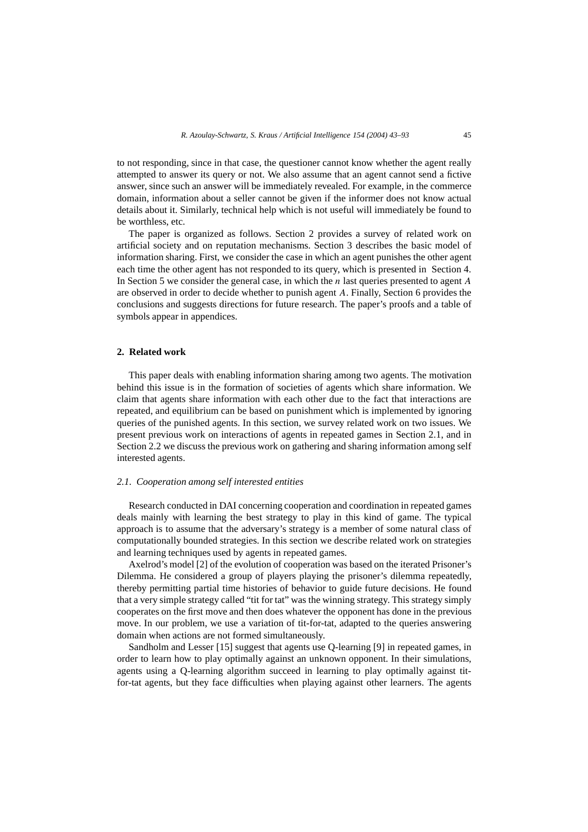to not responding, since in that case, the questioner cannot know whether the agent really attempted to answer its query or not. We also assume that an agent cannot send a fictive answer, since such an answer will be immediately revealed. For example, in the commerce domain, information about a seller cannot be given if the informer does not know actual details about it. Similarly, technical help which is not useful will immediately be found to be worthless, etc.

The paper is organized as follows. Section 2 provides a survey of related work on artificial society and on reputation mechanisms. Section 3 describes the basic model of information sharing. First, we consider the case in which an agent punishes the other agent each time the other agent has not responded to its query, which is presented in Section 4. In Section 5 we consider the general case, in which the *n* last queries presented to agent *A* are observed in order to decide whether to punish agent *A*. Finally, Section 6 provides the conclusions and suggests directions for future research. The paper's proofs and a table of symbols appear in appendices.

# **2. Related work**

This paper deals with enabling information sharing among two agents. The motivation behind this issue is in the formation of societies of agents which share information. We claim that agents share information with each other due to the fact that interactions are repeated, and equilibrium can be based on punishment which is implemented by ignoring queries of the punished agents. In this section, we survey related work on two issues. We present previous work on interactions of agents in repeated games in Section 2.1, and in Section 2.2 we discuss the previous work on gathering and sharing information among self interested agents.

# *2.1. Cooperation among self interested entities*

Research conducted in DAI concerning cooperation and coordination in repeated games deals mainly with learning the best strategy to play in this kind of game. The typical approach is to assume that the adversary's strategy is a member of some natural class of computationally bounded strategies. In this section we describe related work on strategies and learning techniques used by agents in repeated games.

Axelrod's model [2] of the evolution of cooperation was based on the iterated Prisoner's Dilemma. He considered a group of players playing the prisoner's dilemma repeatedly, thereby permitting partial time histories of behavior to guide future decisions. He found that a very simple strategy called "tit for tat" was the winning strategy. This strategy simply cooperates on the first move and then does whatever the opponent has done in the previous move. In our problem, we use a variation of tit-for-tat, adapted to the queries answering domain when actions are not formed simultaneously.

Sandholm and Lesser [15] suggest that agents use Q-learning [9] in repeated games, in order to learn how to play optimally against an unknown opponent. In their simulations, agents using a Q-learning algorithm succeed in learning to play optimally against titfor-tat agents, but they face difficulties when playing against other learners. The agents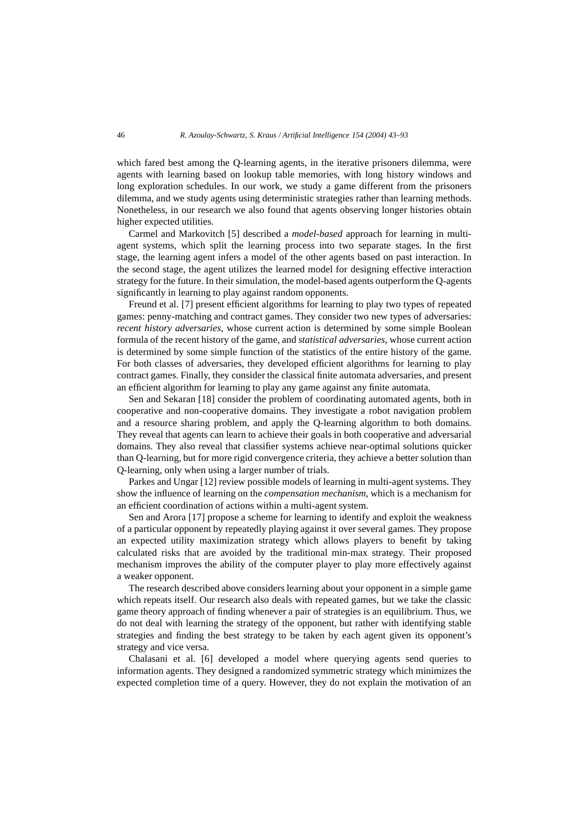which fared best among the Q-learning agents, in the iterative prisoners dilemma, were agents with learning based on lookup table memories, with long history windows and long exploration schedules. In our work, we study a game different from the prisoners dilemma, and we study agents using deterministic strategies rather than learning methods. Nonetheless, in our research we also found that agents observing longer histories obtain higher expected utilities.

Carmel and Markovitch [5] described a *model-based* approach for learning in multiagent systems, which split the learning process into two separate stages. In the first stage, the learning agent infers a model of the other agents based on past interaction. In the second stage, the agent utilizes the learned model for designing effective interaction strategy for the future. In their simulation, the model-based agents outperform the Q-agents significantly in learning to play against random opponents.

Freund et al. [7] present efficient algorithms for learning to play two types of repeated games: penny-matching and contract games. They consider two new types of adversaries: *recent history adversaries*, whose current action is determined by some simple Boolean formula of the recent history of the game, and *statistical adversaries*, whose current action is determined by some simple function of the statistics of the entire history of the game. For both classes of adversaries, they developed efficient algorithms for learning to play contract games. Finally, they consider the classical finite automata adversaries, and present an efficient algorithm for learning to play any game against any finite automata.

Sen and Sekaran [18] consider the problem of coordinating automated agents, both in cooperative and non-cooperative domains. They investigate a robot navigation problem and a resource sharing problem, and apply the Q-learning algorithm to both domains. They reveal that agents can learn to achieve their goals in both cooperative and adversarial domains. They also reveal that classifier systems achieve near-optimal solutions quicker than Q-learning, but for more rigid convergence criteria, they achieve a better solution than Q-learning, only when using a larger number of trials.

Parkes and Ungar [12] review possible models of learning in multi-agent systems. They show the influence of learning on the *compensation mechanism*, which is a mechanism for an efficient coordination of actions within a multi-agent system.

Sen and Arora [17] propose a scheme for learning to identify and exploit the weakness of a particular opponent by repeatedly playing against it over several games. They propose an expected utility maximization strategy which allows players to benefit by taking calculated risks that are avoided by the traditional min-max strategy. Their proposed mechanism improves the ability of the computer player to play more effectively against a weaker opponent.

The research described above considers learning about your opponent in a simple game which repeats itself. Our research also deals with repeated games, but we take the classic game theory approach of finding whenever a pair of strategies is an equilibrium. Thus, we do not deal with learning the strategy of the opponent, but rather with identifying stable strategies and finding the best strategy to be taken by each agent given its opponent's strategy and vice versa.

Chalasani et al. [6] developed a model where querying agents send queries to information agents. They designed a randomized symmetric strategy which minimizes the expected completion time of a query. However, they do not explain the motivation of an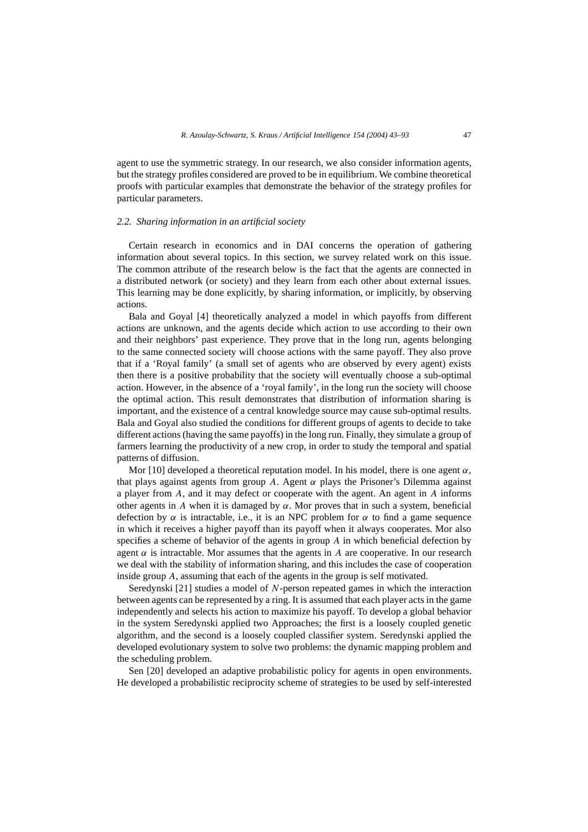agent to use the symmetric strategy. In our research, we also consider information agents, but the strategy profiles considered are proved to be in equilibrium. We combine theoretical proofs with particular examples that demonstrate the behavior of the strategy profiles for particular parameters.

# *2.2. Sharing information in an artificial society*

Certain research in economics and in DAI concerns the operation of gathering information about several topics. In this section, we survey related work on this issue. The common attribute of the research below is the fact that the agents are connected in a distributed network (or society) and they learn from each other about external issues. This learning may be done explicitly, by sharing information, or implicitly, by observing actions.

Bala and Goyal [4] theoretically analyzed a model in which payoffs from different actions are unknown, and the agents decide which action to use according to their own and their neighbors' past experience. They prove that in the long run, agents belonging to the same connected society will choose actions with the same payoff. They also prove that if a 'Royal family' (a small set of agents who are observed by every agent) exists then there is a positive probability that the society will eventually choose a sub-optimal action. However, in the absence of a 'royal family', in the long run the society will choose the optimal action. This result demonstrates that distribution of information sharing is important, and the existence of a central knowledge source may cause sub-optimal results. Bala and Goyal also studied the conditions for different groups of agents to decide to take different actions (having the same payoffs) in the long run. Finally, they simulate a group of farmers learning the productivity of a new crop, in order to study the temporal and spatial patterns of diffusion.

Mor [10] developed a theoretical reputation model. In his model, there is one agent  $\alpha$ , that plays against agents from group *A*. Agent  $\alpha$  plays the Prisoner's Dilemma against a player from *A*, and it may defect or cooperate with the agent. An agent in *A* informs other agents in *A* when it is damaged by  $\alpha$ . Mor proves that in such a system, beneficial defection by  $\alpha$  is intractable, i.e., it is an NPC problem for  $\alpha$  to find a game sequence in which it receives a higher payoff than its payoff when it always cooperates. Mor also specifies a scheme of behavior of the agents in group *A* in which beneficial defection by agent  $\alpha$  is intractable. Mor assumes that the agents in *A* are cooperative. In our research we deal with the stability of information sharing, and this includes the case of cooperation inside group *A*, assuming that each of the agents in the group is self motivated.

Seredynski [21] studies a model of *N*-person repeated games in which the interaction between agents can be represented by a ring. It is assumed that each player acts in the game independently and selects his action to maximize his payoff. To develop a global behavior in the system Seredynski applied two Approaches; the first is a loosely coupled genetic algorithm, and the second is a loosely coupled classifier system. Seredynski applied the developed evolutionary system to solve two problems: the dynamic mapping problem and the scheduling problem.

Sen [20] developed an adaptive probabilistic policy for agents in open environments. He developed a probabilistic reciprocity scheme of strategies to be used by self-interested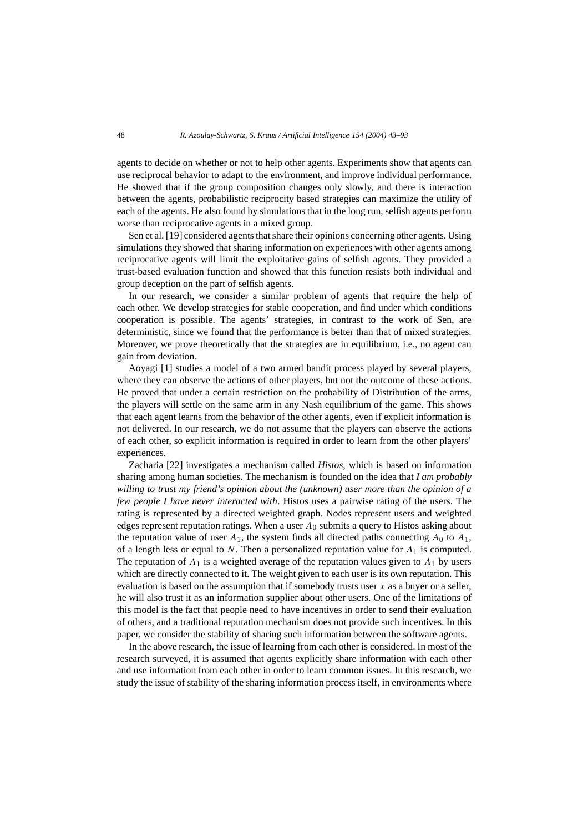agents to decide on whether or not to help other agents. Experiments show that agents can use reciprocal behavior to adapt to the environment, and improve individual performance. He showed that if the group composition changes only slowly, and there is interaction between the agents, probabilistic reciprocity based strategies can maximize the utility of each of the agents. He also found by simulations that in the long run, selfish agents perform worse than reciprocative agents in a mixed group.

Sen et al. [19] considered agents that share their opinions concerning other agents. Using simulations they showed that sharing information on experiences with other agents among reciprocative agents will limit the exploitative gains of selfish agents. They provided a trust-based evaluation function and showed that this function resists both individual and group deception on the part of selfish agents.

In our research, we consider a similar problem of agents that require the help of each other. We develop strategies for stable cooperation, and find under which conditions cooperation is possible. The agents' strategies, in contrast to the work of Sen, are deterministic, since we found that the performance is better than that of mixed strategies. Moreover, we prove theoretically that the strategies are in equilibrium, i.e., no agent can gain from deviation.

Aoyagi [1] studies a model of a two armed bandit process played by several players, where they can observe the actions of other players, but not the outcome of these actions. He proved that under a certain restriction on the probability of Distribution of the arms, the players will settle on the same arm in any Nash equilibrium of the game. This shows that each agent learns from the behavior of the other agents, even if explicit information is not delivered. In our research, we do not assume that the players can observe the actions of each other, so explicit information is required in order to learn from the other players' experiences.

Zacharia [22] investigates a mechanism called *Histos*, which is based on information sharing among human societies. The mechanism is founded on the idea that *I am probably willing to trust my friend's opinion about the (unknown) user more than the opinion of a few people I have never interacted with*. Histos uses a pairwise rating of the users. The rating is represented by a directed weighted graph. Nodes represent users and weighted edges represent reputation ratings. When a user *A*<sup>0</sup> submits a query to Histos asking about the reputation value of user  $A_1$ , the system finds all directed paths connecting  $A_0$  to  $A_1$ , of a length less or equal to *N*. Then a personalized reputation value for *A*<sup>1</sup> is computed. The reputation of  $A_1$  is a weighted average of the reputation values given to  $A_1$  by users which are directly connected to it. The weight given to each user is its own reputation. This evaluation is based on the assumption that if somebody trusts user *x* as a buyer or a seller, he will also trust it as an information supplier about other users. One of the limitations of this model is the fact that people need to have incentives in order to send their evaluation of others, and a traditional reputation mechanism does not provide such incentives. In this paper, we consider the stability of sharing such information between the software agents.

In the above research, the issue of learning from each other is considered. In most of the research surveyed, it is assumed that agents explicitly share information with each other and use information from each other in order to learn common issues. In this research, we study the issue of stability of the sharing information process itself, in environments where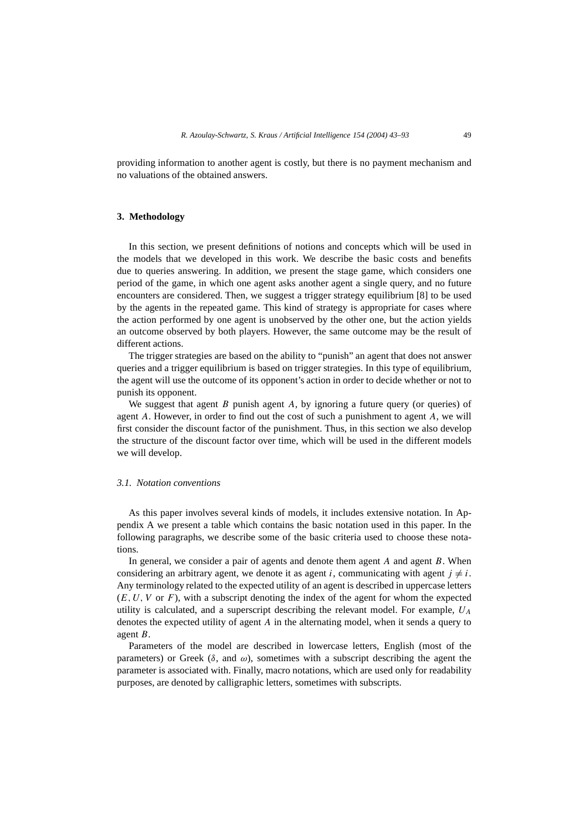providing information to another agent is costly, but there is no payment mechanism and no valuations of the obtained answers.

# **3. Methodology**

In this section, we present definitions of notions and concepts which will be used in the models that we developed in this work. We describe the basic costs and benefits due to queries answering. In addition, we present the stage game, which considers one period of the game, in which one agent asks another agent a single query, and no future encounters are considered. Then, we suggest a trigger strategy equilibrium [8] to be used by the agents in the repeated game. This kind of strategy is appropriate for cases where the action performed by one agent is unobserved by the other one, but the action yields an outcome observed by both players. However, the same outcome may be the result of different actions.

The trigger strategies are based on the ability to "punish" an agent that does not answer queries and a trigger equilibrium is based on trigger strategies. In this type of equilibrium, the agent will use the outcome of its opponent's action in order to decide whether or not to punish its opponent.

We suggest that agent *B* punish agent *A*, by ignoring a future query (or queries) of agent *A*. However, in order to find out the cost of such a punishment to agent *A*, we will first consider the discount factor of the punishment. Thus, in this section we also develop the structure of the discount factor over time, which will be used in the different models we will develop.

#### *3.1. Notation conventions*

As this paper involves several kinds of models, it includes extensive notation. In Appendix A we present a table which contains the basic notation used in this paper. In the following paragraphs, we describe some of the basic criteria used to choose these notations.

In general, we consider a pair of agents and denote them agent *A* and agent *B*. When considering an arbitrary agent, we denote it as agent *i*, communicating with agent  $j \neq i$ . Any terminology related to the expected utility of an agent is described in uppercase letters (*E,U,V* or *F*), with a subscript denoting the index of the agent for whom the expected utility is calculated, and a superscript describing the relevant model. For example, *UA* denotes the expected utility of agent *A* in the alternating model, when it sends a query to agent *B*.

Parameters of the model are described in lowercase letters, English (most of the parameters) or Greek ( $\delta$ , and  $\omega$ ), sometimes with a subscript describing the agent the parameter is associated with. Finally, macro notations, which are used only for readability purposes, are denoted by calligraphic letters, sometimes with subscripts.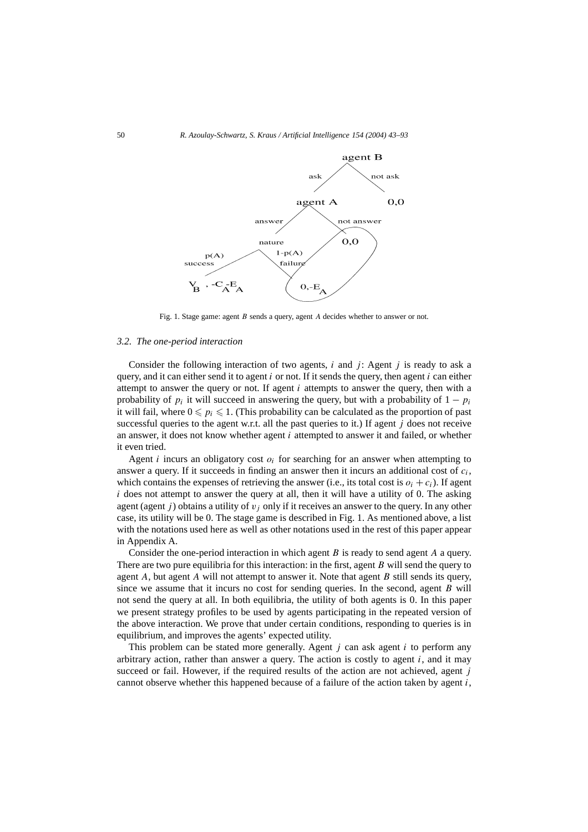

Fig. 1. Stage game: agent *B* sends a query, agent *A* decides whether to answer or not.

#### *3.2. The one-period interaction*

Consider the following interaction of two agents, *i* and *j* : Agent *j* is ready to ask a query, and it can either send it to agent *i* or not. If it sends the query, then agent *i* can either attempt to answer the query or not. If agent *i* attempts to answer the query, then with a probability of  $p_i$  it will succeed in answering the query, but with a probability of  $1 - p_i$ it will fail, where  $0 \leq p_i \leq 1$ . (This probability can be calculated as the proportion of past successful queries to the agent w.r.t. all the past queries to it.) If agent *j* does not receive an answer, it does not know whether agent *i* attempted to answer it and failed, or whether it even tried.

Agent  $i$  incurs an obligatory cost  $o_i$  for searching for an answer when attempting to answer a query. If it succeeds in finding an answer then it incurs an additional cost of  $c_i$ , which contains the expenses of retrieving the answer (i.e., its total cost is  $o_i + c_i$ ). If agent  $i$  does not attempt to answer the query at all, then it will have a utility of 0. The asking agent (agent *j*) obtains a utility of  $v_j$  only if it receives an answer to the query. In any other case, its utility will be 0. The stage game is described in Fig. 1. As mentioned above, a list with the notations used here as well as other notations used in the rest of this paper appear in Appendix A.

Consider the one-period interaction in which agent *B* is ready to send agent *A* a query. There are two pure equilibria for this interaction: in the first, agent *B* will send the query to agent *A*, but agent *A* will not attempt to answer it. Note that agent *B* still sends its query, since we assume that it incurs no cost for sending queries. In the second, agent *B* will not send the query at all. In both equilibria, the utility of both agents is 0. In this paper we present strategy profiles to be used by agents participating in the repeated version of the above interaction. We prove that under certain conditions, responding to queries is in equilibrium, and improves the agents' expected utility.

This problem can be stated more generally. Agent *j* can ask agent *i* to perform any arbitrary action, rather than answer a query. The action is costly to agent  $i$ , and it may succeed or fail. However, if the required results of the action are not achieved, agent *j* cannot observe whether this happened because of a failure of the action taken by agent *i*,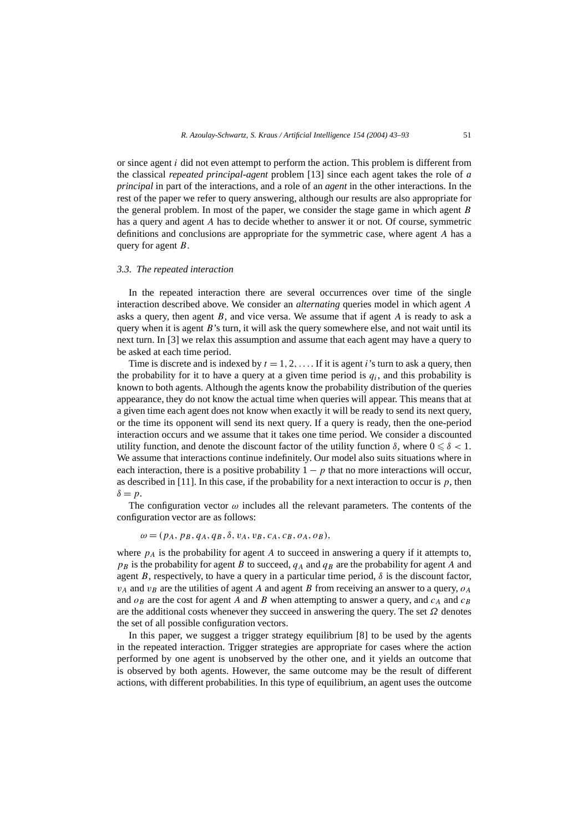or since agent *i* did not even attempt to perform the action. This problem is different from the classical *repeated principal-agent* problem [13] since each agent takes the role of *a principal* in part of the interactions, and a role of an *agent* in the other interactions. In the rest of the paper we refer to query answering, although our results are also appropriate for the general problem. In most of the paper, we consider the stage game in which agent *B* has a query and agent *A* has to decide whether to answer it or not. Of course, symmetric definitions and conclusions are appropriate for the symmetric case, where agent *A* has a query for agent *B*.

#### *3.3. The repeated interaction*

In the repeated interaction there are several occurrences over time of the single interaction described above. We consider an *alternating* queries model in which agent *A* asks a query, then agent *B*, and vice versa. We assume that if agent *A* is ready to ask a query when it is agent *B*'s turn, it will ask the query somewhere else, and not wait until its next turn. In [3] we relax this assumption and assume that each agent may have a query to be asked at each time period.

Time is discrete and is indexed by  $t = 1, 2, \ldots$ . If it is agent *i*'s turn to ask a query, then the probability for it to have a query at a given time period is  $q_i$ , and this probability is known to both agents. Although the agents know the probability distribution of the queries appearance, they do not know the actual time when queries will appear. This means that at a given time each agent does not know when exactly it will be ready to send its next query, or the time its opponent will send its next query. If a query is ready, then the one-period interaction occurs and we assume that it takes one time period. We consider a discounted utility function, and denote the discount factor of the utility function  $\delta$ , where  $0 \leq \delta < 1$ . We assume that interactions continue indefinitely. Our model also suits situations where in each interaction, there is a positive probability  $1 - p$  that no more interactions will occur, as described in [11]. In this case, if the probability for a next interaction to occur is  $p$ , then  $\delta = p$ .

The configuration vector  $\omega$  includes all the relevant parameters. The contents of the configuration vector are as follows:

$$
\omega = (p_A, p_B, q_A, q_B, \delta, v_A, v_B, c_A, c_B, o_A, o_B),
$$

where  $p_A$  is the probability for agent *A* to succeed in answering a query if it attempts to,  $p_B$  is the probability for agent *B* to succeed,  $q_A$  and  $q_B$  are the probability for agent *A* and agent *B*, respectively, to have a query in a particular time period,  $\delta$  is the discount factor,  $v_A$  and  $v_B$  are the utilities of agent *A* and agent *B* from receiving an answer to a query,  $o_A$ and  $o_B$  are the cost for agent *A* and *B* when attempting to answer a query, and  $c_A$  and  $c_B$ are the additional costs whenever they succeed in answering the query. The set *Ω* denotes the set of all possible configuration vectors.

In this paper, we suggest a trigger strategy equilibrium [8] to be used by the agents in the repeated interaction. Trigger strategies are appropriate for cases where the action performed by one agent is unobserved by the other one, and it yields an outcome that is observed by both agents. However, the same outcome may be the result of different actions, with different probabilities. In this type of equilibrium, an agent uses the outcome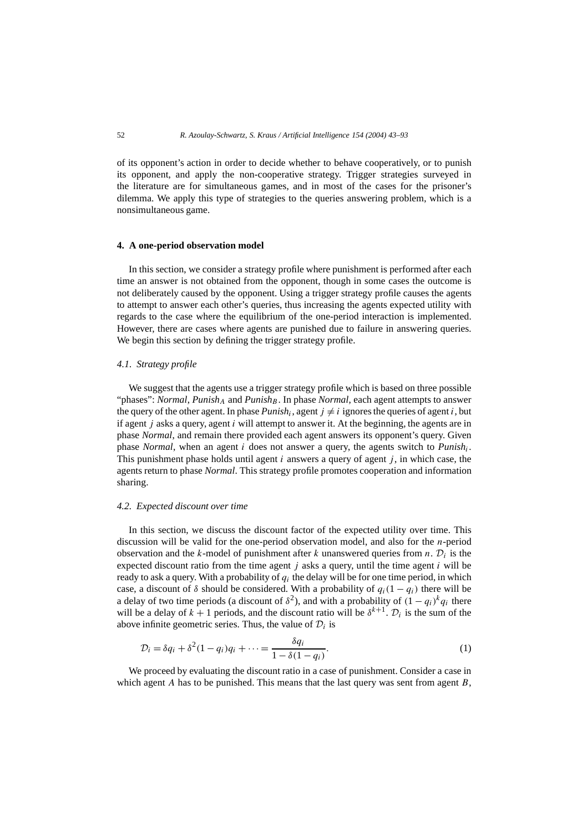of its opponent's action in order to decide whether to behave cooperatively, or to punish its opponent, and apply the non-cooperative strategy. Trigger strategies surveyed in the literature are for simultaneous games, and in most of the cases for the prisoner's dilemma. We apply this type of strategies to the queries answering problem, which is a nonsimultaneous game.

# **4. A one-period observation model**

In this section, we consider a strategy profile where punishment is performed after each time an answer is not obtained from the opponent, though in some cases the outcome is not deliberately caused by the opponent. Using a trigger strategy profile causes the agents to attempt to answer each other's queries, thus increasing the agents expected utility with regards to the case where the equilibrium of the one-period interaction is implemented. However, there are cases where agents are punished due to failure in answering queries. We begin this section by defining the trigger strategy profile.

# *4.1. Strategy profile*

We suggest that the agents use a trigger strategy profile which is based on three possible "phases": *Normal*, *Punish<sup>A</sup>* and *PunishB*. In phase *Normal*, each agent attempts to answer the query of the other agent. In phase  $Punish_i$ , agent  $j \neq i$  ignores the queries of agent *i*, but if agent *j* asks a query, agent *i* will attempt to answer it. At the beginning, the agents are in phase *Normal*, and remain there provided each agent answers its opponent's query. Given phase *Normal*, when an agent *i* does not answer a query, the agents switch to *Punishi*. This punishment phase holds until agent *i* answers a query of agent *j* , in which case, the agents return to phase *Normal*. This strategy profile promotes cooperation and information sharing.

#### *4.2. Expected discount over time*

In this section, we discuss the discount factor of the expected utility over time. This discussion will be valid for the one-period observation model, and also for the *n*-period observation and the *k*-model of punishment after *k* unanswered queries from *n*.  $D_i$  is the expected discount ratio from the time agent *j* asks a query, until the time agent *i* will be ready to ask a query. With a probability of  $q_i$  the delay will be for one time period, in which case, a discount of  $\delta$  should be considered. With a probability of  $q_i(1 - q_i)$  there will be a delay of two time periods (a discount of  $\delta^2$ ), and with a probability of  $(1 - q_i)^k q_i$  there will be a delay of  $k + 1$  periods, and the discount ratio will be  $\delta^{k+1}$ .  $\mathcal{D}_i$  is the sum of the above infinite geometric series. Thus, the value of  $\mathcal{D}_i$  is

$$
\mathcal{D}_i = \delta q_i + \delta^2 (1 - q_i) q_i + \dots = \frac{\delta q_i}{1 - \delta (1 - q_i)}.
$$
\n<sup>(1)</sup>

We proceed by evaluating the discount ratio in a case of punishment. Consider a case in which agent *A* has to be punished. This means that the last query was sent from agent *B*,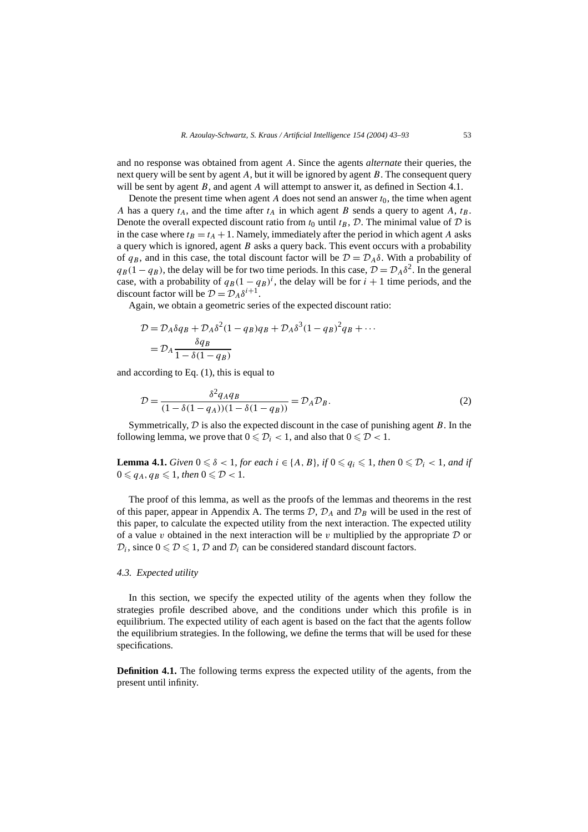and no response was obtained from agent *A*. Since the agents *alternate* their queries, the next query will be sent by agent *A*, but it will be ignored by agent *B*. The consequent query will be sent by agent *B*, and agent *A* will attempt to answer it, as defined in Section 4.1.

Denote the present time when agent A does not send an answer  $t_0$ , the time when agent *A* has a query  $t_A$ , and the time after  $t_A$  in which agent *B* sends a query to agent *A*,  $t_B$ . Denote the overall expected discount ratio from  $t_0$  until  $t_B$ ,  $D$ . The minimal value of  $D$  is in the case where  $t_B = t_A + 1$ . Namely, immediately after the period in which agent *A* asks a query which is ignored, agent *B* asks a query back. This event occurs with a probability of  $q_B$ , and in this case, the total discount factor will be  $\mathcal{D} = \mathcal{D}_A \delta$ . With a probability of  $q_B(1 - q_B)$ , the delay will be for two time periods. In this case,  $\mathcal{D} = \mathcal{D}_A \delta^2$ . In the general case, with a probability of  $q_B(1 - q_B)^i$ , the delay will be for  $i + 1$  time periods, and the discount factor will be  $\mathcal{D} = \mathcal{D}_A \delta^{i+1}$ .

Again, we obtain a geometric series of the expected discount ratio:

$$
\mathcal{D} = \mathcal{D}_A \delta q_B + \mathcal{D}_A \delta^2 (1 - q_B) q_B + \mathcal{D}_A \delta^3 (1 - q_B)^2 q_B + \cdots
$$
  
=  $\mathcal{D}_A \frac{\delta q_B}{1 - \delta (1 - q_B)}$ 

and according to Eq. (1), this is equal to

$$
\mathcal{D} = \frac{\delta^2 q_A q_B}{(1 - \delta(1 - q_A))(1 - \delta(1 - q_B))} = \mathcal{D}_A \mathcal{D}_B.
$$
\n(2)

Symmetrically, D is also the expected discount in the case of punishing agent *B*. In the following lemma, we prove that  $0 \leq \mathcal{D}_i < 1$ , and also that  $0 \leq \mathcal{D} < 1$ .

**Lemma 4.1.** *Given*  $0 \le \delta < 1$ *, for each*  $i \in \{A, B\}$ *, if*  $0 \le q_i \le 1$ *, then*  $0 \le \mathcal{D}_i < 1$ *, and if*  $0 \leqslant q_A, q_B \leqslant 1$ , then  $0 \leqslant \mathcal{D} < 1$ .

The proof of this lemma, as well as the proofs of the lemmas and theorems in the rest of this paper, appear in Appendix A. The terms  $D$ ,  $D_A$  and  $D_B$  will be used in the rest of this paper, to calculate the expected utility from the next interaction. The expected utility of a value *v* obtained in the next interaction will be *v* multiplied by the appropriate  $D$  or  $\mathcal{D}_i$ , since  $0 \le \mathcal{D} \le 1$ ,  $\mathcal{D}$  and  $\mathcal{D}_i$  can be considered standard discount factors.

#### *4.3. Expected utility*

In this section, we specify the expected utility of the agents when they follow the strategies profile described above, and the conditions under which this profile is in equilibrium. The expected utility of each agent is based on the fact that the agents follow the equilibrium strategies. In the following, we define the terms that will be used for these specifications.

**Definition 4.1.** The following terms express the expected utility of the agents, from the present until infinity.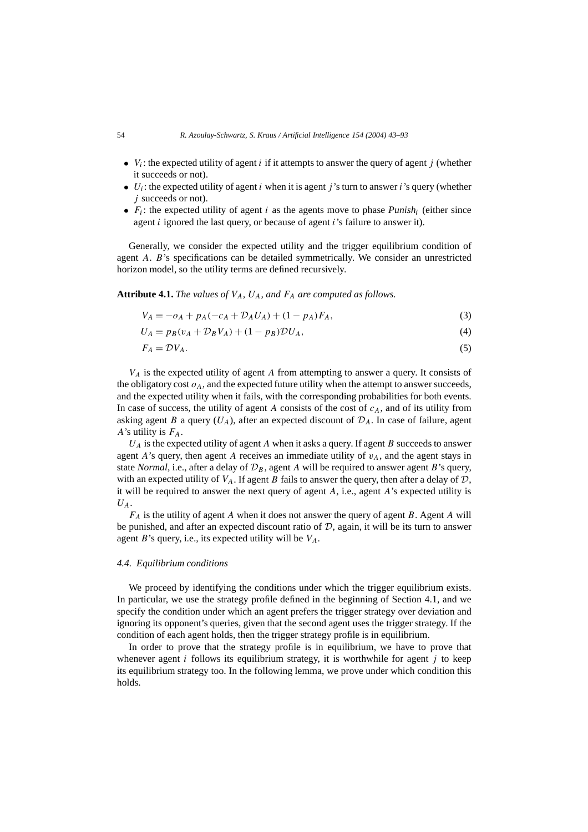- $V_i$ : the expected utility of agent *i* if it attempts to answer the query of agent *j* (whether it succeeds or not).
- *Ui*: the expected utility of agent *i* when it is agent *j* 's turn to answer *i*'s query (whether *j* succeeds or not).
- $F_i$ : the expected utility of agent *i* as the agents move to phase *Punish<sub>i</sub>* (either since agent *i* ignored the last query, or because of agent *i*'s failure to answer it).

Generally, we consider the expected utility and the trigger equilibrium condition of agent *A*. *B*'s specifications can be detailed symmetrically. We consider an unrestricted horizon model, so the utility terms are defined recursively.

**Attribute 4.1.** *The values of*  $V_A$ *,*  $U_A$ *, and*  $F_A$  *are computed as follows.* 

$$
V_A = -o_A + p_A(-c_A + D_A U_A) + (1 - p_A)F_A,
$$
\n(3)

$$
U_A = p_B(v_A + \mathcal{D}_B V_A) + (1 - p_B)\mathcal{D}U_A,\tag{4}
$$

$$
F_A = \mathcal{D}V_A. \tag{5}
$$

*VA* is the expected utility of agent *A* from attempting to answer a query. It consists of the obligatory cost  $o_A$ , and the expected future utility when the attempt to answer succeeds, and the expected utility when it fails, with the corresponding probabilities for both events. In case of success, the utility of agent *A* consists of the cost of *cA*, and of its utility from asking agent *B* a query  $(U_A)$ , after an expected discount of  $\mathcal{D}_A$ . In case of failure, agent *A*'s utility is *FA*.

*UA* is the expected utility of agent *A* when it asks a query. If agent *B* succeeds to answer agent  $A$ 's query, then agent  $A$  receives an immediate utility of  $v_A$ , and the agent stays in state *Normal*, i.e., after a delay of  $\mathcal{D}_B$ , agent *A* will be required to answer agent *B*'s query, with an expected utility of  $V_A$ . If agent *B* fails to answer the query, then after a delay of  $D$ , it will be required to answer the next query of agent *A*, i.e., agent *A*'s expected utility is *UA*.

*FA* is the utility of agent *A* when it does not answer the query of agent *B*. Agent *A* will be punished, and after an expected discount ratio of  $D$ , again, it will be its turn to answer agent *B*'s query, i.e., its expected utility will be *VA*.

#### *4.4. Equilibrium conditions*

We proceed by identifying the conditions under which the trigger equilibrium exists. In particular, we use the strategy profile defined in the beginning of Section 4.1, and we specify the condition under which an agent prefers the trigger strategy over deviation and ignoring its opponent's queries, given that the second agent uses the trigger strategy. If the condition of each agent holds, then the trigger strategy profile is in equilibrium.

In order to prove that the strategy profile is in equilibrium, we have to prove that whenever agent  $i$  follows its equilibrium strategy, it is worthwhile for agent  $j$  to keep its equilibrium strategy too. In the following lemma, we prove under which condition this holds.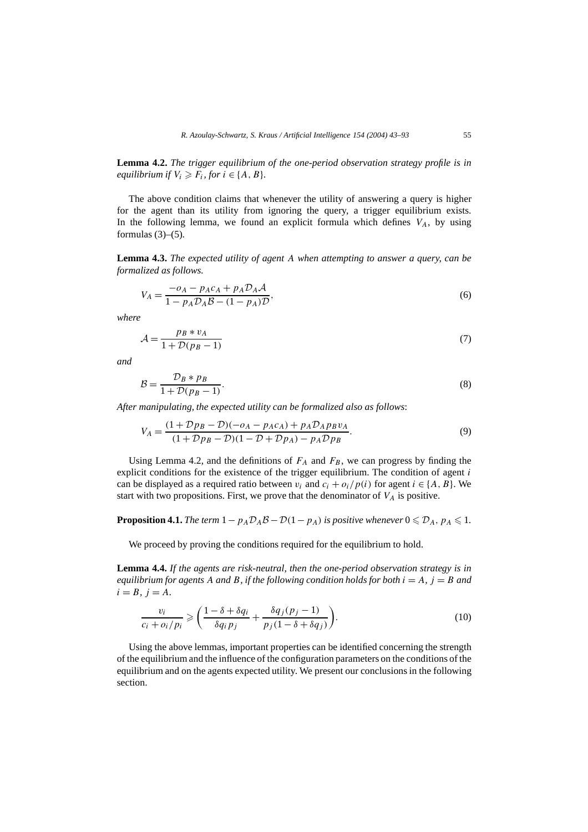**Lemma 4.2.** *The trigger equilibrium of the one-period observation strategy profile is in equilibrium if*  $V_i \geq F_i$ *, for*  $i \in \{A, B\}$ *.* 

The above condition claims that whenever the utility of answering a query is higher for the agent than its utility from ignoring the query, a trigger equilibrium exists. In the following lemma, we found an explicit formula which defines  $V_A$ , by using formulas  $(3)$ – $(5)$ .

**Lemma 4.3.** *The expected utility of agent A when attempting to answer a query, can be formalized as follows.*

$$
V_A = \frac{-o_A - p_A c_A + p_A \mathcal{D}_A \mathcal{A}}{1 - p_A \mathcal{D}_A \mathcal{B} - (1 - p_A) \mathcal{D}},\tag{6}
$$

*where*

$$
\mathcal{A} = \frac{p_B * v_A}{1 + \mathcal{D}(p_B - 1)}\tag{7}
$$

*and*

$$
\mathcal{B} = \frac{\mathcal{D}_B * p_B}{1 + \mathcal{D}(p_B - 1)}.\tag{8}
$$

*After manipulating, the expected utility can be formalized also as follows*:

$$
V_A = \frac{(1 + Dp_B - D)(-o_A - p_A c_A) + p_A D_A p_B v_A}{(1 + Dp_B - D)(1 - D + Dp_A) - p_A Dp_B}.
$$
\n(9)

Using Lemma 4.2, and the definitions of  $F_A$  and  $F_B$ , we can progress by finding the explicit conditions for the existence of the trigger equilibrium. The condition of agent *i* can be displayed as a required ratio between  $v_i$  and  $c_i + o_i/p(i)$  for agent  $i \in \{A, B\}$ . We start with two propositions. First, we prove that the denominator of  $V_A$  is positive.

**Proposition 4.1.** *The term*  $1 - p_A \mathcal{D}_A \mathcal{B} - \mathcal{D}(1 - p_A)$  *is positive whenever*  $0 \le \mathcal{D}_A$ ,  $p_A \le 1$ *.* 

We proceed by proving the conditions required for the equilibrium to hold.

**Lemma 4.4.** *If the agents are risk-neutral, then the one-period observation strategy is in equilibrium for agents* A *and* B, if the following condition holds for both  $i = A$ ,  $j = B$  *and*  $i = B$ ,  $j = A$ .

$$
\frac{v_i}{c_i + o_i/p_i} \geqslant \left(\frac{1 - \delta + \delta q_i}{\delta q_i p_j} + \frac{\delta q_j (p_j - 1)}{p_j (1 - \delta + \delta q_j)}\right). \tag{10}
$$

Using the above lemmas, important properties can be identified concerning the strength of the equilibrium and the influence of the configuration parameters on the conditions of the equilibrium and on the agents expected utility. We present our conclusions in the following section.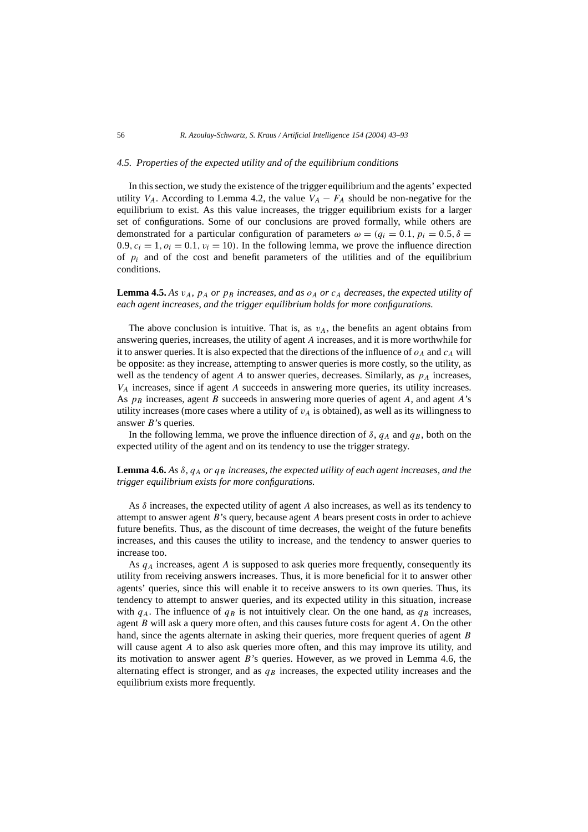#### *4.5. Properties of the expected utility and of the equilibrium conditions*

In this section, we study the existence of the trigger equilibrium and the agents' expected utility *V<sub>A</sub>*. According to Lemma 4.2, the value *V<sub>A</sub>* −  $F_A$  should be non-negative for the equilibrium to exist. As this value increases, the trigger equilibrium exists for a larger set of configurations. Some of our conclusions are proved formally, while others are demonstrated for a particular configuration of parameters  $\omega = (q_i = 0.1, p_i = 0.5, \delta = 0.5)$ 0.9,  $c_i = 1$ ,  $o_i = 0.1$ ,  $v_i = 10$ ). In the following lemma, we prove the influence direction of  $p_i$  and of the cost and benefit parameters of the utilities and of the equilibrium conditions.

# **Lemma 4.5.** As  $v_A$ ,  $p_A$  or  $p_B$  increases, and as  $o_A$  or  $c_A$  decreases, the expected utility of *each agent increases, and the trigger equilibrium holds for more configurations.*

The above conclusion is intuitive. That is, as  $v_A$ , the benefits an agent obtains from answering queries, increases, the utility of agent *A* increases, and it is more worthwhile for it to answer queries. It is also expected that the directions of the influence of  $o_A$  and  $c_A$  will be opposite: as they increase, attempting to answer queries is more costly, so the utility, as well as the tendency of agent *A* to answer queries, decreases. Similarly, as *pA* increases, *VA* increases, since if agent *A* succeeds in answering more queries, its utility increases. As *pB* increases, agent *B* succeeds in answering more queries of agent *A*, and agent *A*'s utility increases (more cases where a utility of  $v_A$  is obtained), as well as its willingness to answer *B*'s queries.

In the following lemma, we prove the influence direction of  $\delta$ ,  $q_A$  and  $q_B$ , both on the expected utility of the agent and on its tendency to use the trigger strategy.

# **Lemma 4.6.** As  $\delta$ ,  $q_A$  *or*  $q_B$  *increases, the expected utility of each agent increases, and the trigger equilibrium exists for more configurations.*

As *δ* increases, the expected utility of agent *A* also increases, as well as its tendency to attempt to answer agent *B*'s query, because agent *A* bears present costs in order to achieve future benefits. Thus, as the discount of time decreases, the weight of the future benefits increases, and this causes the utility to increase, and the tendency to answer queries to increase too.

As *qA* increases, agent *A* is supposed to ask queries more frequently, consequently its utility from receiving answers increases. Thus, it is more beneficial for it to answer other agents' queries, since this will enable it to receive answers to its own queries. Thus, its tendency to attempt to answer queries, and its expected utility in this situation, increase with  $q_A$ . The influence of  $q_B$  is not intuitively clear. On the one hand, as  $q_B$  increases, agent *B* will ask a query more often, and this causes future costs for agent *A*. On the other hand, since the agents alternate in asking their queries, more frequent queries of agent *B* will cause agent *A* to also ask queries more often, and this may improve its utility, and its motivation to answer agent *B*'s queries. However, as we proved in Lemma 4.6, the alternating effect is stronger, and as  $q_B$  increases, the expected utility increases and the equilibrium exists more frequently.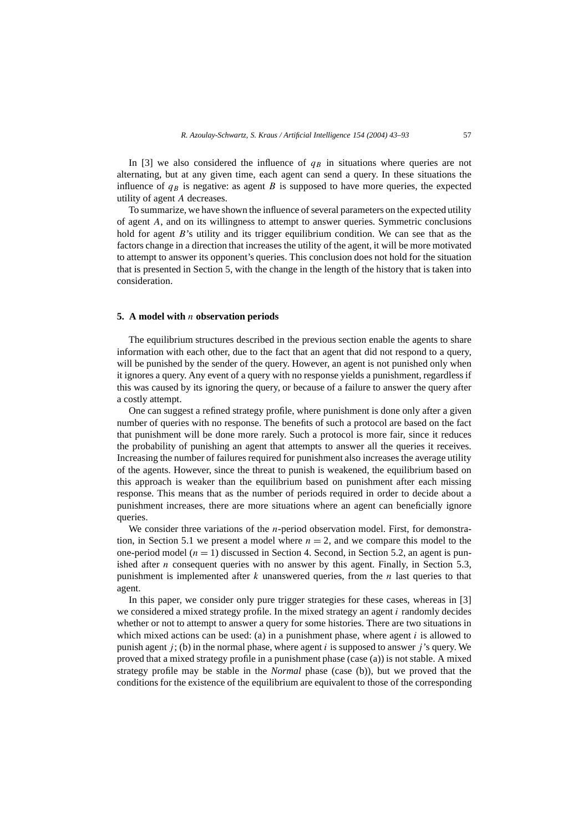In [3] we also considered the influence of  $q_B$  in situations where queries are not alternating, but at any given time, each agent can send a query. In these situations the influence of  $q_B$  is negative: as agent *B* is supposed to have more queries, the expected utility of agent *A* decreases.

To summarize, we have shown the influence of several parameters on the expected utility of agent *A*, and on its willingness to attempt to answer queries. Symmetric conclusions hold for agent *B*'s utility and its trigger equilibrium condition. We can see that as the factors change in a direction that increases the utility of the agent, it will be more motivated to attempt to answer its opponent's queries. This conclusion does not hold for the situation that is presented in Section 5, with the change in the length of the history that is taken into consideration.

#### **5. A model with** *n* **observation periods**

The equilibrium structures described in the previous section enable the agents to share information with each other, due to the fact that an agent that did not respond to a query, will be punished by the sender of the query. However, an agent is not punished only when it ignores a query. Any event of a query with no response yields a punishment, regardless if this was caused by its ignoring the query, or because of a failure to answer the query after a costly attempt.

One can suggest a refined strategy profile, where punishment is done only after a given number of queries with no response. The benefits of such a protocol are based on the fact that punishment will be done more rarely. Such a protocol is more fair, since it reduces the probability of punishing an agent that attempts to answer all the queries it receives. Increasing the number of failures required for punishment also increases the average utility of the agents. However, since the threat to punish is weakened, the equilibrium based on this approach is weaker than the equilibrium based on punishment after each missing response. This means that as the number of periods required in order to decide about a punishment increases, there are more situations where an agent can beneficially ignore queries.

We consider three variations of the *n*-period observation model. First, for demonstration, in Section 5.1 we present a model where  $n = 2$ , and we compare this model to the one-period model  $(n = 1)$  discussed in Section 4. Second, in Section 5.2, an agent is punished after *n* consequent queries with no answer by this agent. Finally, in Section 5.3, punishment is implemented after *k* unanswered queries, from the *n* last queries to that agent.

In this paper, we consider only pure trigger strategies for these cases, whereas in [3] we considered a mixed strategy profile. In the mixed strategy an agent *i* randomly decides whether or not to attempt to answer a query for some histories. There are two situations in which mixed actions can be used: (a) in a punishment phase, where agent  $i$  is allowed to punish agent *j* ; (b) in the normal phase, where agent *i* is supposed to answer *j* 's query. We proved that a mixed strategy profile in a punishment phase (case (a)) is not stable. A mixed strategy profile may be stable in the *Normal* phase (case (b)), but we proved that the conditions for the existence of the equilibrium are equivalent to those of the corresponding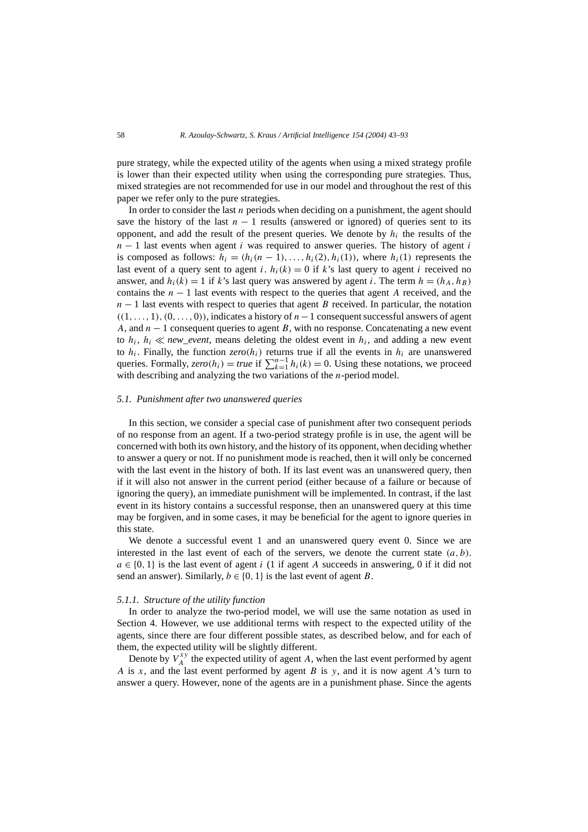pure strategy, while the expected utility of the agents when using a mixed strategy profile is lower than their expected utility when using the corresponding pure strategies. Thus, mixed strategies are not recommended for use in our model and throughout the rest of this paper we refer only to the pure strategies.

In order to consider the last *n* periods when deciding on a punishment, the agent should save the history of the last  $n - 1$  results (answered or ignored) of queries sent to its opponent, and add the result of the present queries. We denote by  $h_i$  the results of the *n* − 1 last events when agent *i* was required to answer queries. The history of agent *i* is composed as follows:  $h_i = (h_i(n-1), \ldots, h_i(2), h_i(1))$ , where  $h_i(1)$  represents the last event of a query sent to agent *i*.  $h_i(k) = 0$  if *k*'s last query to agent *i* received no answer, and  $h_i(k) = 1$  if k's last query was answered by agent *i*. The term  $h = (h_A, h_B)$ contains the *n* − 1 last events with respect to the queries that agent *A* received, and the *n* − 1 last events with respect to queries that agent *B* received. In particular, the notation *((*1*,...,* 1*), (*0*,...,* 0*))*, indicates a history of *n*−1 consequent successful answers of agent *A*, and *n* − 1 consequent queries to agent *B*, with no response. Concatenating a new event to  $h_i$ ,  $h_i \ll new\_event$ , means deleting the oldest event in  $h_i$ , and adding a new event to  $h_i$ . Finally, the function  $zero(h_i)$  returns true if all the events in  $h_i$  are unanswered queries. Formally,  $zero(h_i) = true$  if  $\sum_{k=1}^{n-1} h_i(k) = 0$ . Using these notations, we proceed with describing and analyzing the two variations of the *n*-period model.

#### *5.1. Punishment after two unanswered queries*

In this section, we consider a special case of punishment after two consequent periods of no response from an agent. If a two-period strategy profile is in use, the agent will be concerned with both its own history, and the history of its opponent, when deciding whether to answer a query or not. If no punishment mode is reached, then it will only be concerned with the last event in the history of both. If its last event was an unanswered query, then if it will also not answer in the current period (either because of a failure or because of ignoring the query), an immediate punishment will be implemented. In contrast, if the last event in its history contains a successful response, then an unanswered query at this time may be forgiven, and in some cases, it may be beneficial for the agent to ignore queries in this state.

We denote a successful event 1 and an unanswered query event 0. Since we are interested in the last event of each of the servers, we denote the current state *(a, b)*.  $a \in \{0, 1\}$  is the last event of agent *i* (1 if agent *A* succeeds in answering, 0 if it did not send an answer). Similarly,  $b \in \{0, 1\}$  is the last event of agent *B*.

#### *5.1.1. Structure of the utility function*

In order to analyze the two-period model, we will use the same notation as used in Section 4. However, we use additional terms with respect to the expected utility of the agents, since there are four different possible states, as described below, and for each of them, the expected utility will be slightly different.

Denote by  $V_A^{xy}$  the expected utility of agent *A*, when the last event performed by agent *A* is *x*, and the last event performed by agent *B* is *y*, and it is now agent *A*'s turn to answer a query. However, none of the agents are in a punishment phase. Since the agents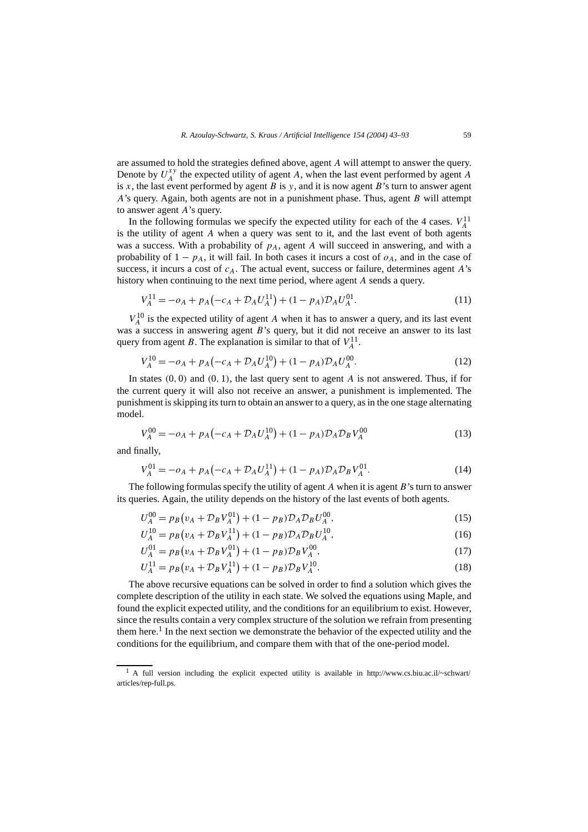are assumed to hold the strategies defined above, agent *A* will attempt to answer the query. Denote by  $U_A^{xy}$  the expected utility of agent *A*, when the last event performed by agent *A* is *x*, the last event performed by agent *B* is *y*, and it is now agent *B*'s turn to answer agent *A*'s query. Again, both agents are not in a punishment phase. Thus, agent *B* will attempt to answer agent *A*'s query.

In the following formulas we specify the expected utility for each of the 4 cases.  $V_A^{11}$ is the utility of agent *A* when a query was sent to it, and the last event of both agents was a success. With a probability of *pA*, agent *A* will succeed in answering, and with a probability of  $1 - p_A$ , it will fail. In both cases it incurs a cost of  $o_A$ , and in the case of success, it incurs a cost of *cA*. The actual event, success or failure, determines agent *A*'s history when continuing to the next time period, where agent *A* sends a query.

$$
V_A^{11} = -o_A + p_A(-c_A + \mathcal{D}_A U_A^{11}) + (1 - p_A)\mathcal{D}_A U_A^{01}.
$$
\n(11)

 $V_A^{10}$  is the expected utility of agent *A* when it has to answer a query, and its last event was a success in answering agent *B*'s query, but it did not receive an answer to its last query from agent *B*. The explanation is similar to that of  $V_A^{11}$ .

$$
V_A^{10} = -o_A + p_A(-c_A + D_A U_A^{10}) + (1 - p_A)D_A U_A^{00}.
$$
 (12)

In states *(*0*,* 0*)* and *(*0*,* 1*)*, the last query sent to agent *A* is not answered. Thus, if for the current query it will also not receive an answer, a punishment is implemented. The punishment is skipping its turn to obtain an answer to a query, as in the one stage alternating model.

$$
V_A^{00} = -o_A + p_A(-c_A + \mathcal{D}_A U_A^{10}) + (1 - p_A)\mathcal{D}_A \mathcal{D}_B V_A^{00}
$$
\n(13)

and finally,

$$
V_A^{01} = -o_A + p_A(-c_A + \mathcal{D}_A U_A^{11}) + (1 - p_A)\mathcal{D}_A \mathcal{D}_B V_A^{01}.
$$
 (14)

The following formulas specify the utility of agent *A* when it is agent *B*'s turn to answer its queries. Again, the utility depends on the history of the last events of both agents.

$$
U_A^{00} = p_B \left( v_A + \mathcal{D}_B V_A^{01} \right) + (1 - p_B) \mathcal{D}_A \mathcal{D}_B U_A^{00},\tag{15}
$$

$$
U_A^{10} = p_B \left( v_A + \mathcal{D}_B V_A^{11} \right) + (1 - p_B) \mathcal{D}_A \mathcal{D}_B U_A^{10},\tag{16}
$$

$$
U_A^{01} = p_B \left( v_A + \mathcal{D}_B V_A^{01} \right) + (1 - p_B) \mathcal{D}_B V_A^{00},\tag{17}
$$

$$
U_A^{11} = p_B \left( v_A + \mathcal{D}_B V_A^{11} \right) + (1 - p_B) \mathcal{D}_B V_A^{10}.
$$
 (18)

The above recursive equations can be solved in order to find a solution which gives the complete description of the utility in each state. We solved the equations using Maple, and found the explicit expected utility, and the conditions for an equilibrium to exist. However, since the results contain a very complex structure of the solution we refrain from presenting them here.<sup>1</sup> In the next section we demonstrate the behavior of the expected utility and the conditions for the equilibrium, and compare them with that of the one-period model.

<sup>1</sup> A full version including the explicit expected utility is available in http://www.cs.biu.ac.il/~schwart/ articles/rep-full.ps.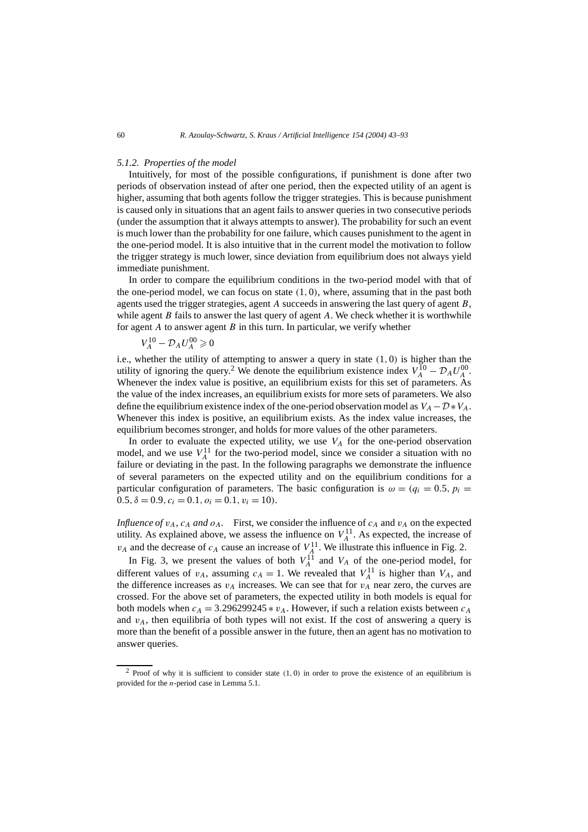#### *5.1.2. Properties of the model*

Intuitively, for most of the possible configurations, if punishment is done after two periods of observation instead of after one period, then the expected utility of an agent is higher, assuming that both agents follow the trigger strategies. This is because punishment is caused only in situations that an agent fails to answer queries in two consecutive periods (under the assumption that it always attempts to answer). The probability for such an event is much lower than the probability for one failure, which causes punishment to the agent in the one-period model. It is also intuitive that in the current model the motivation to follow the trigger strategy is much lower, since deviation from equilibrium does not always yield immediate punishment.

In order to compare the equilibrium conditions in the two-period model with that of the one-period model, we can focus on state *(*1*,* 0*)*, where, assuming that in the past both agents used the trigger strategies, agent *A* succeeds in answering the last query of agent *B*, while agent *B* fails to answer the last query of agent *A*. We check whether it is worthwhile for agent *A* to answer agent *B* in this turn. In particular, we verify whether

# $V_A^{10} - \mathcal{D}_A U_A^{00} \geq 0$

i.e., whether the utility of attempting to answer a query in state *(*1*,* 0*)* is higher than the utility of ignoring the query.<sup>2</sup> We denote the equilibrium existence index  $V_A^{10} - D_A U_A^{00}$ . Whenever the index value is positive, an equilibrium exists for this set of parameters. As the value of the index increases, an equilibrium exists for more sets of parameters. We also define the equilibrium existence index of the one-period observation model as  $V_A - D * V_A$ . Whenever this index is positive, an equilibrium exists. As the index value increases, the equilibrium becomes stronger, and holds for more values of the other parameters.

In order to evaluate the expected utility, we use  $V_A$  for the one-period observation model, and we use  $V_A^{11}$  for the two-period model, since we consider a situation with no failure or deviating in the past. In the following paragraphs we demonstrate the influence of several parameters on the expected utility and on the equilibrium conditions for a particular configuration of parameters. The basic configuration is  $\omega = (q_i = 0.5, p_i = 1)$  $0.5, \delta = 0.9, c_i = 0.1, o_i = 0.1, v_i = 10$ .

*Influence of*  $v_A$ ,  $c_A$  *and*  $o_A$ . First, we consider the influence of  $c_A$  and  $v_A$  on the expected utility. As explained above, we assess the influence on  $V_A^{11}$ . As expected, the increase of  $v_A$  and the decrease of  $c_A$  cause an increase of  $V_A^{11}$ . We illustrate this influence in Fig. 2.

In Fig. 3, we present the values of both  $V_A^{11}$  and  $V_A$  of the one-period model, for different values of  $v_A$ , assuming  $c_A = 1$ . We revealed that  $V_A^{11}$  is higher than  $V_A$ , and the difference increases as  $v_A$  increases. We can see that for  $v_A$  near zero, the curves are crossed. For the above set of parameters, the expected utility in both models is equal for both models when  $c_A = 3.296299245 * v_A$ . However, if such a relation exists between  $c_A$ and  $v_A$ , then equilibria of both types will not exist. If the cost of answering a query is more than the benefit of a possible answer in the future, then an agent has no motivation to answer queries.

<sup>2</sup> Proof of why it is sufficient to consider state *(*1*,* 0*)* in order to prove the existence of an equilibrium is provided for the *n*-period case in Lemma 5.1.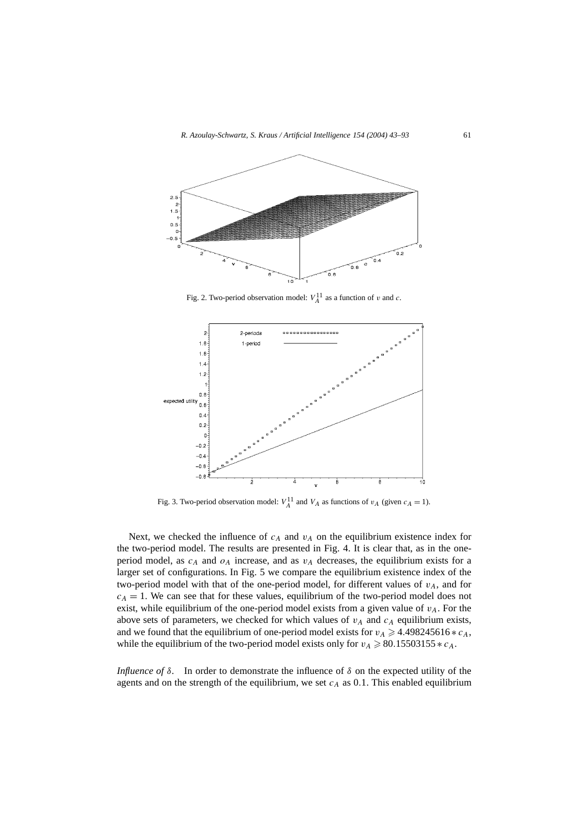

Fig. 2. Two-period observation model:  $V_A^{11}$  as a function of *v* and *c*.



Fig. 3. Two-period observation model:  $V_A^{11}$  and  $V_A$  as functions of  $v_A$  (given  $c_A = 1$ ).

Next, we checked the influence of  $c_A$  and  $v_A$  on the equilibrium existence index for the two-period model. The results are presented in Fig. 4. It is clear that, as in the oneperiod model, as *cA* and *oA* increase, and as *vA* decreases, the equilibrium exists for a larger set of configurations. In Fig. 5 we compare the equilibrium existence index of the two-period model with that of the one-period model, for different values of  $v_A$ , and for  $c_A = 1$ . We can see that for these values, equilibrium of the two-period model does not exist, while equilibrium of the one-period model exists from a given value of  $v_A$ . For the above sets of parameters, we checked for which values of  $v_A$  and  $c_A$  equilibrium exists, and we found that the equilibrium of one-period model exists for  $v_A \ge 4.498245616$  \*  $c_A$ , while the equilibrium of the two-period model exists only for  $v_A \ge 80.15503155$  \*  $c_A$ .

*Influence of δ.* In order to demonstrate the influence of *δ* on the expected utility of the agents and on the strength of the equilibrium, we set  $c_A$  as 0.1. This enabled equilibrium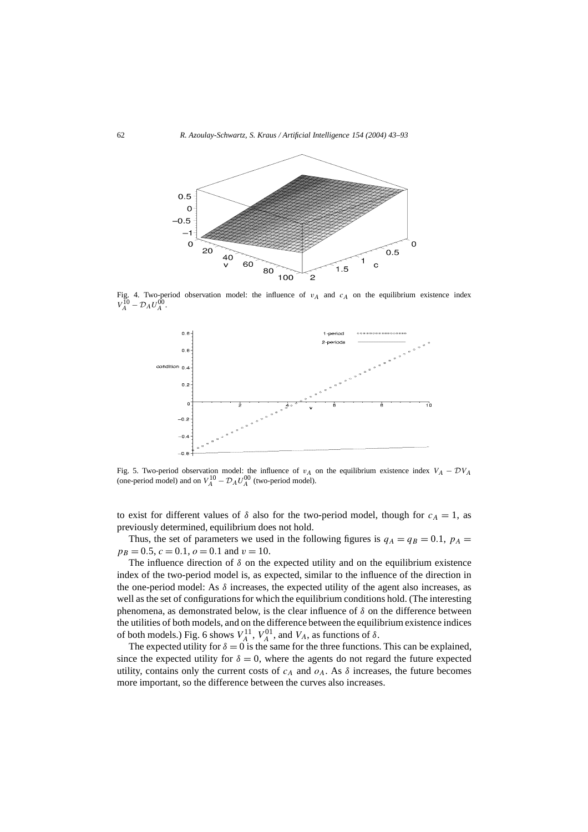

Fig. 4. Two-period observation model: the influence of *v<sub>A</sub>* and *c<sub>A</sub>* on the equilibrium existence index  $V_A^{10} - D_A U_A^{00}$ .



Fig. 5. Two-period observation model: the influence of *v<sub>A</sub>* on the equilibrium existence index  $V_A - DV_A$ (one-period model) and on  $V_A^{10} - \mathcal{D}_A U_A^{00}$  (two-period model).

to exist for different values of  $\delta$  also for the two-period model, though for  $c_A = 1$ , as previously determined, equilibrium does not hold.

Thus, the set of parameters we used in the following figures is  $q_A = q_B = 0.1$ ,  $p_A =$  $p_B = 0.5$ ,  $c = 0.1$ ,  $o = 0.1$  and  $v = 10$ .

The influence direction of  $\delta$  on the expected utility and on the equilibrium existence index of the two-period model is, as expected, similar to the influence of the direction in the one-period model: As  $\delta$  increases, the expected utility of the agent also increases, as well as the set of configurations for which the equilibrium conditions hold. (The interesting phenomena, as demonstrated below, is the clear influence of  $\delta$  on the difference between the utilities of both models, and on the difference between the equilibrium existence indices of both models.) Fig. 6 shows  $V_A^{11}$ ,  $V_A^{01}$ , and  $V_A$ , as functions of  $\delta$ .

The expected utility for  $\delta = 0$  is the same for the three functions. This can be explained, since the expected utility for  $\delta = 0$ , where the agents do not regard the future expected utility, contains only the current costs of  $c_A$  and  $o_A$ . As  $\delta$  increases, the future becomes more important, so the difference between the curves also increases.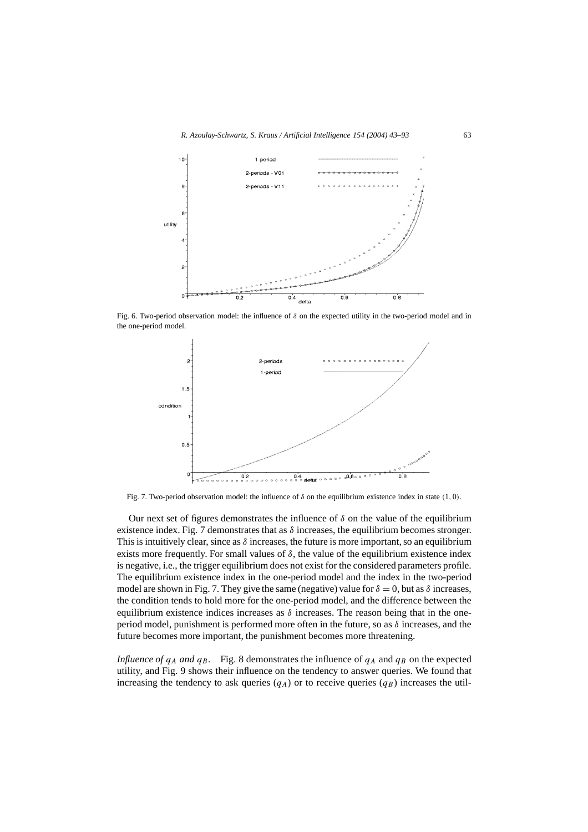![](_page_20_Figure_1.jpeg)

Fig. 6. Two-period observation model: the influence of *δ* on the expected utility in the two-period model and in the one-period model.

![](_page_20_Figure_3.jpeg)

Fig. 7. Two-period observation model: the influence of *δ* on the equilibrium existence index in state *(*1*,* 0*)*.

Our next set of figures demonstrates the influence of  $\delta$  on the value of the equilibrium existence index. Fig. 7 demonstrates that as  $\delta$  increases, the equilibrium becomes stronger. This is intuitively clear, since as *δ* increases, the future is more important, so an equilibrium exists more frequently. For small values of  $\delta$ , the value of the equilibrium existence index is negative, i.e., the trigger equilibrium does not exist for the considered parameters profile. The equilibrium existence index in the one-period model and the index in the two-period model are shown in Fig. 7. They give the same (negative) value for  $\delta = 0$ , but as  $\delta$  increases, the condition tends to hold more for the one-period model, and the difference between the equilibrium existence indices increases as  $\delta$  increases. The reason being that in the oneperiod model, punishment is performed more often in the future, so as  $\delta$  increases, and the future becomes more important, the punishment becomes more threatening.

*Influence of*  $q_A$  *and*  $q_B$ . Fig. 8 demonstrates the influence of  $q_A$  and  $q_B$  on the expected utility, and Fig. 9 shows their influence on the tendency to answer queries. We found that increasing the tendency to ask queries  $(q_A)$  or to receive queries  $(q_B)$  increases the util-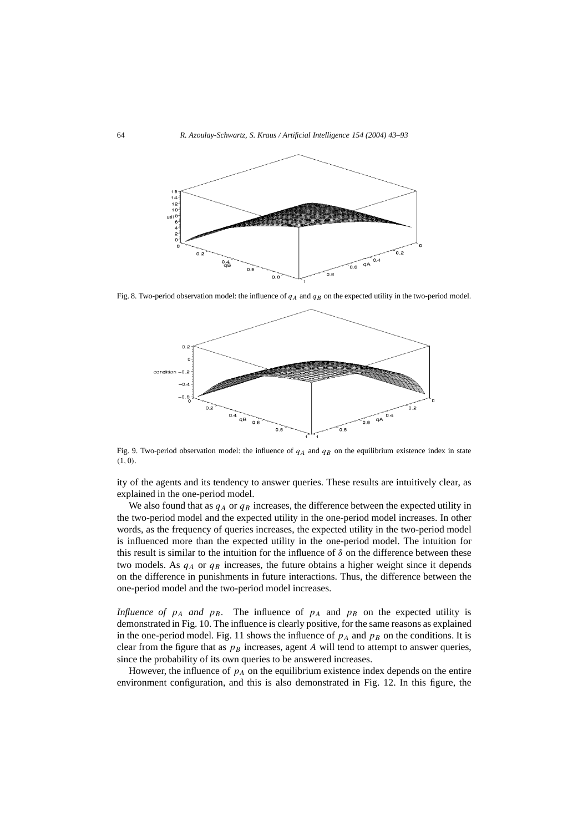![](_page_21_Figure_1.jpeg)

Fig. 8. Two-period observation model: the influence of  $q_A$  and  $q_B$  on the expected utility in the two-period model.

![](_page_21_Figure_3.jpeg)

Fig. 9. Two-period observation model: the influence of  $q_A$  and  $q_B$  on the equilibrium existence index in state *(*1*,* 0*)*.

ity of the agents and its tendency to answer queries. These results are intuitively clear, as explained in the one-period model.

We also found that as  $q_A$  or  $q_B$  increases, the difference between the expected utility in the two-period model and the expected utility in the one-period model increases. In other words, as the frequency of queries increases, the expected utility in the two-period model is influenced more than the expected utility in the one-period model. The intuition for this result is similar to the intuition for the influence of  $\delta$  on the difference between these two models. As  $q_A$  or  $q_B$  increases, the future obtains a higher weight since it depends on the difference in punishments in future interactions. Thus, the difference between the one-period model and the two-period model increases.

*Influence of*  $p_A$  *and*  $p_B$ . The influence of  $p_A$  and  $p_B$  on the expected utility is demonstrated in Fig. 10. The influence is clearly positive, for the same reasons as explained in the one-period model. Fig. 11 shows the influence of  $p_A$  and  $p_B$  on the conditions. It is clear from the figure that as  $p_B$  increases, agent A will tend to attempt to answer queries, since the probability of its own queries to be answered increases.

However, the influence of  $p_A$  on the equilibrium existence index depends on the entire environment configuration, and this is also demonstrated in Fig. 12. In this figure, the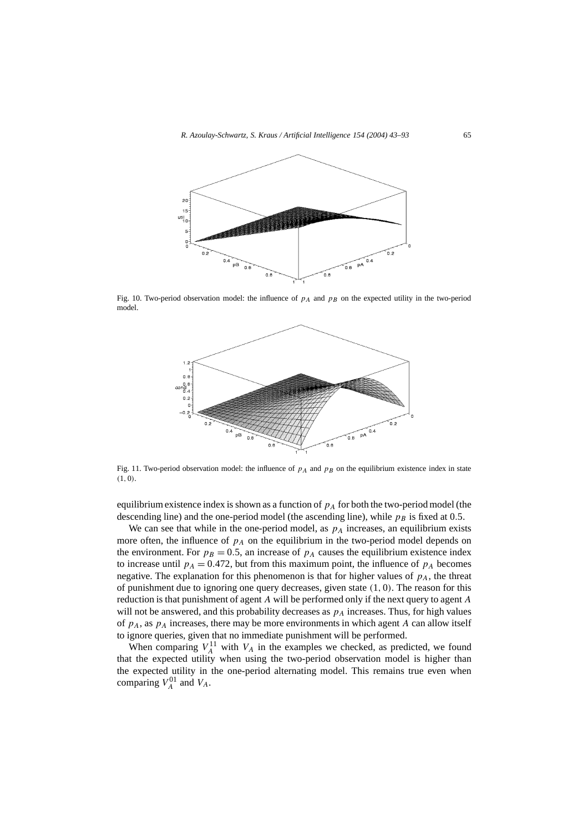![](_page_22_Figure_1.jpeg)

Fig. 10. Two-period observation model: the influence of  $p_A$  and  $p_B$  on the expected utility in the two-period model.

![](_page_22_Figure_3.jpeg)

Fig. 11. Two-period observation model: the influence of  $p_A$  and  $p_B$  on the equilibrium existence index in state *(*1*,* 0*)*.

equilibrium existence index is shown as a function of  $p_A$  for both the two-period model (the descending line) and the one-period model (the ascending line), while  $p_B$  is fixed at 0.5.

We can see that while in the one-period model, as  $p_A$  increases, an equilibrium exists more often, the influence of  $p_A$  on the equilibrium in the two-period model depends on the environment. For  $p_B = 0.5$ , an increase of  $p_A$  causes the equilibrium existence index to increase until  $p_A = 0.472$ , but from this maximum point, the influence of  $p_A$  becomes negative. The explanation for this phenomenon is that for higher values of  $p_A$ , the threat of punishment due to ignoring one query decreases, given state *(*1*,* 0*)*. The reason for this reduction is that punishment of agent *A* will be performed only if the next query to agent *A* will not be answered, and this probability decreases as  $p_A$  increases. Thus, for high values of *pA*, as *pA* increases, there may be more environments in which agent *A* can allow itself to ignore queries, given that no immediate punishment will be performed.

When comparing  $V_A^{11}$  with  $V_A$  in the examples we checked, as predicted, we found that the expected utility when using the two-period observation model is higher than the expected utility in the one-period alternating model. This remains true even when comparing  $V_A^{01}$  and  $V_A$ .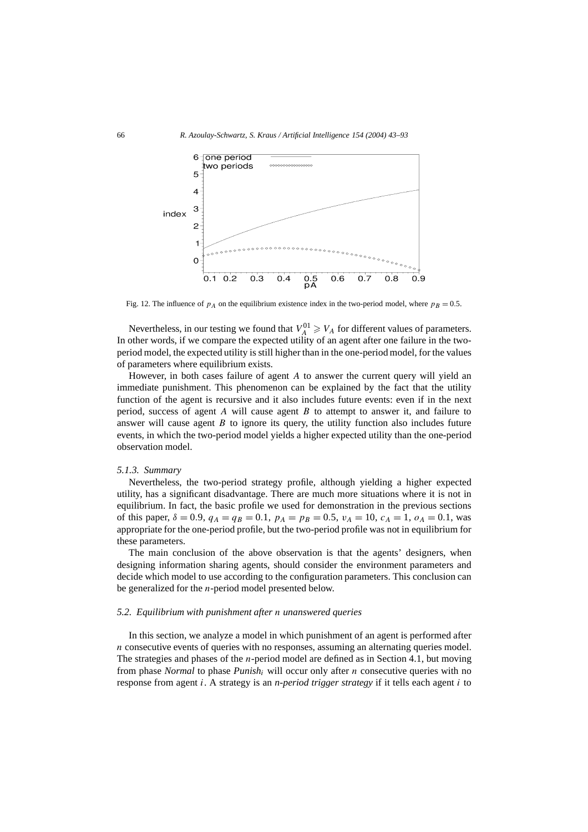![](_page_23_Figure_1.jpeg)

Fig. 12. The influence of  $p_A$  on the equilibrium existence index in the two-period model, where  $p_B = 0.5$ .

Nevertheless, in our testing we found that  $V_A^{01} \ge V_A$  for different values of parameters. In other words, if we compare the expected utility of an agent after one failure in the twoperiod model, the expected utility is still higher than in the one-period model, for the values of parameters where equilibrium exists.

However, in both cases failure of agent *A* to answer the current query will yield an immediate punishment. This phenomenon can be explained by the fact that the utility function of the agent is recursive and it also includes future events: even if in the next period, success of agent *A* will cause agent *B* to attempt to answer it, and failure to answer will cause agent  $B$  to ignore its query, the utility function also includes future events, in which the two-period model yields a higher expected utility than the one-period observation model.

#### *5.1.3. Summary*

Nevertheless, the two-period strategy profile, although yielding a higher expected utility, has a significant disadvantage. There are much more situations where it is not in equilibrium. In fact, the basic profile we used for demonstration in the previous sections of this paper,  $\delta = 0.9$ ,  $q_A = q_B = 0.1$ ,  $p_A = p_B = 0.5$ ,  $v_A = 10$ ,  $c_A = 1$ ,  $o_A = 0.1$ , was appropriate for the one-period profile, but the two-period profile was not in equilibrium for these parameters.

The main conclusion of the above observation is that the agents' designers, when designing information sharing agents, should consider the environment parameters and decide which model to use according to the configuration parameters. This conclusion can be generalized for the *n*-period model presented below.

#### *5.2. Equilibrium with punishment after n unanswered queries*

In this section, we analyze a model in which punishment of an agent is performed after *n* consecutive events of queries with no responses, assuming an alternating queries model. The strategies and phases of the *n*-period model are defined as in Section 4.1, but moving from phase *Normal* to phase *Punish<sup>i</sup>* will occur only after *n* consecutive queries with no response from agent *i*. A strategy is an *n-period trigger strategy* if it tells each agent *i* to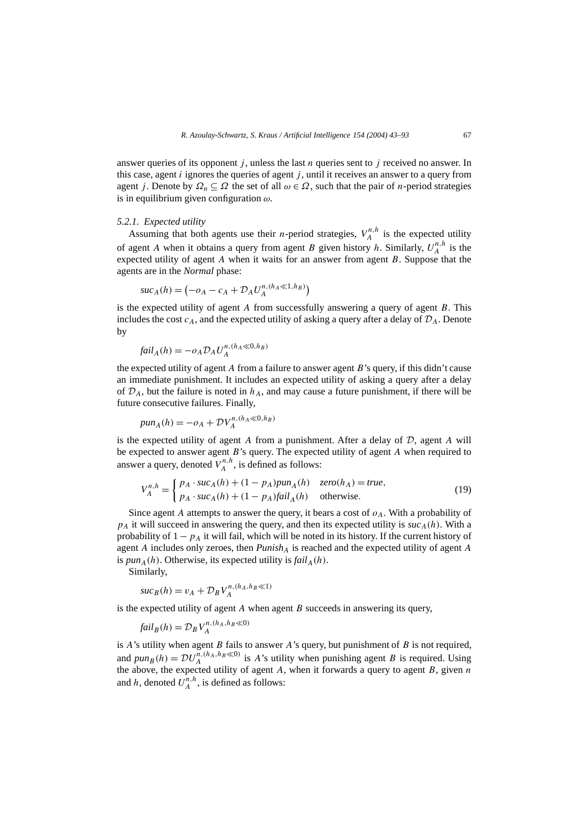answer queries of its opponent *j* , unless the last *n* queries sent to *j* received no answer. In this case, agent *i* ignores the queries of agent *j* , until it receives an answer to a query from agent *j*. Denote by  $\Omega_n \subseteq \Omega$  the set of all  $\omega \in \Omega$ , such that the pair of *n*-period strategies is in equilibrium given configuration *ω*.

# *5.2.1. Expected utility*

Assuming that both agents use their *n*-period strategies,  $V_A^{n,h}$  is the expected utility of agent *A* when it obtains a query from agent *B* given history *h*. Similarly,  $U_A^{n,h}$  is the expected utility of agent *A* when it waits for an answer from agent *B*. Suppose that the agents are in the *Normal* phase:

$$
suc_A(h) = \left(-o_A - c_A + \mathcal{D}_A U_A^{n,(h_A \ll 1,h_B)}\right)
$$

is the expected utility of agent *A* from successfully answering a query of agent *B*. This includes the cost  $c_A$ , and the expected utility of asking a query after a delay of  $\mathcal{D}_A$ . Denote by

$$
fail_A(h) = -o_A \mathcal{D}_A U_A^{n,(h_A \ll 0,h_B)}
$$

the expected utility of agent *A* from a failure to answer agent *B*'s query, if this didn't cause an immediate punishment. It includes an expected utility of asking a query after a delay of  $\mathcal{D}_A$ , but the failure is noted in  $h_A$ , and may cause a future punishment, if there will be future consecutive failures. Finally,

$$
pun_A(h) = -o_A + \mathcal{D}V_A^{n,(h_A \ll 0,h_B)}
$$

is the expected utility of agent *A* from a punishment. After a delay of D, agent *A* will be expected to answer agent *B*'s query. The expected utility of agent *A* when required to answer a query, denoted  $V_A^{n,h}$ , is defined as follows:

$$
V_A^{n,h} = \begin{cases} p_A \cdot \textit{succ}_A(h) + (1 - p_A) \textit{pun}_A(h) & \textit{zero}(h_A) = \textit{true}, \\ p_A \cdot \textit{succ}_A(h) + (1 - p_A) \textit{fail}_A(h) & \text{otherwise.} \end{cases} \tag{19}
$$

Since agent  $A$  attempts to answer the query, it bears a cost of  $o_A$ . With a probability of  $p_A$  it will succeed in answering the query, and then its expected utility is  $suc_A(h)$ . With a probability of  $1 - p_A$  it will fail, which will be noted in its history. If the current history of agent *A* includes only zeroes, then *Punish<sup>A</sup>* is reached and the expected utility of agent *A* is  $pun_A(h)$ . Otherwise, its expected utility is  $fail_A(h)$ .

Similarly,

$$
suc_B(h) = v_A + \mathcal{D}_B V_A^{n,(h_A,h_B \ll 1)}
$$

is the expected utility of agent *A* when agent *B* succeeds in answering its query,

$$
fail_B(h) = \mathcal{D}_B V_A^{n,(h_A,h_B \ll 0)}
$$

is *A*'s utility when agent *B* fails to answer *A*'s query, but punishment of *B* is not required, and  $pun_B(h) = \mathcal{D}U_A^{n,(h_A,h_B \ll 0)}$  is A's utility when punishing agent *B* is required. Using the above, the expected utility of agent *A*, when it forwards a query to agent *B*, given *n* and *h*, denoted  $U_A^{n,h}$ , is defined as follows: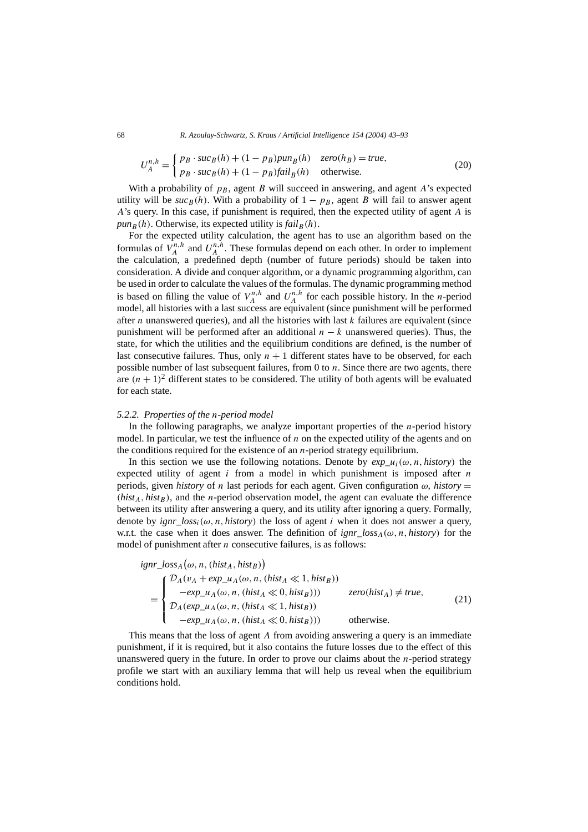68 *R. Azoulay-Schwartz, S. Kraus / Artificial Intelligence 154 (2004) 43–93*

$$
U_A^{n,h} = \begin{cases} p_B \cdot \textit{succ}_B(h) + (1 - p_B) \textit{pun}_B(h) & \textit{zero}(h_B) = \textit{true}, \\ p_B \cdot \textit{succ}_B(h) + (1 - p_B) \textit{fail}_B(h) & \text{otherwise.} \end{cases} \tag{20}
$$

With a probability of  $p_B$ , agent *B* will succeed in answering, and agent *A*'s expected utility will be  $suc_B(h)$ . With a probability of  $1 - p_B$ , agent *B* will fail to answer agent *A*'s query. In this case, if punishment is required, then the expected utility of agent *A* is  $pun<sub>B</sub>(h)$ . Otherwise, its expected utility is *fail*<sub>*B*</sub>(*h*).

For the expected utility calculation, the agent has to use an algorithm based on the formulas of  $V_A^{n,h}$  and  $U_A^{n,h}$ . These formulas depend on each other. In order to implement the calculation, a predefined depth (number of future periods) should be taken into consideration. A divide and conquer algorithm, or a dynamic programming algorithm, can be used in order to calculate the values of the formulas. The dynamic programming method is based on filling the value of  $V_A^{n,h}$  and  $U_A^{n,h}$  for each possible history. In the *n*-period model, all histories with a last success are equivalent (since punishment will be performed after *n* unanswered queries), and all the histories with last *k* failures are equivalent (since punishment will be performed after an additional  $n - k$  unanswered queries). Thus, the state, for which the utilities and the equilibrium conditions are defined, is the number of last consecutive failures. Thus, only  $n + 1$  different states have to be observed, for each possible number of last subsequent failures, from 0 to *n*. Since there are two agents, there are  $(n + 1)^2$  different states to be considered. The utility of both agents will be evaluated for each state.

#### *5.2.2. Properties of the n-period model*

In the following paragraphs, we analyze important properties of the *n*-period history model. In particular, we test the influence of *n* on the expected utility of the agents and on the conditions required for the existence of an *n*-period strategy equilibrium.

In this section we use the following notations. Denote by  $exp_\mu(i\omega, n, history)$  the expected utility of agent *i* from a model in which punishment is imposed after *n* periods, given *history* of *n* last periods for each agent. Given configuration  $\omega$ , *history* =  $(hist_A, hist_B)$ , and the *n*-period observation model, the agent can evaluate the difference between its utility after answering a query, and its utility after ignoring a query. Formally, denote by *ignr*\_*loss<sub>i</sub>*( $\omega$ , *n*, *history*) the loss of agent *i* when it does not answer a query, w.r.t. the case when it does answer. The definition of  $ignr_loss_A(\omega, n, history)$  for the model of punishment after *n* consecutive failures, is as follows:

$$
\begin{aligned}\n\operatorname{ignr}\_\text{loss} & A(\omega, n, (\text{hist}_A, \text{hist}_B)) \\
&= \begin{cases}\n\mathcal{D}_A(v_A + \exp_\text{u}_A(\omega, n, (\text{hist}_A \ll 1, \text{hist}_B)) \\
-\exp_\text{u}_A(\omega, n, (\text{hist}_A \ll 0, \text{hist}_B))) & \text{zero}(\text{hist}_A) \neq \text{true}, \\
\mathcal{D}_A(\exp_\text{u}_A(\omega, n, (\text{hist}_A \ll 1, \text{hist}_B))) & \text{otherwise.} \\
-\exp_\text{u}_A(\omega, n, (\text{hist}_A \ll 0, \text{hist}_B))) & \text{otherwise.}\n\end{cases}\n\end{aligned} \tag{21}
$$

This means that the loss of agent *A* from avoiding answering a query is an immediate punishment, if it is required, but it also contains the future losses due to the effect of this unanswered query in the future. In order to prove our claims about the *n*-period strategy profile we start with an auxiliary lemma that will help us reveal when the equilibrium conditions hold.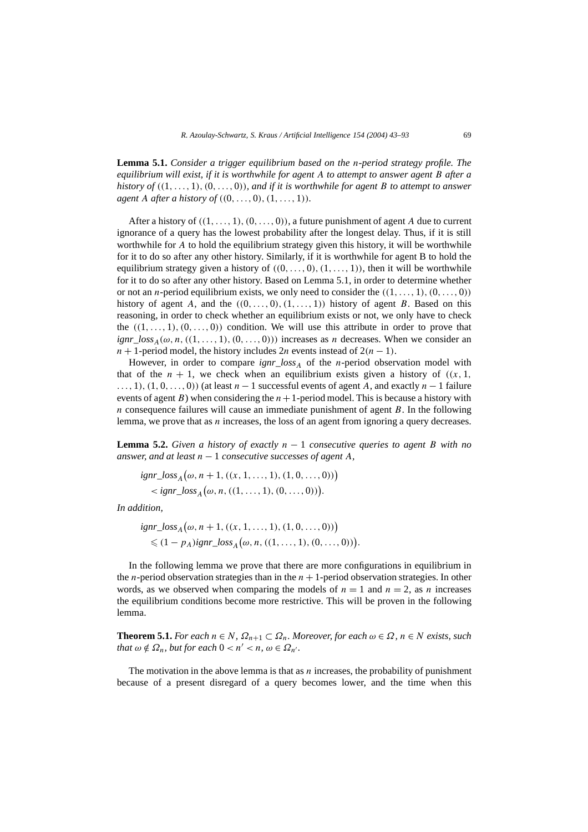**Lemma 5.1.** *Consider a trigger equilibrium based on the n-period strategy profile. The equilibrium will exist, if it is worthwhile for agent A to attempt to answer agent B after a history of ((*1*,...,* 1*), (*0*,...,* 0*)), and if it is worthwhile for agent B to attempt to answer agent A after a history of ((*0*,...,* 0*), (*1*,...,* 1*)).*

After a history of *((*1*,...,* 1*), (*0*,...,* 0*))*, a future punishment of agent *A* due to current ignorance of a query has the lowest probability after the longest delay. Thus, if it is still worthwhile for *A* to hold the equilibrium strategy given this history, it will be worthwhile for it to do so after any other history. Similarly, if it is worthwhile for agent B to hold the equilibrium strategy given a history of  $((0, \ldots, 0), (1, \ldots, 1))$ , then it will be worthwhile for it to do so after any other history. Based on Lemma 5.1, in order to determine whether or not an *n*-period equilibrium exists, we only need to consider the  $((1, \ldots, 1), (0, \ldots, 0))$ history of agent A, and the  $((0, \ldots, 0), (1, \ldots, 1))$  history of agent B. Based on this reasoning, in order to check whether an equilibrium exists or not, we only have to check the  $((1, \ldots, 1), (0, \ldots, 0))$  condition. We will use this attribute in order to prove that  $ignr\_loss_A(\omega, n, ((1, \ldots, 1), (0, \ldots, 0)))$  increases as *n* decreases. When we consider an  $n + 1$ -period model, the history includes 2*n* events instead of 2*(n* − 1).

However, in order to compare *ignr*\_*loss<sup>A</sup>* of the *n*-period observation model with that of the  $n + 1$ , we check when an equilibrium exists given a history of  $((x, 1, 1, ...)$ *...,* 1*), (*1*,* 0*,...,* 0*))* (at least *n* − 1 successful events of agent *A*, and exactly *n* − 1 failure events of agent *B*) when considering the  $n + 1$ -period model. This is because a history with *n* consequence failures will cause an immediate punishment of agent *B*. In the following lemma, we prove that as *n* increases, the loss of an agent from ignoring a query decreases.

**Lemma 5.2.** *Given a history of exactly*  $n - 1$  *consecutive queries to agent B with no answer, and at least*  $n - 1$  *consecutive successes of agent A,* 

$$
\begin{aligned} \n\text{ignr}\_{\text{loss}_A}\big(\omega, n+1, ((x, 1, \dots, 1), (1, 0, \dots, 0))\big) \\ \n&< \text{ignr}\_{\text{loss}_A}\big(\omega, n, ((1, \dots, 1), (0, \dots, 0))\big). \n\end{aligned}
$$

*In addition,*

$$
\begin{aligned} \n\text{ignr}\_{\text{loss}_A}(\omega, n+1, ((x, 1, \dots, 1), (1, 0, \dots, 0))) \\ \n&\leq (1 - p_A) \text{ignr}\_{\text{loss}_A}(\omega, n, ((1, \dots, 1), (0, \dots, 0))). \n\end{aligned}
$$

In the following lemma we prove that there are more configurations in equilibrium in the *n*-period observation strategies than in the  $n + 1$ -period observation strategies. In other words, as we observed when comparing the models of  $n = 1$  and  $n = 2$ , as *n* increases the equilibrium conditions become more restrictive. This will be proven in the following lemma.

**Theorem 5.1.** *For each*  $n \in N$ *,*  $\Omega_{n+1} \subset \Omega_n$ *. Moreover, for each*  $\omega \in \Omega$ *,*  $n \in N$  *exists, such that*  $\omega \notin \Omega_n$ *, but for each*  $0 < n' < n$ *,*  $\omega \in \Omega_{n'}$ *.* 

The motivation in the above lemma is that as *n* increases, the probability of punishment because of a present disregard of a query becomes lower, and the time when this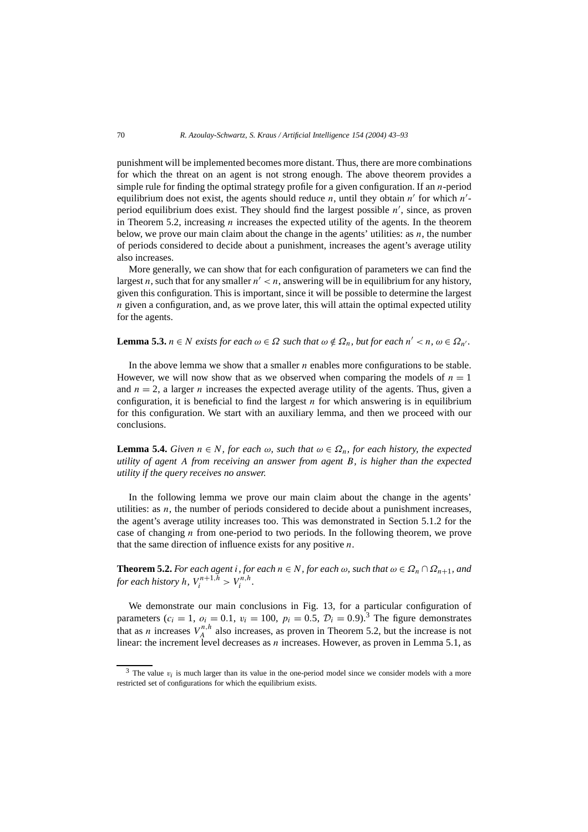punishment will be implemented becomes more distant. Thus, there are more combinations for which the threat on an agent is not strong enough. The above theorem provides a simple rule for finding the optimal strategy profile for a given configuration. If an *n*-period equilibrium does not exist, the agents should reduce *n*, until they obtain  $n'$  for which  $n'$ period equilibrium does exist. They should find the largest possible *n* , since, as proven in Theorem 5.2, increasing *n* increases the expected utility of the agents. In the theorem below, we prove our main claim about the change in the agents' utilities: as  $n$ , the number of periods considered to decide about a punishment, increases the agent's average utility also increases.

More generally, we can show that for each configuration of parameters we can find the largest *n*, such that for any smaller  $n' < n$ , answering will be in equilibrium for any history, given this configuration. This is important, since it will be possible to determine the largest *n* given a configuration, and, as we prove later, this will attain the optimal expected utility for the agents.

**Lemma 5.3.**  $n \in N$  exists for each  $\omega \in \Omega$  such that  $\omega \notin \Omega_n$ , but for each  $n' < n$ ,  $\omega \in \Omega_{n'}$ .

In the above lemma we show that a smaller *n* enables more configurations to be stable. However, we will now show that as we observed when comparing the models of  $n = 1$ and  $n = 2$ , a larger *n* increases the expected average utility of the agents. Thus, given a configuration, it is beneficial to find the largest  $n$  for which answering is in equilibrium for this configuration. We start with an auxiliary lemma, and then we proceed with our conclusions.

**Lemma 5.4.** *Given*  $n \in N$ *, for each*  $\omega$ *, such that*  $\omega \in \Omega_n$ *, for each history, the expected utility of agent A from receiving an answer from agent B, is higher than the expected utility if the query receives no answer.*

In the following lemma we prove our main claim about the change in the agents' utilities: as  $n$ , the number of periods considered to decide about a punishment increases, the agent's average utility increases too. This was demonstrated in Section 5.1.2 for the case of changing *n* from one-period to two periods. In the following theorem, we prove that the same direction of influence exists for any positive *n*.

**Theorem 5.2.** *For each agent i, for each*  $n \in N$ *, for each*  $\omega$ *, such that*  $\omega \in \Omega_n \cap \Omega_{n+1}$ *, and for each history*  $h$ *,*  $V_i^{n+1,\bar{h}} > V_i^{n,\bar{h}}$ *.* 

We demonstrate our main conclusions in Fig. 13, for a particular configuration of parameters ( $c_i = 1$ ,  $o_i = 0.1$ ,  $v_i = 100$ ,  $p_i = 0.5$ ,  $\mathcal{D}_i = 0.9$ ).<sup>3</sup> The figure demonstrates that as *n* increases  $V_A^{n,h}$  also increases, as proven in Theorem 5.2, but the increase is not linear: the increment level decreases as *n* increases. However, as proven in Lemma 5.1, as

 $3$  The value  $v_i$  is much larger than its value in the one-period model since we consider models with a more restricted set of configurations for which the equilibrium exists.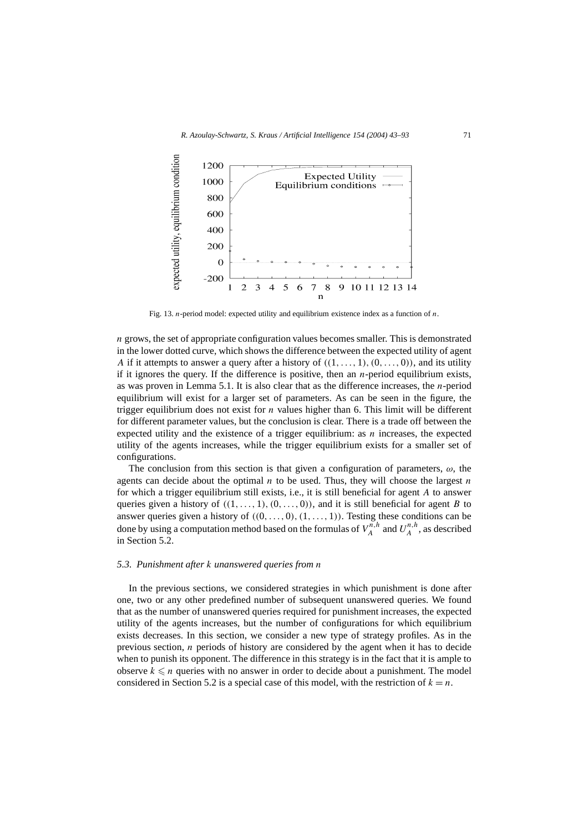![](_page_28_Figure_1.jpeg)

Fig. 13. *n*-period model: expected utility and equilibrium existence index as a function of *n*.

*n* grows, the set of appropriate configuration values becomes smaller. This is demonstrated in the lower dotted curve, which shows the difference between the expected utility of agent *A* if it attempts to answer a query after a history of  $((1, \ldots, 1), (0, \ldots, 0))$ , and its utility if it ignores the query. If the difference is positive, then an  $n$ -period equilibrium exists, as was proven in Lemma 5.1. It is also clear that as the difference increases, the *n*-period equilibrium will exist for a larger set of parameters. As can be seen in the figure, the trigger equilibrium does not exist for *n* values higher than 6. This limit will be different for different parameter values, but the conclusion is clear. There is a trade off between the expected utility and the existence of a trigger equilibrium: as *n* increases, the expected utility of the agents increases, while the trigger equilibrium exists for a smaller set of configurations.

The conclusion from this section is that given a configuration of parameters,  $\omega$ , the agents can decide about the optimal *n* to be used. Thus, they will choose the largest *n* for which a trigger equilibrium still exists, i.e., it is still beneficial for agent *A* to answer queries given a history of  $((1, \ldots, 1), (0, \ldots, 0))$ , and it is still beneficial for agent *B* to answer queries given a history of *((*0*,...,* 0*), (*1*,...,* 1*))*. Testing these conditions can be done by using a computation method based on the formulas of  $V_A^{n,h}$  and  $U_A^{n,h}$ , as described in Section 5.2.

# *5.3. Punishment after k unanswered queries from n*

In the previous sections, we considered strategies in which punishment is done after one, two or any other predefined number of subsequent unanswered queries. We found that as the number of unanswered queries required for punishment increases, the expected utility of the agents increases, but the number of configurations for which equilibrium exists decreases. In this section, we consider a new type of strategy profiles. As in the previous section, *n* periods of history are considered by the agent when it has to decide when to punish its opponent. The difference in this strategy is in the fact that it is ample to observe  $k \leq n$  queries with no answer in order to decide about a punishment. The model considered in Section 5.2 is a special case of this model, with the restriction of  $k = n$ .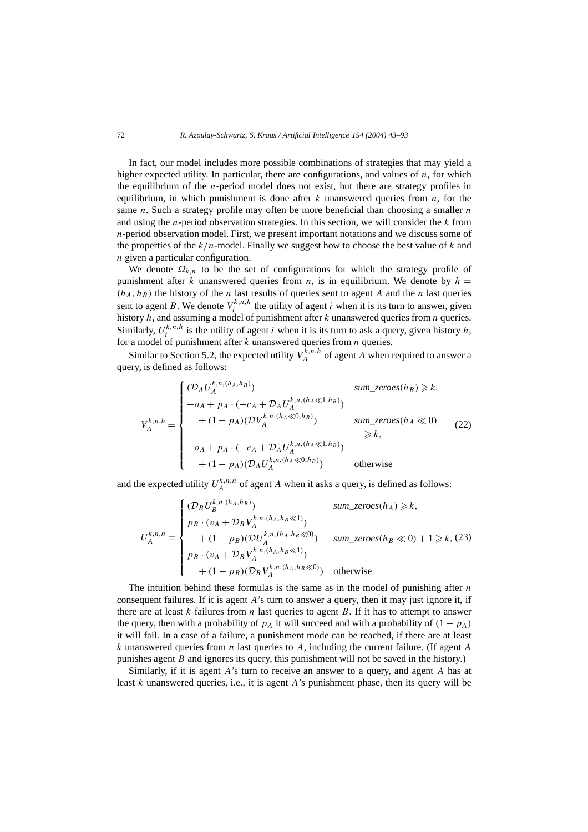In fact, our model includes more possible combinations of strategies that may yield a higher expected utility. In particular, there are configurations, and values of *n*, for which the equilibrium of the *n*-period model does not exist, but there are strategy profiles in equilibrium, in which punishment is done after *k* unanswered queries from *n*, for the same *n*. Such a strategy profile may often be more beneficial than choosing a smaller *n* and using the *n*-period observation strategies. In this section, we will consider the *k* from *n*-period observation model. First, we present important notations and we discuss some of the properties of the *k/n*-model. Finally we suggest how to choose the best value of *k* and *n* given a particular configuration.

We denote  $\Omega_{k,n}$  to be the set of configurations for which the strategy profile of punishment after *k* unanswered queries from *n*, is in equilibrium. We denote by  $h =$  $(h_A, h_B)$  the history of the *n* last results of queries sent to agent *A* and the *n* last queries sent to agent *B*. We denote  $V_i^{k,n,h}$  the utility of agent *i* when it is its turn to answer, given history *h*, and assuming a model of punishment after *k* unanswered queries from *n* queries. Similarly,  $U_i^{k,n,h}$  is the utility of agent *i* when it is its turn to ask a query, given history *h*, for a model of punishment after *k* unanswered queries from *n* queries.

Similar to Section 5.2, the expected utility  $V_A^{k,n,h}$  of agent *A* when required to answer a query, is defined as follows:

$$
V_A^{k,n,h} = \begin{cases} \n(\mathcal{D}_A U_A^{k,n,(h_A,h_B)}) & \text{sum\_zeros}(h_B) \ge k, \\ \n-o_A + p_A \cdot (-c_A + \mathcal{D}_A U_A^{k,n,(h_A \ll 1,h_B)}) & \n&\quad \text{sum\_zeros}(h_A \ll 0) \\ \n+ (1 - p_A)(\mathcal{D} V_A^{k,n,(h_A \ll 0,h_B)}) & \n&\quad \text{sum\_zeros}(h_A \ll 0) \\ \n-o_A + p_A \cdot (-c_A + \mathcal{D}_A U_A^{k,n,(h_A \ll 1,h_B)}) & \n&\quad \text{otherwise} \n\end{cases} \tag{22}
$$

and the expected utility  $U_A^{k,n,h}$  of agent *A* when it asks a query, is defined as follows:

$$
U_A^{k,n,h} = \begin{cases} \n(\mathcal{D}_B U_B^{k,n,(h_A,h_B)}) & \text{sum\_zeros}(h_A) \ge k, \\ \np_B \cdot (v_A + \mathcal{D}_B V_A^{k,n,(h_A,h_B \ll 1)}) & \text{sum\_zeros}(h_B) \ge k, \\ \n+ (1 - p_B)(\mathcal{D}U_A^{k,n,(h_A,h_B \ll 0)}) & \text{sum\_zeros}(h_B \ll 0) + 1 \ge k, \text{(23)} \\ \np_B \cdot (v_A + \mathcal{D}_B V_A^{k,n,(h_A,h_B \ll 1)}) & \text{otherwise.} \n\end{cases}
$$

The intuition behind these formulas is the same as in the model of punishing after *n* consequent failures. If it is agent *A*'s turn to answer a query, then it may just ignore it, if there are at least *k* failures from *n* last queries to agent *B*. If it has to attempt to answer the query, then with a probability of  $p_A$  it will succeed and with a probability of  $(1 - p_A)$ it will fail. In a case of a failure, a punishment mode can be reached, if there are at least *k* unanswered queries from *n* last queries to *A*, including the current failure. (If agent *A* punishes agent *B* and ignores its query, this punishment will not be saved in the history.)

Similarly, if it is agent *A*'s turn to receive an answer to a query, and agent *A* has at least *k* unanswered queries, i.e., it is agent *A*'s punishment phase, then its query will be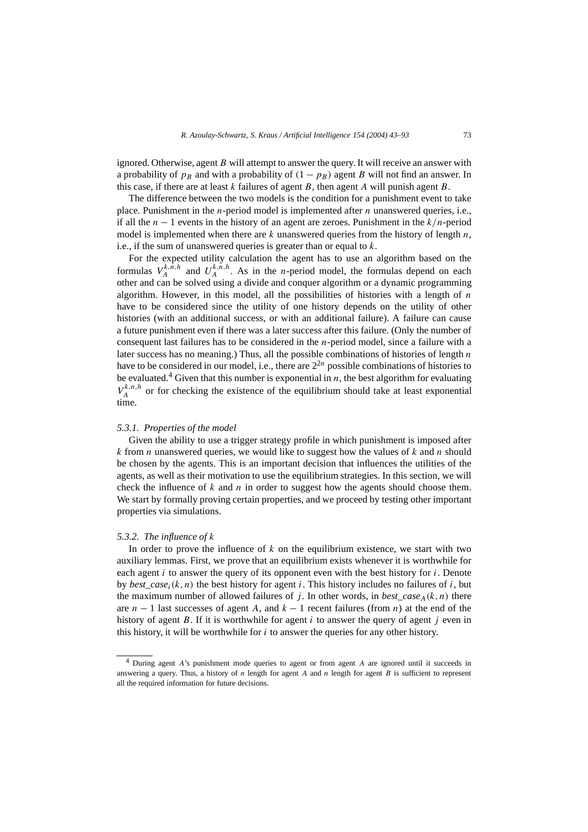ignored. Otherwise, agent *B* will attempt to answer the query. It will receive an answer with a probability of  $p_B$  and with a probability of  $(1 - p_B)$  agent *B* will not find an answer. In this case, if there are at least *k* failures of agent *B*, then agent *A* will punish agent *B*.

The difference between the two models is the condition for a punishment event to take place. Punishment in the *n*-period model is implemented after *n* unanswered queries, i.e., if all the *n* − 1 events in the history of an agent are zeroes. Punishment in the *k/n*-period model is implemented when there are *k* unanswered queries from the history of length *n*, i.e., if the sum of unanswered queries is greater than or equal to *k*.

For the expected utility calculation the agent has to use an algorithm based on the formulas  $V_A^{k,\overline{n},h}$  and  $U_A^{k,\overline{n},h}$ . As in the *n*-period model, the formulas depend on each other and can be solved using a divide and conquer algorithm or a dynamic programming algorithm. However, in this model, all the possibilities of histories with a length of *n* have to be considered since the utility of one history depends on the utility of other histories (with an additional success, or with an additional failure). A failure can cause a future punishment even if there was a later success after this failure. (Only the number of consequent last failures has to be considered in the *n*-period model, since a failure with a later success has no meaning.) Thus, all the possible combinations of histories of length *n* have to be considered in our model, i.e., there are  $2^{2n}$  possible combinations of histories to be evaluated.<sup>4</sup> Given that this number is exponential in  $n$ , the best algorithm for evaluating  $V_A^{k,n,h}$  or for checking the existence of the equilibrium should take at least exponential time.

#### *5.3.1. Properties of the model*

Given the ability to use a trigger strategy profile in which punishment is imposed after *k* from *n* unanswered queries, we would like to suggest how the values of *k* and *n* should be chosen by the agents. This is an important decision that influences the utilities of the agents, as well as their motivation to use the equilibrium strategies. In this section, we will check the influence of *k* and *n* in order to suggest how the agents should choose them. We start by formally proving certain properties, and we proceed by testing other important properties via simulations.

#### *5.3.2. The influence of k*

In order to prove the influence of *k* on the equilibrium existence, we start with two auxiliary lemmas. First, we prove that an equilibrium exists whenever it is worthwhile for each agent *i* to answer the query of its opponent even with the best history for *i*. Denote by *best*<sub>c</sub> $\cos(i(k, n))$  the best history for agent *i*. This history includes no failures of *i*, but the maximum number of allowed failures of *j*. In other words, in *best\_case*<sub>*A*</sub>( $k, n$ ) there are *n* − 1 last successes of agent *A*, and *k* − 1 recent failures (from *n*) at the end of the history of agent *B*. If it is worthwhile for agent *i* to answer the query of agent *j* even in this history, it will be worthwhile for *i* to answer the queries for any other history.

<sup>4</sup> During agent *A*'s punishment mode queries to agent or from agent *A* are ignored until it succeeds in answering a query. Thus, a history of  $n$  length for agent  $A$  and  $n$  length for agent  $B$  is sufficient to represent all the required information for future decisions.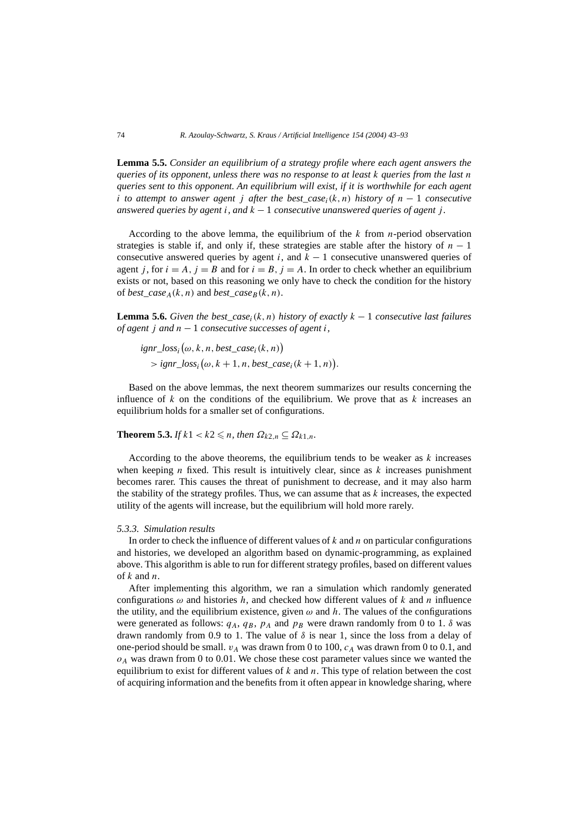**Lemma 5.5.** *Consider an equilibrium of a strategy profile where each agent answers the queries of its opponent, unless there was no response to at least k queries from the last n queries sent to this opponent. An equilibrium will exist, if it is worthwhile for each agent i to attempt to answer agent j after the best\_case*<sub>*i*</sub>( $k, n$ ) *history of*  $n - 1$  *consecutive answered queries by agent i, and k* − 1 *consecutive unanswered queries of agent j .*

According to the above lemma, the equilibrium of the *k* from *n*-period observation strategies is stable if, and only if, these strategies are stable after the history of  $n-1$ consecutive answered queries by agent *i*, and  $k - 1$  consecutive unanswered queries of agent *j*, for  $i = A$ ,  $j = B$  and for  $i = B$ ,  $j = A$ . In order to check whether an equilibrium exists or not, based on this reasoning we only have to check the condition for the history of *best\_case* $_A(k, n)$  and *best\_case* $_B(k, n)$ .

**Lemma 5.6.** *Given the best*  $case<sub>i</sub>(k, n)$  *history of exactly*  $k - 1$  *consecutive last failures of agent j and n* − 1 *consecutive successes of agent i,*

$$
\begin{aligned} \n\text{ignr\_loss}_i(\omega, k, n, \text{best\_case}_i(k, n)) \\ \n> \text{ignr\_loss}_i(\omega, k+1, n, \text{best\_case}_i(k+1, n)). \n\end{aligned}
$$

Based on the above lemmas, the next theorem summarizes our results concerning the influence of  $k$  on the conditions of the equilibrium. We prove that as  $k$  increases an equilibrium holds for a smaller set of configurations.

**Theorem 5.3.** *If*  $k1 < k2 \le n$ , then  $\Omega_{k2,n} \subseteq \Omega_{k1,n}$ .

According to the above theorems, the equilibrium tends to be weaker as  $k$  increases when keeping  $n$  fixed. This result is intuitively clear, since as  $k$  increases punishment becomes rarer. This causes the threat of punishment to decrease, and it may also harm the stability of the strategy profiles. Thus, we can assume that as *k* increases, the expected utility of the agents will increase, but the equilibrium will hold more rarely.

#### *5.3.3. Simulation results*

In order to check the influence of different values of *k* and *n* on particular configurations and histories, we developed an algorithm based on dynamic-programming, as explained above. This algorithm is able to run for different strategy profiles, based on different values of *k* and *n*.

After implementing this algorithm, we ran a simulation which randomly generated configurations  $\omega$  and histories  $h$ , and checked how different values of  $k$  and  $n$  influence the utility, and the equilibrium existence, given  $\omega$  and  $h$ . The values of the configurations were generated as follows:  $q_A$ ,  $q_B$ ,  $p_A$  and  $p_B$  were drawn randomly from 0 to 1.  $\delta$  was drawn randomly from 0.9 to 1. The value of  $\delta$  is near 1, since the loss from a delay of one-period should be small.  $v_A$  was drawn from 0 to 100,  $c_A$  was drawn from 0 to 0.1, and  $o<sub>A</sub>$  was drawn from 0 to 0.01. We chose these cost parameter values since we wanted the equilibrium to exist for different values of *k* and *n*. This type of relation between the cost of acquiring information and the benefits from it often appear in knowledge sharing, where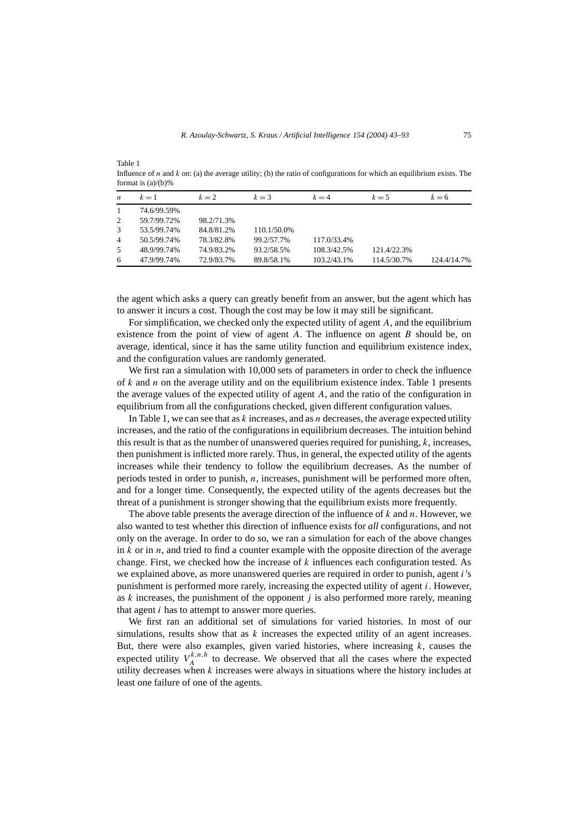| $\boldsymbol{n}$ | $k=1$       | $k=2$      | $k=3$       | $k = 4$     | $k=5$       | $k=6$       |
|------------------|-------------|------------|-------------|-------------|-------------|-------------|
|                  | 74.6/99.59% |            |             |             |             |             |
| 2                | 59.7/99.72% | 98.2/71.3% |             |             |             |             |
| 3                | 53.5/99.74% | 84.8/81.2% | 110.1/50.0% |             |             |             |
| $\overline{4}$   | 50.5/99.74% | 78.3/82.8% | 99.2/57.7%  | 117.0/33.4% |             |             |
|                  | 48.9/99.74% | 74.9/83.2% | 93.2/58.5%  | 108.3/42.5% | 121.4/22.3% |             |
| 6                | 47.9/99.74% | 72.9/83.7% | 89.8/58.1%  | 103.2/43.1% | 114.5/30.7% | 124.4/14.7% |

Influence of *n* and *k* on: (a) the average utility; (b) the ratio of configurations for which an equilibrium exists. The format is (a)/(b)%

Table 1

the agent which asks a query can greatly benefit from an answer, but the agent which has to answer it incurs a cost. Though the cost may be low it may still be significant.

For simplification, we checked only the expected utility of agent *A*, and the equilibrium existence from the point of view of agent *A*. The influence on agent *B* should be, on average, identical, since it has the same utility function and equilibrium existence index, and the configuration values are randomly generated.

We first ran a simulation with 10,000 sets of parameters in order to check the influence of *k* and *n* on the average utility and on the equilibrium existence index. Table 1 presents the average values of the expected utility of agent *A*, and the ratio of the configuration in equilibrium from all the configurations checked, given different configuration values.

In Table 1, we can see that as *k* increases, and as *n* decreases, the average expected utility increases, and the ratio of the configurations in equilibrium decreases. The intuition behind this result is that as the number of unanswered queries required for punishing,  $k$ , increases, then punishment is inflicted more rarely. Thus, in general, the expected utility of the agents increases while their tendency to follow the equilibrium decreases. As the number of periods tested in order to punish, *n*, increases, punishment will be performed more often, and for a longer time. Consequently, the expected utility of the agents decreases but the threat of a punishment is stronger showing that the equilibrium exists more frequently.

The above table presents the average direction of the influence of *k* and *n*. However, we also wanted to test whether this direction of influence exists for *all* configurations, and not only on the average. In order to do so, we ran a simulation for each of the above changes in  $k$  or in  $n$ , and tried to find a counter example with the opposite direction of the average change. First, we checked how the increase of *k* influences each configuration tested. As we explained above, as more unanswered queries are required in order to punish, agent *i*'s punishment is performed more rarely, increasing the expected utility of agent *i*. However, as *k* increases, the punishment of the opponent *j* is also performed more rarely, meaning that agent *i* has to attempt to answer more queries.

We first ran an additional set of simulations for varied histories. In most of our simulations, results show that as *k* increases the expected utility of an agent increases. But, there were also examples, given varied histories, where increasing *k*, causes the expected utility  $V_A^{k,n,h}$  to decrease. We observed that all the cases where the expected utility decreases when *k* increases were always in situations where the history includes at least one failure of one of the agents.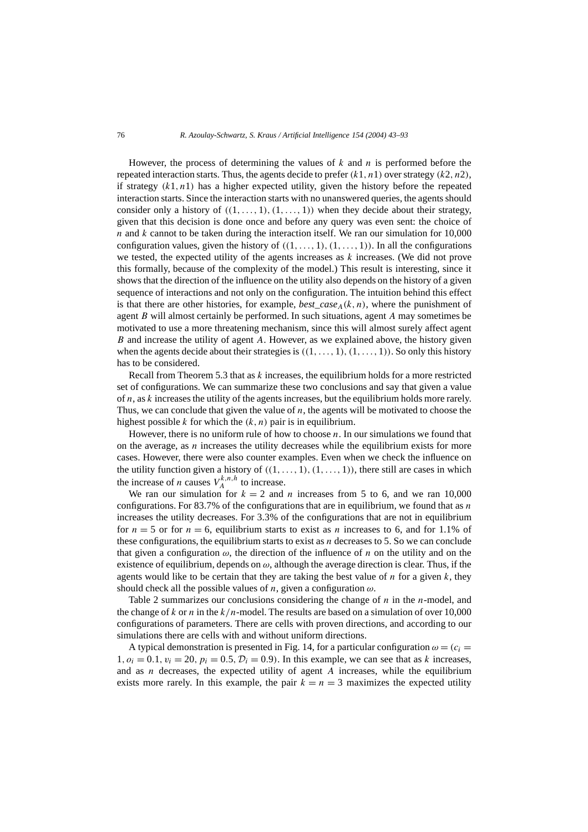However, the process of determining the values of *k* and *n* is performed before the repeated interaction starts. Thus, the agents decide to prefer  $(k1, n1)$  over strategy  $(k2, n2)$ , if strategy  $(k1, n1)$  has a higher expected utility, given the history before the repeated interaction starts. Since the interaction starts with no unanswered queries, the agents should consider only a history of  $((1, \ldots, 1), (1, \ldots, 1))$  when they decide about their strategy, given that this decision is done once and before any query was even sent: the choice of *n* and *k* cannot to be taken during the interaction itself. We ran our simulation for 10,000 configuration values, given the history of  $((1, \ldots, 1), (1, \ldots, 1))$ . In all the configurations we tested, the expected utility of the agents increases as *k* increases. (We did not prove this formally, because of the complexity of the model.) This result is interesting, since it shows that the direction of the influence on the utility also depends on the history of a given sequence of interactions and not only on the configuration. The intuition behind this effect is that there are other histories, for example, *best* case  $_A(k, n)$ , where the punishment of agent *B* will almost certainly be performed. In such situations, agent *A* may sometimes be motivated to use a more threatening mechanism, since this will almost surely affect agent *B* and increase the utility of agent *A*. However, as we explained above, the history given when the agents decide about their strategies is *((*1*,...,* 1*), (*1*,...,* 1*))*. So only this history has to be considered.

Recall from Theorem 5.3 that as *k* increases, the equilibrium holds for a more restricted set of configurations. We can summarize these two conclusions and say that given a value of *n*, as *k* increases the utility of the agents increases, but the equilibrium holds more rarely. Thus, we can conclude that given the value of *n*, the agents will be motivated to choose the highest possible  $k$  for which the  $(k, n)$  pair is in equilibrium.

However, there is no uniform rule of how to choose *n*. In our simulations we found that on the average, as *n* increases the utility decreases while the equilibrium exists for more cases. However, there were also counter examples. Even when we check the influence on the utility function given a history of  $((1, \ldots, 1), (1, \ldots, 1))$ , there still are cases in which the increase of *n* causes  $V_A^{k,n,h}$  to increase.

We ran our simulation for  $k = 2$  and *n* increases from 5 to 6, and we ran 10,000 configurations. For 83.7% of the configurations that are in equilibrium, we found that as *n* increases the utility decreases. For 3.3% of the configurations that are not in equilibrium for  $n = 5$  or for  $n = 6$ , equilibrium starts to exist as *n* increases to 6, and for 1.1% of these configurations, the equilibrium starts to exist as *n* decreases to 5. So we can conclude that given a configuration  $\omega$ , the direction of the influence of *n* on the utility and on the existence of equilibrium, depends on  $\omega$ , although the average direction is clear. Thus, if the agents would like to be certain that they are taking the best value of  $n$  for a given  $k$ , they should check all the possible values of *n*, given a configuration  $\omega$ .

Table 2 summarizes our conclusions considering the change of *n* in the *n*-model, and the change of  $k$  or  $n$  in the  $k/n$ -model. The results are based on a simulation of over 10,000 configurations of parameters. There are cells with proven directions, and according to our simulations there are cells with and without uniform directions.

A typical demonstration is presented in Fig. 14, for a particular configuration  $\omega = (c_i =$ 1*, o<sub>i</sub>* = 0.1*, v<sub>i</sub>* = 20*, p<sub>i</sub>* = 0.5*, D<sub>i</sub>* = 0.9*)*. In this example, we can see that as *k* increases, and as *n* decreases, the expected utility of agent *A* increases, while the equilibrium exists more rarely. In this example, the pair  $k = n = 3$  maximizes the expected utility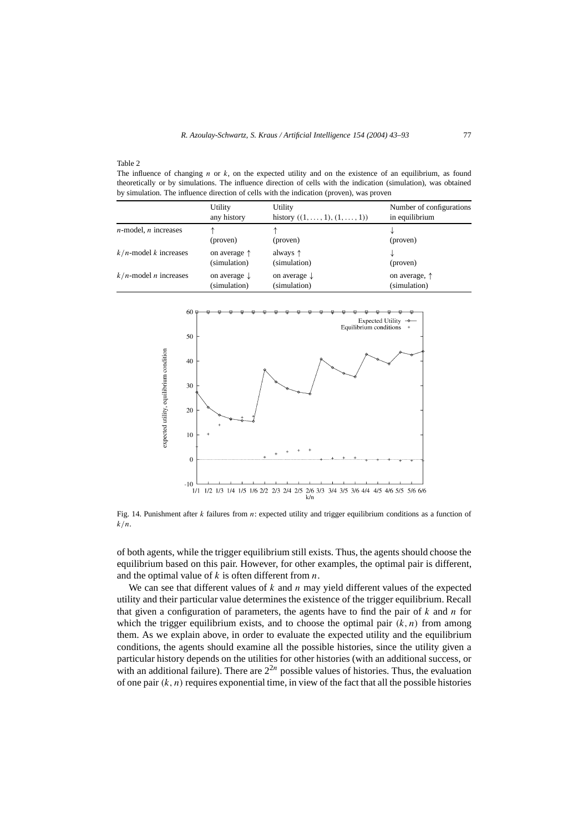|--|

The influence of changing *n* or *k*, on the expected utility and on the existence of an equilibrium, as found theoretically or by simulations. The influence direction of cells with the indication (simulation), was obtained by simulation. The influence direction of cells with the indication (proven), was proven

|                                 | Utility                               | Utility                                    | Number of configurations |
|---------------------------------|---------------------------------------|--------------------------------------------|--------------------------|
|                                 | any history                           | history $((1, \ldots, 1), (1, \ldots, 1))$ | in equilibrium           |
| $n$ -model, $n$ increases       | (proven)                              | (proven)                                   | (proven)                 |
| $k/n$ -model k increases        | on average $\uparrow$<br>(simulation) | always $\uparrow$<br>(simulation)          | (proven)                 |
| $k/n$ -model <i>n</i> increases | on average $\downarrow$               | on average $\downarrow$                    | on average, $\uparrow$   |
|                                 | (simulation)                          | (simulation)                               | (simulation)             |

![](_page_34_Figure_4.jpeg)

Fig. 14. Punishment after *k* failures from *n*: expected utility and trigger equilibrium conditions as a function of *k/n*.

of both agents, while the trigger equilibrium still exists. Thus, the agents should choose the equilibrium based on this pair. However, for other examples, the optimal pair is different, and the optimal value of *k* is often different from *n*.

We can see that different values of *k* and *n* may yield different values of the expected utility and their particular value determines the existence of the trigger equilibrium. Recall that given a configuration of parameters, the agents have to find the pair of *k* and *n* for which the trigger equilibrium exists, and to choose the optimal pair  $(k, n)$  from among them. As we explain above, in order to evaluate the expected utility and the equilibrium conditions, the agents should examine all the possible histories, since the utility given a particular history depends on the utilities for other histories (with an additional success, or with an additional failure). There are  $2^{2n}$  possible values of histories. Thus, the evaluation of one pair  $(k, n)$  requires exponential time, in view of the fact that all the possible histories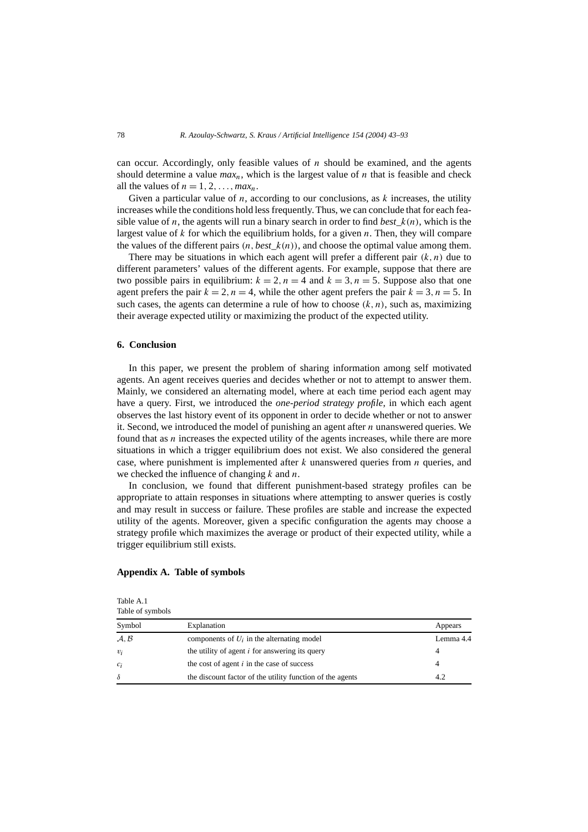can occur. Accordingly, only feasible values of *n* should be examined, and the agents should determine a value *maxn*, which is the largest value of *n* that is feasible and check all the values of  $n = 1, 2, \ldots, max_n$ .

Given a particular value of *n*, according to our conclusions, as *k* increases, the utility increases while the conditions hold less frequently. Thus, we can conclude that for each feasible value of *n*, the agents will run a binary search in order to find *best* $_k(n)$ , which is the largest value of *k* for which the equilibrium holds, for a given *n*. Then, they will compare the values of the different pairs  $(n, best \; k(n))$ , and choose the optimal value among them.

There may be situations in which each agent will prefer a different pair  $(k, n)$  due to different parameters' values of the different agents. For example, suppose that there are two possible pairs in equilibrium:  $k = 2$ ,  $n = 4$  and  $k = 3$ ,  $n = 5$ . Suppose also that one agent prefers the pair  $k = 2$ ,  $n = 4$ , while the other agent prefers the pair  $k = 3$ ,  $n = 5$ . In such cases, the agents can determine a rule of how to choose  $(k, n)$ , such as, maximizing their average expected utility or maximizing the product of the expected utility.

# **6. Conclusion**

In this paper, we present the problem of sharing information among self motivated agents. An agent receives queries and decides whether or not to attempt to answer them. Mainly, we considered an alternating model, where at each time period each agent may have a query. First, we introduced the *one-period strategy profile*, in which each agent observes the last history event of its opponent in order to decide whether or not to answer it. Second, we introduced the model of punishing an agent after *n* unanswered queries. We found that as *n* increases the expected utility of the agents increases, while there are more situations in which a trigger equilibrium does not exist. We also considered the general case, where punishment is implemented after *k* unanswered queries from *n* queries, and we checked the influence of changing *k* and *n*.

In conclusion, we found that different punishment-based strategy profiles can be appropriate to attain responses in situations where attempting to answer queries is costly and may result in success or failure. These profiles are stable and increase the expected utility of the agents. Moreover, given a specific configuration the agents may choose a strategy profile which maximizes the average or product of their expected utility, while a trigger equilibrium still exists.

# **Appendix A. Table of symbols**

Table A.1 Table of symbols

| Symbol   | Explanation                                               | Appears   |
|----------|-----------------------------------------------------------|-----------|
| A, B     | components of $U_i$ in the alternating model              | Lemma 4.4 |
| $v_i$    | the utility of agent <i>i</i> for answering its query     |           |
| $c_i$    | the cost of agent $i$ in the case of success              |           |
| $\delta$ | the discount factor of the utility function of the agents | 4.2       |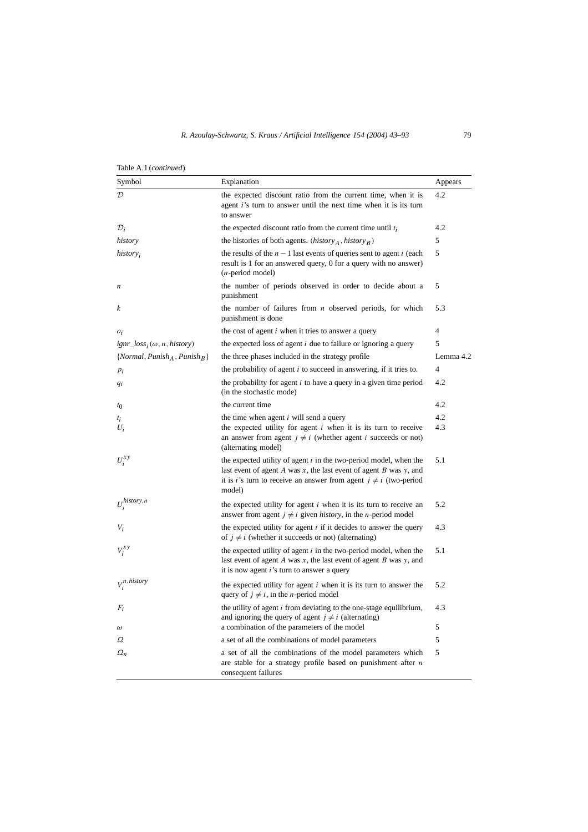|  | Table A.1 (continued) |
|--|-----------------------|
|--|-----------------------|

| Symbol                            | Explanation                                                                                                                                                                                                                                   | Appears                  |
|-----------------------------------|-----------------------------------------------------------------------------------------------------------------------------------------------------------------------------------------------------------------------------------------------|--------------------------|
| $\mathcal{D}$                     | the expected discount ratio from the current time, when it is<br>agent <i>i</i> 's turn to answer until the next time when it is its turn<br>to answer                                                                                        | 4.2                      |
| $\mathcal{D}_i$                   | the expected discount ratio from the current time until $t_i$                                                                                                                                                                                 | 4.2                      |
| history                           | the histories of both agents. ( <i>history</i> <sub>A</sub> , <i>history</i> <sub>B</sub> )                                                                                                                                                   | 5                        |
| $history_i$                       | the results of the $n-1$ last events of queries sent to agent i (each<br>result is 1 for an answered query, 0 for a query with no answer)<br>( <i>n</i> -period model)                                                                        | 5                        |
| $\boldsymbol{n}$                  | the number of periods observed in order to decide about a<br>punishment                                                                                                                                                                       | 5                        |
| k                                 | the number of failures from $n$ observed periods, for which<br>punishment is done                                                                                                                                                             | 5.3                      |
| $\mathcal{O}_i$                   | the cost of agent $i$ when it tries to answer a query                                                                                                                                                                                         | $\overline{4}$           |
| $ignr_loss_i(\omega, n, history)$ | the expected loss of agent <i>i</i> due to failure or ignoring a query                                                                                                                                                                        | 5                        |
| $\{Normal, Punish_A, Punish_B\}$  | the three phases included in the strategy profile                                                                                                                                                                                             | Lemma 4.2                |
| $p_i$                             | the probability of agent $i$ to succeed in answering, if it tries to.                                                                                                                                                                         | $\overline{\mathcal{L}}$ |
| $q_i$                             | the probability for agent $i$ to have a query in a given time period<br>(in the stochastic mode)                                                                                                                                              | 4.2                      |
| $t_{0}$                           | the current time                                                                                                                                                                                                                              | 4.2                      |
| $t_i$                             | the time when agent $i$ will send a query                                                                                                                                                                                                     | 4.2                      |
| $U_i$                             | the expected utility for agent $i$ when it is its turn to receive<br>an answer from agent $j \neq i$ (whether agent i succeeds or not)<br>(alternating model)                                                                                 | 4.3                      |
| $U_i^{xy}$                        | the expected utility of agent $i$ in the two-period model, when the<br>last event of agent $A$ was $x$ , the last event of agent $B$ was $y$ , and<br>it is <i>i</i> 's turn to receive an answer from agent $j \neq i$ (two-period<br>model) | 5.1                      |
| $U_i^{history,n}$                 | the expected utility for agent $i$ when it is its turn to receive an<br>answer from agent $j \neq i$ given <i>history</i> , in the <i>n</i> -period model                                                                                     | 5.2                      |
| $V_i$                             | the expected utility for agent $i$ if it decides to answer the query<br>of $j \neq i$ (whether it succeeds or not) (alternating)                                                                                                              | 4.3                      |
| $V_i^{xy}$                        | the expected utility of agent $i$ in the two-period model, when the<br>last event of agent $A$ was $x$ , the last event of agent $B$ was $y$ , and<br>it is now agent $i$ 's turn to answer a query                                           | 5.1                      |
| $V_i^{n, history}$                | the expected utility for agent $i$ when it is its turn to answer the<br>query of $j \neq i$ , in the <i>n</i> -period model                                                                                                                   | 5.2                      |
| $F_i$                             | the utility of agent <i>i</i> from deviating to the one-stage equilibrium,<br>and ignoring the query of agent $j \neq i$ (alternating)                                                                                                        | 4.3                      |
| $\omega$                          | a combination of the parameters of the model                                                                                                                                                                                                  | 5                        |
| Ω                                 | a set of all the combinations of model parameters                                                                                                                                                                                             | 5                        |
| $\Omega_n$                        | a set of all the combinations of the model parameters which<br>are stable for a strategy profile based on punishment after $n$<br>consequent failures                                                                                         | 5                        |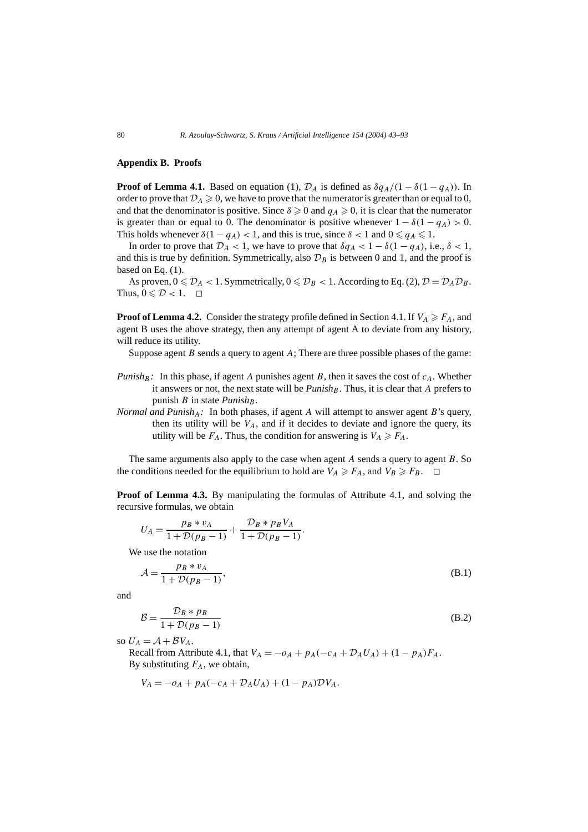#### **Appendix B. Proofs**

**Proof of Lemma 4.1.** Based on equation (1),  $\mathcal{D}_A$  is defined as  $\delta q_A/(1 - \delta(1 - q_A))$ . In order to prove that  $D_A \geq 0$ , we have to prove that the numerator is greater than or equal to 0, and that the denominator is positive. Since  $\delta \geqslant 0$  and  $q_A \geqslant 0$ , it is clear that the numerator is greater than or equal to 0. The denominator is positive whenever  $1 - \delta(1 - q_A) > 0$ . This holds whenever  $\delta(1 - q_A) < 1$ , and this is true, since  $\delta < 1$  and  $0 \le q_A \le 1$ .

In order to prove that  $D_A < 1$ , we have to prove that  $\delta q_A < 1 - \delta(1 - q_A)$ , i.e.,  $\delta < 1$ , and this is true by definition. Symmetrically, also  $\mathcal{D}_B$  is between 0 and 1, and the proof is based on Eq. (1).

As proven,  $0 \le \mathcal{D}_A < 1$ . Symmetrically,  $0 \le \mathcal{D}_B < 1$ . According to Eq. (2),  $\mathcal{D} = \mathcal{D}_A \mathcal{D}_B$ . Thus,  $0 \leq \mathcal{D} < 1$ .  $\Box$ 

**Proof of Lemma 4.2.** Consider the strategy profile defined in Section 4.1. If  $V_A \geq F_A$ , and agent B uses the above strategy, then any attempt of agent A to deviate from any history, will reduce its utility.

Suppose agent *B* sends a query to agent *A*; There are three possible phases of the game:

- *Punish<sub>B</sub>*: In this phase, if agent *A* punishes agent *B*, then it saves the cost of  $c_A$ . Whether it answers or not, the next state will be *PunishB*. Thus, it is clear that *A* prefers to punish *B* in state *PunishB*.
- *Normal and PunishA:* In both phases, if agent *A* will attempt to answer agent *B*'s query, then its utility will be  $V_A$ , and if it decides to deviate and ignore the query, its utility will be  $F_A$ . Thus, the condition for answering is  $V_A \ge F_A$ .

The same arguments also apply to the case when agent *A* sends a query to agent *B*. So the conditions needed for the equilibrium to hold are  $V_A \ge F_A$ , and  $V_B \ge F_B$ .  $\Box$ 

**Proof of Lemma 4.3.** By manipulating the formulas of Attribute 4.1, and solving the recursive formulas, we obtain

$$
U_A = \frac{p_B * v_A}{1 + \mathcal{D}(p_B - 1)} + \frac{\mathcal{D}_B * p_B V_A}{1 + \mathcal{D}(p_B - 1)}.
$$

We use the notation

$$
\mathcal{A} = \frac{p_B * v_A}{1 + \mathcal{D}(p_B - 1)},\tag{B.1}
$$

and

$$
\mathcal{B} = \frac{\mathcal{D}_B * p_B}{1 + \mathcal{D}(p_B - 1)}\tag{B.2}
$$

so  $U_A = A + BV_A$ .

Recall from Attribute 4.1, that  $V_A = -o_A + p_A(-c_A + D_A U_A) + (1 - p_A)F_A$ . By substituting  $F_A$ , we obtain,

$$
V_A = -o_A + p_A(-c_A + \mathcal{D}_A U_A) + (1 - p_A)\mathcal{D}V_A.
$$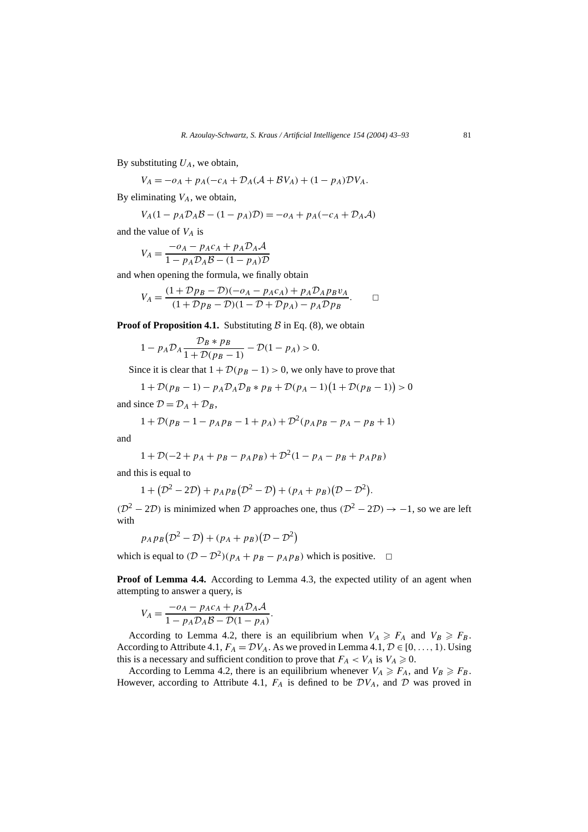By substituting *UA*, we obtain,

$$
V_A = -o_A + p_A(-c_A + \mathcal{D}_A(\mathcal{A} + \mathcal{B}V_A) + (1 - p_A)\mathcal{D}V_A).
$$

By eliminating  $V_A$ , we obtain,

$$
V_A(1 - p_A \mathcal{D}_A \mathcal{B} - (1 - p_A)\mathcal{D}) = -o_A + p_A(-c_A + \mathcal{D}_A \mathcal{A})
$$

and the value of  $V_A$  is

$$
V_A = \frac{-o_A - p_A c_A + p_A D_A A}{1 - p_A D_A B - (1 - p_A)D}
$$

and when opening the formula, we finally obtain

$$
V_A = \frac{(1 + \mathcal{D}p_B - \mathcal{D})(-\rho_A - p_A c_A) + p_A \mathcal{D}_A p_B v_A}{(1 + \mathcal{D}p_B - \mathcal{D})(1 - \mathcal{D} + \mathcal{D}p_A) - p_A \mathcal{D}p_B}.
$$

**Proof of Proposition 4.1.** Substituting  $\beta$  in Eq. (8), we obtain

$$
1 - p_A \mathcal{D}_A \frac{\mathcal{D}_B * p_B}{1 + \mathcal{D}(p_B - 1)} - \mathcal{D}(1 - p_A) > 0.
$$

Since it is clear that  $1 + \mathcal{D}(p_B - 1) > 0$ , we only have to prove that

$$
1 + \mathcal{D}(p_B - 1) - p_A \mathcal{D}_A \mathcal{D}_B * p_B + \mathcal{D}(p_A - 1)(1 + \mathcal{D}(p_B - 1)) > 0
$$

and since  $\mathcal{D} = \mathcal{D}_A + \mathcal{D}_B$ ,

$$
1 + \mathcal{D}(p_B - 1 - p_A p_B - 1 + p_A) + \mathcal{D}^2(p_A p_B - p_A - p_B + 1)
$$

and

$$
1 + \mathcal{D}(-2 + p_A + p_B - p_A p_B) + \mathcal{D}^2(1 - p_A - p_B + p_A p_B)
$$

and this is equal to

$$
1 + (D2 – 2D) + pApB(D2 – D) + (pA + pB)(D – D2).
$$

 $(D^2 - 2D)$  is minimized when D approaches one, thus  $(D^2 - 2D) \rightarrow -1$ , so we are left with

$$
p_A p_B (D^2 - D) + (p_A + p_B) (D - D^2)
$$

which is equal to  $(D - D^2)(p_A + p_B - p_A p_B)$  which is positive.  $\Box$ 

**Proof of Lemma 4.4.** According to Lemma 4.3, the expected utility of an agent when attempting to answer a query, is

$$
V_A = \frac{-o_A - p_A c_A + p_A \mathcal{D}_A \mathcal{A}}{1 - p_A \mathcal{D}_A \mathcal{B} - \mathcal{D}(1 - p_A)}.
$$

According to Lemma 4.2, there is an equilibrium when  $V_A \geq F_A$  and  $V_B \geq F_B$ . According to Attribute 4.1,  $F_A = \mathcal{D}V_A$ . As we proved in Lemma 4.1,  $\mathcal{D} \in [0, \ldots, 1)$ . Using this is a necessary and sufficient condition to prove that  $F_A < V_A$  is  $V_A \ge 0$ .

According to Lemma 4.2, there is an equilibrium whenever  $V_A \geq F_A$ , and  $V_B \geq F_B$ . However, according to Attribute 4.1,  $F_A$  is defined to be  $DV_A$ , and  $D$  was proved in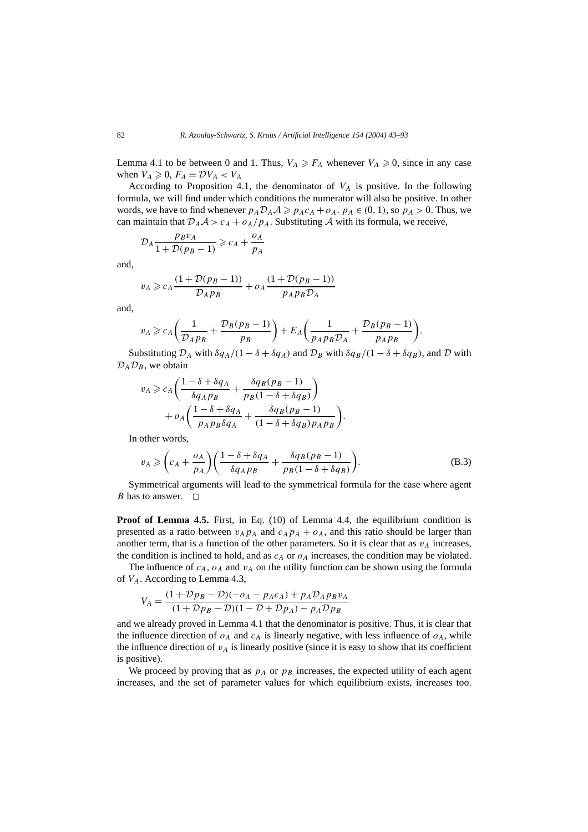Lemma 4.1 to be between 0 and 1. Thus,  $V_A \ge F_A$  whenever  $V_A \ge 0$ , since in any case when  $V_A \geq 0$ ,  $F_A = \mathcal{D}V_A < V_A$ 

According to Proposition 4.1, the denominator of  $V_A$  is positive. In the following formula, we will find under which conditions the numerator will also be positive. In other words, we have to find whenever  $p_A \mathcal{D}_A \mathcal{A} \geq p_A c_A + o_A$ .  $p_A \in (0, 1)$ , so  $p_A > 0$ . Thus, we can maintain that  $D_A A > c_A + o_A/p_A$ . Substituting A with its formula, we receive,

$$
\mathcal{D}_A \frac{p_B v_A}{1 + \mathcal{D}(p_B - 1)} \geq c_A + \frac{o_A}{p_A}
$$

and,

$$
v_A \geqslant c_A \frac{(1+\mathcal{D}(p_B-1))}{\mathcal{D}_A p_B} + o_A \frac{(1+\mathcal{D}(p_B-1))}{p_A p_B \mathcal{D}_A}
$$

and,

$$
v_A \geqslant c_A \bigg(\frac{1}{\mathcal{D}_A p_B} + \frac{\mathcal{D}_B(p_B - 1)}{p_B}\bigg) + E_A \bigg(\frac{1}{p_A p_B \mathcal{D}_A} + \frac{\mathcal{D}_B(p_B - 1)}{p_A p_B}\bigg).
$$

Substituting  $D_A$  with  $\delta q_A/(1 - \delta + \delta q_A)$  and  $D_B$  with  $\delta q_B/(1 - \delta + \delta q_B)$ , and D with  $D_A D_B$ , we obtain

$$
v_A \ge c_A \left( \frac{1 - \delta + \delta q_A}{\delta q_A p_B} + \frac{\delta q_B (p_B - 1)}{p_B (1 - \delta + \delta q_B)} \right) + o_A \left( \frac{1 - \delta + \delta q_A}{p_A p_B \delta q_A} + \frac{\delta q_B (p_B - 1)}{(1 - \delta + \delta q_B) p_A p_B} \right).
$$

In other words,

$$
v_A \geqslant \left(c_A + \frac{o_A}{p_A}\right) \left(\frac{1 - \delta + \delta q_A}{\delta q_A p_B} + \frac{\delta q_B (p_B - 1)}{p_B (1 - \delta + \delta q_B)}\right). \tag{B.3}
$$

Symmetrical arguments will lead to the symmetrical formula for the case where agent *B* has to answer.  $\Box$ 

**Proof of Lemma 4.5.** First, in Eq. (10) of Lemma 4.4, the equilibrium condition is presented as a ratio between  $v_A p_A$  and  $c_A p_A + o_A$ , and this ratio should be larger than another term, that is a function of the other parameters. So it is clear that as  $v_A$  increases, the condition is inclined to hold, and as  $c_A$  or  $o_A$  increases, the condition may be violated.

The influence of  $c_A$ ,  $o_A$  and  $v_A$  on the utility function can be shown using the formula of *VA*. According to Lemma 4.3,

$$
V_A = \frac{(1 + \mathcal{D}p_B - \mathcal{D})(-\mathcal{O}_A - p_A c_A) + p_A \mathcal{D}_A p_B v_A}{(1 + \mathcal{D}p_B - \mathcal{D})(1 - \mathcal{D} + \mathcal{D}p_A) - p_A \mathcal{D}p_B}
$$

and we already proved in Lemma 4.1 that the denominator is positive. Thus, it is clear that the influence direction of  $o_A$  and  $c_A$  is linearly negative, with less influence of  $o_A$ , while the influence direction of  $v_A$  is linearly positive (since it is easy to show that its coefficient is positive).

We proceed by proving that as  $p_A$  or  $p_B$  increases, the expected utility of each agent increases, and the set of parameter values for which equilibrium exists, increases too.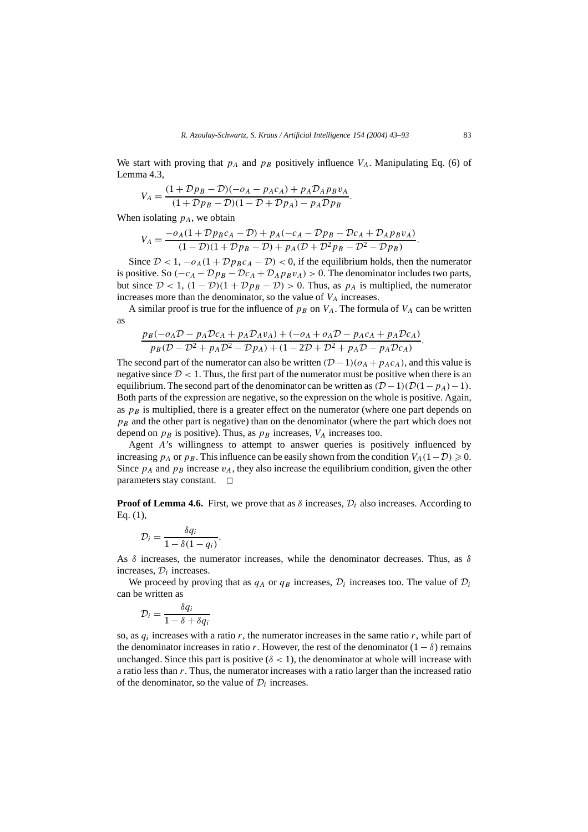We start with proving that  $p_A$  and  $p_B$  positively influence  $V_A$ . Manipulating Eq. (6) of Lemma 4.3,

$$
V_A = \frac{(1 + \mathcal{D}p_B - \mathcal{D})(-\rho_A - p_A c_A) + p_A \mathcal{D}_A p_B v_A}{(1 + \mathcal{D}p_B - \mathcal{D})(1 - \mathcal{D} + \mathcal{D}p_A) - p_A \mathcal{D}p_B}.
$$

When isolating  $p_A$ , we obtain

$$
V_A = \frac{-o_A(1 + \mathcal{D}p_Bc_A - \mathcal{D}) + p_A(-c_A - \mathcal{D}p_B - \mathcal{D}c_A + \mathcal{D}_A p_Bv_A)}{(1 - \mathcal{D})(1 + \mathcal{D}p_B - \mathcal{D}) + p_A(\mathcal{D} + \mathcal{D}^2p_B - \mathcal{D}^2 - \mathcal{D}p_B)}.
$$

Since  $D < 1$ ,  $-o<sub>A</sub>(1 + Dp<sub>B</sub>c<sub>A</sub> - D) < 0$ , if the equilibrium holds, then the numerator is positive. So  $(-c_A - Dp_B - Dc_A + D_Ap_Bv_A) > 0$ . The denominator includes two parts, but since  $\mathcal{D} < 1$ ,  $(1 - \mathcal{D})(1 + \mathcal{D}p_B - \mathcal{D}) > 0$ . Thus, as  $p_A$  is multiplied, the numerator increases more than the denominator, so the value of  $V_A$  increases.

A similar proof is true for the influence of  $p_B$  on  $V_A$ . The formula of  $V_A$  can be written as

$$
\frac{p_B(-o_A \mathcal{D} - p_A \mathcal{D}c_A + p_A \mathcal{D}_A v_A) + (-o_A + o_A \mathcal{D} - p_A c_A + p_A \mathcal{D}c_A)}{p_B(\mathcal{D} - \mathcal{D}^2 + p_A \mathcal{D}^2 - \mathcal{D}p_A) + (1 - 2\mathcal{D} + \mathcal{D}^2 + p_A \mathcal{D} - p_A \mathcal{D}c_A)}.
$$

The second part of the numerator can also be written  $(D-1)(o<sub>A</sub> + p<sub>A</sub>c<sub>A</sub>)$ , and this value is negative since  $D < 1$ . Thus, the first part of the numerator must be positive when there is an equilibrium. The second part of the denominator can be written as  $(D-1)(D(1-p_A)-1)$ . Both parts of the expression are negative, so the expression on the whole is positive. Again, as  $p_B$  is multiplied, there is a greater effect on the numerator (where one part depends on  $p<sub>B</sub>$  and the other part is negative) than on the denominator (where the part which does not depend on  $p_B$  is positive). Thus, as  $p_B$  increases,  $V_A$  increases too.

Agent *A*'s willingness to attempt to answer queries is positively influenced by increasing *p<sub>A</sub>* or *p<sub>B</sub>*. This influence can be easily shown from the condition  $V_A(1-D) \ge 0$ . Since  $p_A$  and  $p_B$  increase  $v_A$ , they also increase the equilibrium condition, given the other parameters stay constant.  $\square$ 

**Proof of Lemma 4.6.** First, we prove that as  $\delta$  increases,  $\mathcal{D}_i$  also increases. According to Eq. (1),

$$
\mathcal{D}_i = \frac{\delta q_i}{1 - \delta (1 - q_i)}.
$$

As *δ* increases, the numerator increases, while the denominator decreases. Thus, as *δ* increases, D*<sup>i</sup>* increases.

We proceed by proving that as  $q_A$  or  $q_B$  increases,  $\mathcal{D}_i$  increases too. The value of  $\mathcal{D}_i$ can be written as

$$
\mathcal{D}_i = \frac{\delta q_i}{1 - \delta + \delta q_i}
$$

so, as  $q_i$  increases with a ratio  $r$ , the numerator increases in the same ratio  $r$ , while part of the denominator increases in ratio *r*. However, the rest of the denominator  $(1 - \delta)$  remains unchanged. Since this part is positive  $(\delta < 1)$ , the denominator at whole will increase with a ratio less than *r*. Thus, the numerator increases with a ratio larger than the increased ratio of the denominator, so the value of  $\mathcal{D}_i$  increases.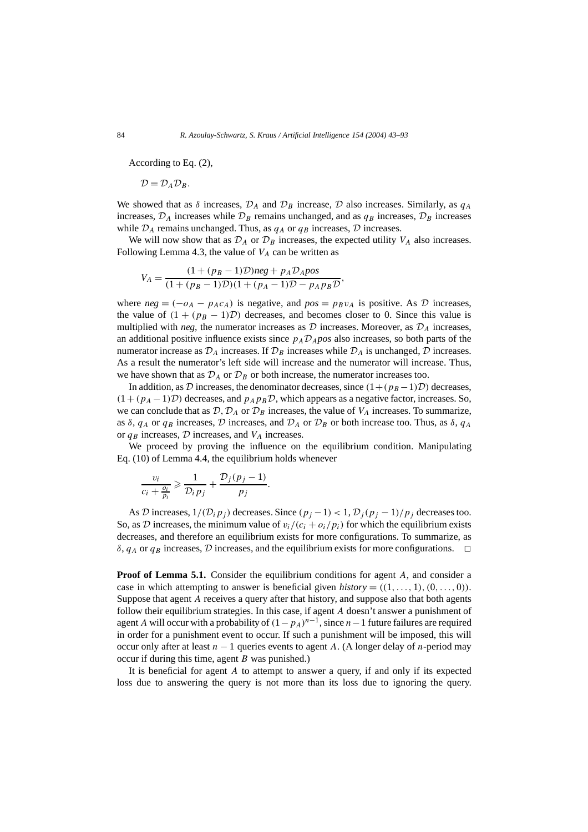According to Eq. (2),

 $\mathcal{D} = \mathcal{D}_A \mathcal{D}_B$ .

We showed that as  $\delta$  increases,  $\mathcal{D}_A$  and  $\mathcal{D}_B$  increase,  $\mathcal D$  also increases. Similarly, as  $q_A$ increases,  $D_A$  increases while  $D_B$  remains unchanged, and as  $q_B$  increases,  $D_B$  increases while  $D_A$  remains unchanged. Thus, as  $q_A$  or  $q_B$  increases,  $D$  increases.

We will now show that as  $\mathcal{D}_A$  or  $\mathcal{D}_B$  increases, the expected utility  $V_A$  also increases. Following Lemma 4.3, the value of  $V_A$  can be written as

$$
V_A = \frac{(1 + (p_B - 1)\mathcal{D})neg + p_A \mathcal{D}_A pos}{(1 + (p_B - 1)\mathcal{D})(1 + (p_A - 1)\mathcal{D} - p_A p_B \mathcal{D})},
$$

where  $neg = (-o_A - p_A c_A)$  is negative, and  $pos = p_B v_A$  is positive. As  $D$  increases, the value of  $(1 + (p_B - 1)D)$  decreases, and becomes closer to 0. Since this value is multiplied with *neg*, the numerator increases as  $D$  increases. Moreover, as  $D_A$  increases, an additional positive influence exists since  $p_A \mathcal{D}_A p_o s$  also increases, so both parts of the numerator increase as  $\mathcal{D}_A$  increases. If  $\mathcal{D}_B$  increases while  $\mathcal{D}_A$  is unchanged,  $\mathcal D$  increases. As a result the numerator's left side will increase and the numerator will increase. Thus, we have shown that as  $\mathcal{D}_A$  or  $\mathcal{D}_B$  or both increase, the numerator increases too.

In addition, as D increases, the denominator decreases, since  $(1+(p_B-1)\mathcal{D})$  decreases,  $(1+(p_A-1)\mathcal{D})$  decreases, and  $p_Ap_B\mathcal{D}$ , which appears as a negative factor, increases. So, we can conclude that as  $D$ ,  $D_A$  or  $D_B$  increases, the value of  $V_A$  increases. To summarize, as  $\delta$ ,  $q_A$  or  $q_B$  increases,  $D$  increases, and  $D_A$  or  $D_B$  or both increase too. Thus, as  $\delta$ ,  $q_A$ or  $q_B$  increases,  $D$  increases, and  $V_A$  increases.

We proceed by proving the influence on the equilibrium condition. Manipulating Eq. (10) of Lemma 4.4, the equilibrium holds whenever

*.*

$$
\frac{v_i}{c_i + \frac{o_i}{p_i}} \ge \frac{1}{\mathcal{D}_i p_j} + \frac{\mathcal{D}_j(p_j - 1)}{p_j}
$$

As D increases,  $1/(\mathcal{D}_i p_j)$  decreases. Since  $(p_j - 1) < 1$ ,  $\mathcal{D}_j(p_j - 1)/p_j$  decreases too. So, as D increases, the minimum value of  $v_i/(c_i + o_i/p_i)$  for which the equilibrium exists decreases, and therefore an equilibrium exists for more configurations. To summarize, as  $\delta$ , *q*<sub>A</sub> or *q<sub>B</sub>* increases, *D* increases, and the equilibrium exists for more configurations.  $\Box$ 

**Proof of Lemma 5.1.** Consider the equilibrium conditions for agent *A*, and consider a case in which attempting to answer is beneficial given  $history = ((1, \ldots, 1), (0, \ldots, 0)).$ Suppose that agent *A* receives a query after that history, and suppose also that both agents follow their equilibrium strategies. In this case, if agent *A* doesn't answer a punishment of agent *A* will occur with a probability of  $(1 - p_A)^{n-1}$ , since *n* − 1 future failures are required in order for a punishment event to occur. If such a punishment will be imposed, this will occur only after at least *n* − 1 queries events to agent *A*. (A longer delay of *n*-period may occur if during this time, agent *B* was punished.)

It is beneficial for agent *A* to attempt to answer a query, if and only if its expected loss due to answering the query is not more than its loss due to ignoring the query.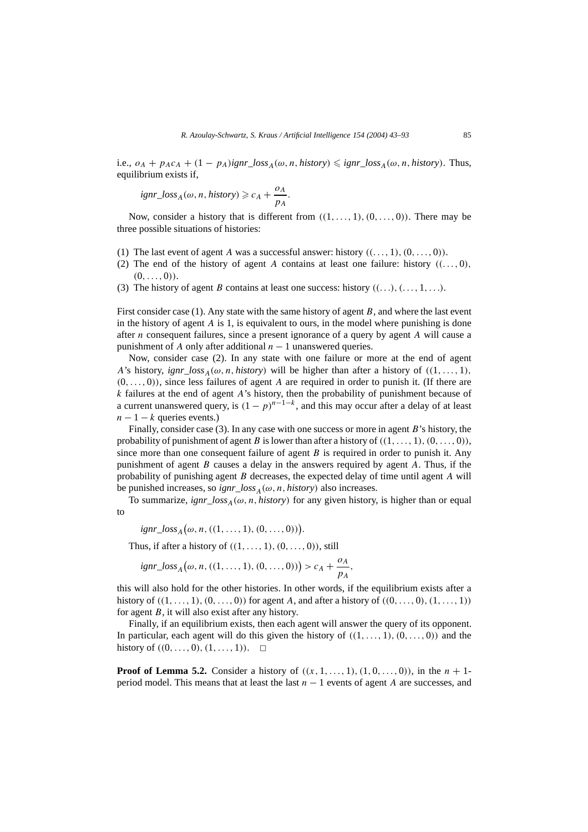i.e.,  $o_A + p_Ac_A + (1 - p_A)ignr\_loss_A(\omega, n, history) \leq ignr\_loss_A(\omega, n, history)$ . Thus, equilibrium exists if,

$$
ignr\_loss_A(\omega, n, history) \ge c_A + \frac{o_A}{p_A}.
$$

Now, consider a history that is different from  $((1, \ldots, 1), (0, \ldots, 0))$ . There may be three possible situations of histories:

- (1) The last event of agent *A* was a successful answer: history  $((..., 1), (0, ..., 0))$ .
- (2) The end of the history of agent *A* contains at least one failure: history  $((\ldots, 0),$ *(*0*,...,* 0*))*.
- (3) The history of agent *B* contains at least one success: history  $((\ldots), (\ldots, 1, \ldots))$ .

First consider case (1). Any state with the same history of agent *B*, and where the last event in the history of agent *A* is 1, is equivalent to ours, in the model where punishing is done after *n* consequent failures, since a present ignorance of a query by agent *A* will cause a punishment of *A* only after additional  $n - 1$  unanswered queries.

Now, consider case (2). In any state with one failure or more at the end of agent *A*'s history, *ignr*\_*loss*<sub>*A*</sub>( $\omega$ , *n*, *history*) will be higher than after a history of  $((1, \ldots, 1),$ *(*0*,...,* 0*))*, since less failures of agent *A* are required in order to punish it. (If there are *k* failures at the end of agent *A*'s history, then the probability of punishment because of a current unanswered query, is  $(1 - p)^{n-1-k}$ , and this may occur after a delay of at least  $n-1-k$  queries events.)

Finally, consider case (3). In any case with one success or more in agent *B*'s history, the probability of punishment of agent *B* is lower than after a history of  $((1, \ldots, 1), (0, \ldots, 0)),$ since more than one consequent failure of agent *B* is required in order to punish it. Any punishment of agent *B* causes a delay in the answers required by agent *A*. Thus, if the probability of punishing agent *B* decreases, the expected delay of time until agent *A* will be punished increases, so *ignr\_loss<sub>A</sub>*( $\omega$ , *n*, *history*) also increases.

To summarize,  $ignr_loss_A(\omega, n, history)$  for any given history, is higher than or equal to

 $ignr\_loss_A(\omega, n, ((1, ..., 1), (0, ..., 0))).$ 

Thus, if after a history of *((*1*,...,* 1*), (*0*,...,* 0*))*, still

$$
ignr\_{loss_A}(\omega, n, ((1, ..., 1), (0, ..., 0))) > c_A + \frac{o_A}{p_A},
$$

this will also hold for the other histories. In other words, if the equilibrium exists after a history of  $((1, \ldots, 1), (0, \ldots, 0))$  for agent *A*, and after a history of  $((0, \ldots, 0), (1, \ldots, 1))$ for agent *B*, it will also exist after any history.

Finally, if an equilibrium exists, then each agent will answer the query of its opponent. In particular, each agent will do this given the history of  $((1, \ldots, 1), (0, \ldots, 0))$  and the history of  $((0, \ldots, 0), (1, \ldots, 1))$ .  $\Box$ 

**Proof of Lemma 5.2.** Consider a history of  $((x, 1, \ldots, 1), (1, 0, \ldots, 0))$ , in the  $n + 1$ period model. This means that at least the last *n* − 1 events of agent *A* are successes, and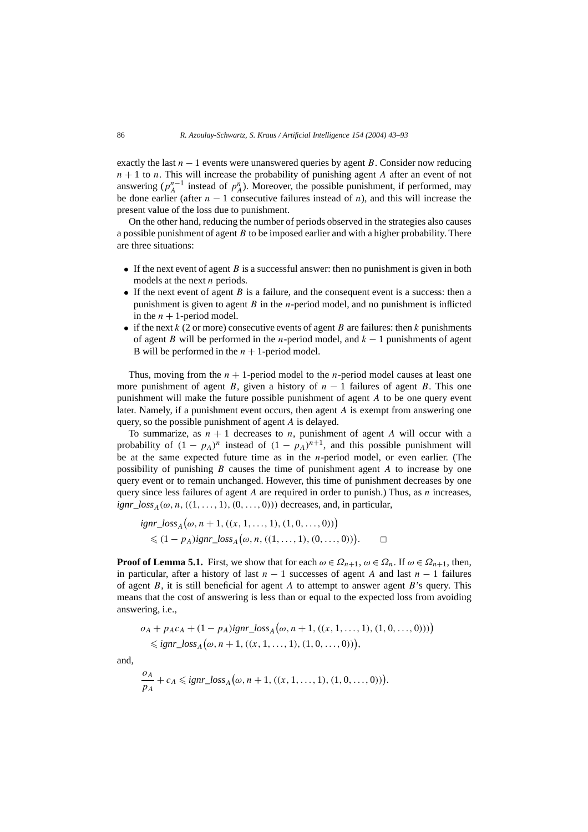exactly the last *n* − 1 events were unanswered queries by agent *B*. Consider now reducing *n* + 1 to *n*. This will increase the probability of punishing agent *A* after an event of not answering  $(p_A^{n-1}$  instead of  $p_A^n$ ). Moreover, the possible punishment, if performed, may be done earlier (after  $n - 1$  consecutive failures instead of *n*), and this will increase the present value of the loss due to punishment.

On the other hand, reducing the number of periods observed in the strategies also causes a possible punishment of agent *B* to be imposed earlier and with a higher probability. There are three situations:

- If the next event of agent *B* is a successful answer: then no punishment is given in both models at the next *n* periods.
- If the next event of agent *B* is a failure, and the consequent event is a success: then a punishment is given to agent *B* in the *n*-period model, and no punishment is inflicted in the  $n + 1$ -period model.
- $\bullet$  if the next *k* (2 or more) consecutive events of agent *B* are failures: then *k* punishments of agent *B* will be performed in the *n*-period model, and *k* − 1 punishments of agent B will be performed in the  $n + 1$ -period model.

Thus, moving from the  $n + 1$ -period model to the *n*-period model causes at least one more punishment of agent *B*, given a history of  $n - 1$  failures of agent *B*. This one punishment will make the future possible punishment of agent *A* to be one query event later. Namely, if a punishment event occurs, then agent *A* is exempt from answering one query, so the possible punishment of agent *A* is delayed.

To summarize, as  $n + 1$  decreases to *n*, punishment of agent *A* will occur with a probability of  $(1 - p_A)^n$  instead of  $(1 - p_A)^{n+1}$ , and this possible punishment will be at the same expected future time as in the *n*-period model, or even earlier. (The possibility of punishing *B* causes the time of punishment agent *A* to increase by one query event or to remain unchanged. However, this time of punishment decreases by one query since less failures of agent *A* are required in order to punish.) Thus, as *n* increases,  $ignr\_loss_A(\omega, n, ((1, \ldots, 1), (0, \ldots, 0)))$  decreases, and, in particular,

$$
ignr_lossA(ω, n + 1, ((x, 1, ..., 1), (1, 0, ..., 0)))
$$
  
≤ (1 − *p<sub>A</sub>)ignr\_loss<sub>A</sub>*(ω, n, ((1, ..., 1), (0, ..., 0))). □

**Proof of Lemma 5.1.** First, we show that for each  $\omega \in \Omega_{n+1}$ ,  $\omega \in \Omega_n$ . If  $\omega \in \Omega_{n+1}$ , then, in particular, after a history of last  $n - 1$  successes of agent *A* and last  $n - 1$  failures of agent *B*, it is still beneficial for agent *A* to attempt to answer agent *B*'s query. This means that the cost of answering is less than or equal to the expected loss from avoiding answering, i.e.,

$$
o_A + p_A c_A + (1 - p_A)ignr\_loss_A(\omega, n + 1, ((x, 1, ..., 1), (1, 0, ..., 0)))
$$
  
\$\leq\$  $ign\_loss_A(\omega, n + 1, ((x, 1, ..., 1), (1, 0, ..., 0))),$ 

and,

$$
\frac{o_A}{p_A} + c_A \leq igr \cdot \frac{1}{2} \cdot \left( \omega, n+1, ((x, 1, \ldots, 1), (1, 0, \ldots, 0)) \right).
$$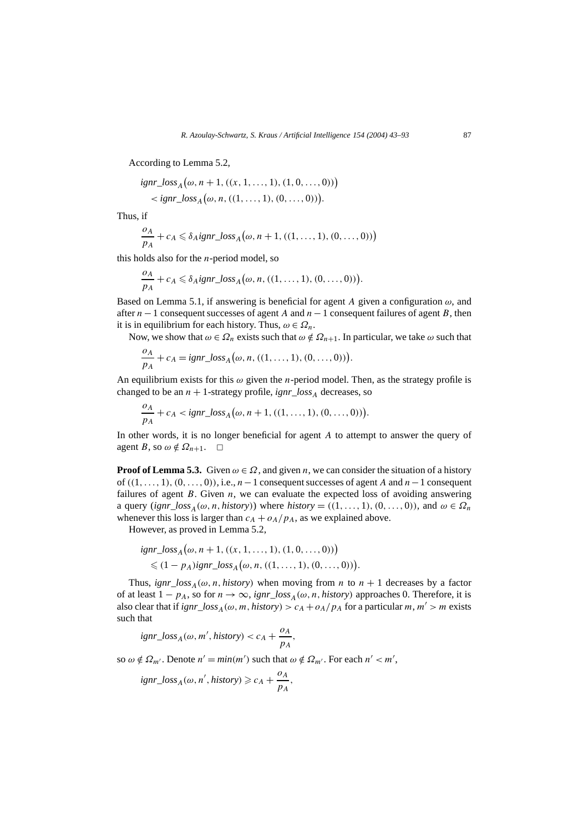According to Lemma 5.2,

$$
\begin{aligned} \n\text{ignr}\_{\text{loss}_A}\big(\omega, n+1, ((x, 1, \dots, 1), (1, 0, \dots, 0))\big) \\ \n&< \text{ignr}\_{\text{loss}_A}\big(\omega, n, ((1, \dots, 1), (0, \dots, 0))\big). \n\end{aligned}
$$

Thus, if

$$
\frac{o_A}{p_A} + c_A \leq \delta_A \text{ignr}\_\text{loss}_A(\omega, n+1, ((1, \dots, 1), (0, \dots, 0)))
$$

this holds also for the *n*-period model, so

$$
\frac{o_A}{p_A} + c_A \leq \delta_A \text{ignr\_loss}_A(\omega, n, ((1, \ldots, 1), (0, \ldots, 0))).
$$

Based on Lemma 5.1, if answering is beneficial for agent *A* given a configuration  $\omega$ , and after *n*−1 consequent successes of agent *A* and *n*−1 consequent failures of agent *B*, then it is in equilibrium for each history. Thus,  $\omega \in \Omega_n$ .

Now, we show that  $\omega \in \Omega_n$  exists such that  $\omega \notin \Omega_{n+1}$ . In particular, we take  $\omega$  such that

$$
\frac{o_A}{p_A} + c_A = ignr\_{loss_A}\big(\omega, n, ((1, ..., 1), (0, ..., 0))\big).
$$

An equilibrium exists for this *ω* given the *n*-period model. Then, as the strategy profile is changed to be an  $n + 1$ -strategy profile, *ignr*\_*loss*<sub>*A*</sub> decreases, so

$$
\frac{o_A}{p_A} + c_A < \text{ignr\_loss}_A(\omega, n+1, ((1, \ldots, 1), (0, \ldots, 0))).
$$

In other words, it is no longer beneficial for agent *A* to attempt to answer the query of agent *B*, so  $\omega \notin \Omega_{n+1}$ .  $\Box$ 

**Proof of Lemma 5.3.** Given  $\omega \in \Omega$ , and given *n*, we can consider the situation of a history of *((*1*,...,* 1*), (*0*,...,* 0*))*, i.e., *n*−1 consequent successes of agent *A* and *n*−1 consequent failures of agent *B*. Given *n*, we can evaluate the expected loss of avoiding answering a query (*ignr\_loss*<sub>A</sub>( $\omega$ *, n, history*)) where *history* = ((1, ..., 1), (0, ..., 0)), and  $\omega \in \Omega_n$ whenever this loss is larger than  $c_A + o_A/p_A$ , as we explained above.

However, as proved in Lemma 5.2,

$$
\begin{aligned} \n\text{ignr}\_{\text{loss}_A}(\omega, n+1, ((x, 1, \dots, 1), (1, 0, \dots, 0))) \\ \n&\leq (1 - p_A) \text{ignr}\_{\text{loss}_A}(\omega, n, ((1, \dots, 1), (0, \dots, 0))). \n\end{aligned}
$$

Thus,  $ignr_loss_A(\omega, n, history)$  when moving from *n* to  $n + 1$  decreases by a factor of at least  $1 - p_A$ , so for  $n \to \infty$ , *ignr\_loss<sub>A</sub>*( $\omega$ , *n*, *history*) approaches 0. Therefore, it is also clear that if  $ignr\_loss_A(\omega, m, history) > c_A + o_A/p_A$  for a particular *m*, *m'* > *m* exists such that

$$
ignr\_loss_A(\omega, m', history) < c_A + \frac{o_A}{p_A},
$$

so  $\omega \notin \Omega_m$ . Denote  $n' = min(m')$  such that  $\omega \notin \Omega_m$ . For each  $n' < m'$ ,

$$
ignr\_loss_A(\omega, n', history) \geq c_A + \frac{o_A}{p_A},
$$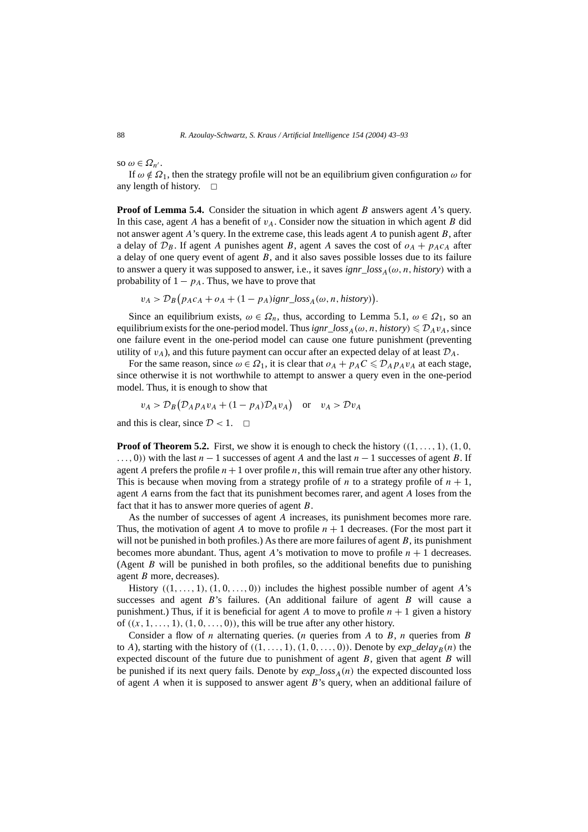so  $\omega \in \Omega_{n'}$ .

If  $\omega \notin \Omega_1$ , then the strategy profile will not be an equilibrium given configuration  $\omega$  for any length of history.  $\square$ 

**Proof of Lemma 5.4.** Consider the situation in which agent *B* answers agent *A*'s query. In this case, agent *A* has a benefit of  $v_A$ . Consider now the situation in which agent *B* did not answer agent *A*'s query. In the extreme case, this leads agent *A* to punish agent *B*, after a delay of  $\mathcal{D}_B$ . If agent *A* punishes agent *B*, agent *A* saves the cost of  $o_A + p_A c_A$  after a delay of one query event of agent *B*, and it also saves possible losses due to its failure to answer a query it was supposed to answer, i.e., it saves  $ign_loss_A(\omega, n, history)$  with a probability of  $1 - p_A$ . Thus, we have to prove that

 $v_A > D_B(p_A c_A + o_A + (1 - p_A) i g n r\_loss_A(\omega, n, history)).$ 

Since an equilibrium exists,  $\omega \in \Omega_n$ , thus, according to Lemma 5.1,  $\omega \in \Omega_1$ , so an equilibrium exists for the one-period model. Thus  $ignr_loss_A(\omega, n, history) \leq D_Av_A$ , since one failure event in the one-period model can cause one future punishment (preventing utility of  $v_A$ ), and this future payment can occur after an expected delay of at least  $\mathcal{D}_A$ .

For the same reason, since  $\omega \in \Omega_1$ , it is clear that  $o_A + p_A C \leq D_A p_A v_A$  at each stage, since otherwise it is not worthwhile to attempt to answer a query even in the one-period model. Thus, it is enough to show that

$$
v_A > \mathcal{D}_B (D_A p_A v_A + (1 - p_A) \mathcal{D}_A v_A) \quad \text{or} \quad v_A > \mathcal{D} v_A
$$

and this is clear, since  $\mathcal{D} < 1$ .  $\Box$ 

**Proof of Theorem 5.2.** First, we show it is enough to check the history  $((1, \ldots, 1), (1, 0,$ *...,* 0*))* with the last *n* − 1 successes of agent *A* and the last *n* − 1 successes of agent *B*. If agent *A* prefers the profile  $n+1$  over profile *n*, this will remain true after any other history. This is because when moving from a strategy profile of  $n$  to a strategy profile of  $n + 1$ , agent *A* earns from the fact that its punishment becomes rarer, and agent *A* loses from the fact that it has to answer more queries of agent *B*.

As the number of successes of agent *A* increases, its punishment becomes more rare. Thus, the motivation of agent *A* to move to profile  $n + 1$  decreases. (For the most part it will not be punished in both profiles.) As there are more failures of agent *B*, its punishment becomes more abundant. Thus, agent *A*'s motivation to move to profile  $n + 1$  decreases. (Agent *B* will be punished in both profiles, so the additional benefits due to punishing agent *B* more, decreases).

History  $((1, \ldots, 1), (1, 0, \ldots, 0))$  includes the highest possible number of agent *A*'s successes and agent *B*'s failures. (An additional failure of agent *B* will cause a punishment.) Thus, if it is beneficial for agent A to move to profile  $n + 1$  given a history of  $((x, 1, \ldots, 1), (1, 0, \ldots, 0))$ , this will be true after any other history.

Consider a flow of *n* alternating queries. (*n* queries from *A* to *B*, *n* queries from *B* to *A*), starting with the history of  $((1, \ldots, 1), (1, 0, \ldots, 0))$ . Denote by  $exp\_delay_B(n)$  the expected discount of the future due to punishment of agent *B*, given that agent *B* will be punished if its next query fails. Denote by *exp*\_*lossA(n)* the expected discounted loss of agent *A* when it is supposed to answer agent *B*'s query, when an additional failure of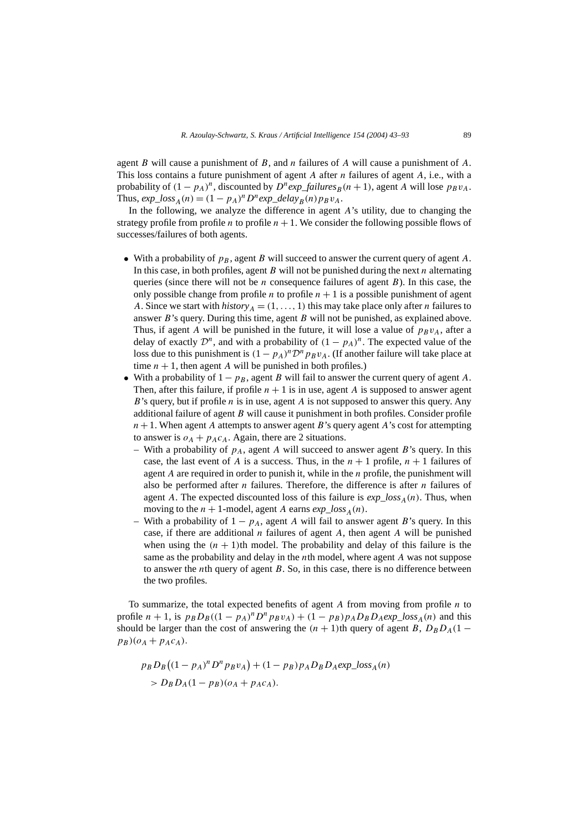agent *B* will cause a punishment of *B*, and *n* failures of *A* will cause a punishment of *A*. This loss contains a future punishment of agent *A* after *n* failures of agent *A*, i.e., with a probability of  $(1 - p_A)^n$ , discounted by  $D^n exp_f \left( \frac{a}{n+1} \right)$ , agent *A* will lose  $p_B v_A$ . Thus,  $exp\_loss_A(n) = (1 - p_A)^n D^n exp\_delay_B(n) p_B v_A$ .

In the following, we analyze the difference in agent *A*'s utility, due to changing the strategy profile from profile *n* to profile  $n + 1$ . We consider the following possible flows of successes/failures of both agents.

- With a probability of  $p_B$ , agent *B* will succeed to answer the current query of agent *A*. In this case, in both profiles, agent *B* will not be punished during the next *n* alternating queries (since there will not be *n* consequence failures of agent *B*). In this case, the only possible change from profile *n* to profile  $n + 1$  is a possible punishment of agent *A*. Since we start with *history*<sub>*A*</sub> =  $(1, \ldots, 1)$  this may take place only after *n* failures to answer *B*'s query. During this time, agent *B* will not be punished, as explained above. Thus, if agent *A* will be punished in the future, it will lose a value of  $p_Bv_A$ , after a delay of exactly  $\mathcal{D}^n$ , and with a probability of  $(1 - p_A)^n$ . The expected value of the loss due to this punishment is  $(1 - p_A)^n \mathcal{D}^n p_B v_A$ . (If another failure will take place at time  $n + 1$ , then agent *A* will be punished in both profiles.)
- With a probability of  $1 p_B$ , agent *B* will fail to answer the current query of agent *A*. Then, after this failure, if profile  $n + 1$  is in use, agent A is supposed to answer agent *B*'s query, but if profile *n* is in use, agent *A* is not supposed to answer this query. Any additional failure of agent *B* will cause it punishment in both profiles. Consider profile *n*+1. When agent *A* attempts to answer agent *B*'s query agent *A*'s cost for attempting to answer is  $o_A + p_A c_A$ . Again, there are 2 situations.
	- With a probability of  $p_A$ , agent A will succeed to answer agent B's query. In this case, the last event of *A* is a success. Thus, in the  $n + 1$  profile,  $n + 1$  failures of agent *A* are required in order to punish it, while in the *n* profile, the punishment will also be performed after *n* failures. Therefore, the difference is after *n* failures of agent *A*. The expected discounted loss of this failure is *exp*\_*lossA(n)*. Thus, when moving to the  $n + 1$ -model, agent *A* earns  $exp\_loss_A(n)$ .
	- With a probability of  $1 p_A$ , agent *A* will fail to answer agent *B*'s query. In this case, if there are additional *n* failures of agent *A*, then agent *A* will be punished when using the  $(n + 1)$ th model. The probability and delay of this failure is the same as the probability and delay in the *n*th model, where agent *A* was not suppose to answer the *n*th query of agent *B*. So, in this case, there is no difference between the two profiles.

To summarize, the total expected benefits of agent *A* from moving from profile *n* to profile  $n + 1$ , is  $p_B D_B((1 - p_A)^n D^n p_B v_A) + (1 - p_B)p_A D_B D_A exp\_loss_A(n)$  and this should be larger than the cost of answering the  $(n + 1)$ th query of agent *B*,  $D_B D_A(1$  $p_B$ )( $o_A + p_A c_A$ ).

$$
p_B D_B ((1 - p_A)^n D^n p_B v_A) + (1 - p_B) p_A D_B D_A exp\_loss_A(n)
$$
  
> 
$$
D_B D_A (1 - p_B) (o_A + p_A c_A).
$$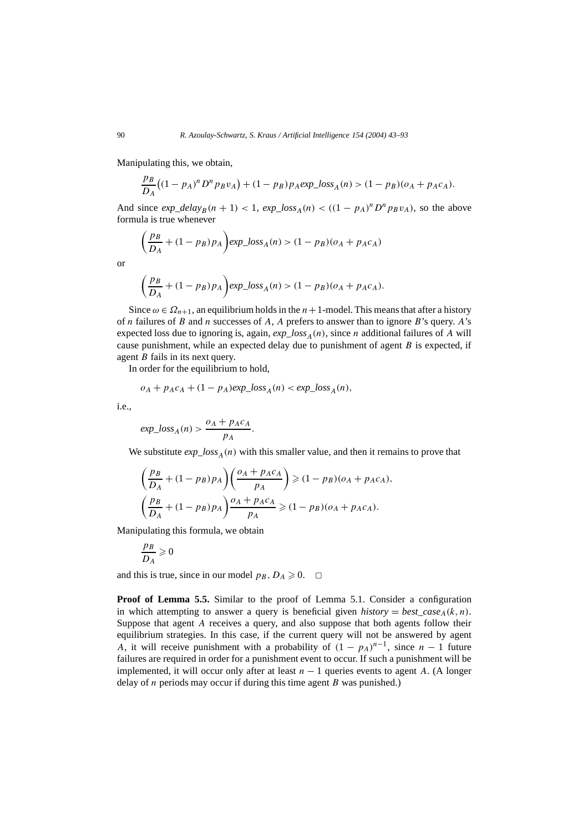Manipulating this, we obtain,

$$
\frac{p_B}{D_A}((1 - p_A)^n D^n p_B v_A) + (1 - p_B) p_A exp\_loss_A(n) > (1 - p_B)(o_A + p_A c_A).
$$

And since  $exp\_delay_B(n + 1) < 1$ ,  $exp\_loss_A(n) < ((1 - p_A)^n D^n p_B v_A)$ , so the above formula is true whenever

$$
\left(\frac{p_B}{D_A} + (1 - p_B)p_A\right) \exp\left[cos_A(n) > (1 - p_B)(o_A + p_A c_A)\right]
$$

or

$$
\left(\frac{p_B}{D_A} + (1 - p_B)p_A\right) \exp\left[ \cos A(n) \right] > (1 - p_B)(o_A + p_A c_A).
$$

Since  $\omega \in \Omega_{n+1}$ , an equilibrium holds in the  $n+1$ -model. This means that after a history of *n* failures of *B* and *n* successes of *A*, *A* prefers to answer than to ignore *B*'s query. *A*'s expected loss due to ignoring is, again, *exp*\_*lossA(n)*, since *n* additional failures of *A* will cause punishment, while an expected delay due to punishment of agent *B* is expected, if agent *B* fails in its next query.

In order for the equilibrium to hold,

$$
o_A + p_A c_A + (1 - p_A) exp\_loss_A(n) < exp\_loss_A(n),
$$

i.e.,

$$
exp\_loss_A(n) > \frac{o_A + p_A c_A}{p_A}.
$$

We substitute  $exp\_loss_A(n)$  with this smaller value, and then it remains to prove that

$$
\left(\frac{p_B}{D_A} + (1 - p_B)p_A\right) \left(\frac{o_A + p_A c_A}{p_A}\right) \ge (1 - p_B)(o_A + p_A c_A),
$$
\n
$$
\left(\frac{p_B}{D_A} + (1 - p_B)p_A\right) \frac{o_A + p_A c_A}{p_A} \ge (1 - p_B)(o_A + p_A c_A).
$$

Manipulating this formula, we obtain

$$
\frac{p_B}{D_A} \geqslant 0
$$

and this is true, since in our model  $p_B$ ,  $D_A \ge 0$ .  $\Box$ 

**Proof of Lemma 5.5.** Similar to the proof of Lemma 5.1. Consider a configuration in which attempting to answer a query is beneficial given *history* =  $best\_case_A(k, n)$ . Suppose that agent *A* receives a query, and also suppose that both agents follow their equilibrium strategies. In this case, if the current query will not be answered by agent *A*, it will receive punishment with a probability of  $(1 - p_A)^{n-1}$ , since  $n - 1$  future failures are required in order for a punishment event to occur. If such a punishment will be implemented, it will occur only after at least  $n - 1$  queries events to agent *A*. (A longer delay of *n* periods may occur if during this time agent *B* was punished.)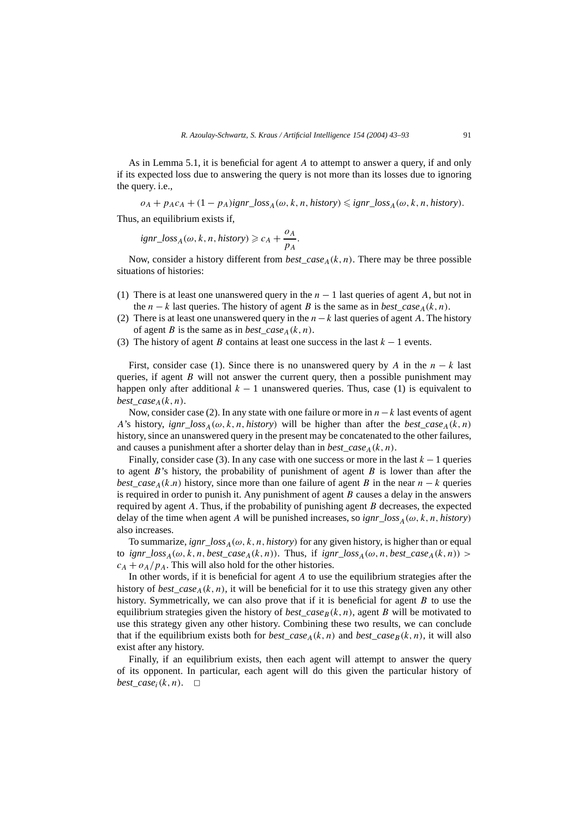As in Lemma 5.1, it is beneficial for agent *A* to attempt to answer a query, if and only if its expected loss due to answering the query is not more than its losses due to ignoring the query. i.e.,

 $o_A + p_A c_A + (1 - p_A)$ *ignr\_loss*<sub>*A*</sub>( $\omega, k, n$ *, history*)  $\leq$  *ignr\_loss*<sub>*A*</sub>( $\omega, k, n$ *, history*). Thus, an equilibrium exists if,

$$
ignr\_loss_A(\omega, k, n, history) \ge c_A + \frac{o_A}{p_A}.
$$

Now, consider a history different from  $best\_case_A(k, n)$ . There may be three possible situations of histories:

- (1) There is at least one unanswered query in the  $n 1$  last queries of agent A, but not in the *n* − *k* last queries. The history of agent *B* is the same as in *best\_case*<sub>*A*</sub>(*k, n*).
- (2) There is at least one unanswered query in the *n*−*k* last queries of agent *A*. The history of agent *B* is the same as in *best\_case* $_A(k, n)$ .
- (3) The history of agent *B* contains at least one success in the last *k* − 1 events.

First, consider case (1). Since there is no unanswered query by *A* in the  $n - k$  last queries, if agent *B* will not answer the current query, then a possible punishment may happen only after additional  $k - 1$  unanswered queries. Thus, case (1) is equivalent to *best\_case* $_A$  $(k, n)$ *.* 

Now, consider case (2). In any state with one failure or more in *n*−*k* last events of agent *A*'s history, *ignr*\_*loss*<sub>*A*</sub>( $\omega$ , *k*, *n*, *history*) will be higher than after the *best\_case<sub>A</sub>*( $k$ , *n*) history, since an unanswered query in the present may be concatenated to the other failures, and causes a punishment after a shorter delay than in *best*\_*caseA(k, n)*.

Finally, consider case (3). In any case with one success or more in the last *k* − 1 queries to agent *B*'s history, the probability of punishment of agent *B* is lower than after the *best\_case*<sub>*A*</sub>(*k.n*) history, since more than one failure of agent *B* in the near *n* − *k* queries is required in order to punish it. Any punishment of agent *B* causes a delay in the answers required by agent *A*. Thus, if the probability of punishing agent *B* decreases, the expected delay of the time when agent *A* will be punished increases, so  $ignr_loss_A(\omega, k, n, history)$ also increases.

To summarize, *ignr*\_*lossA(ω, k, n, history)* for any given history, is higher than or equal to  $ignr\_loss_A(\omega, k, n, best\_case_A(k, n))$ . Thus, if  $ignr\_loss_A(\omega, n, best\_case_A(k, n))$  >  $c_A + o_A/p_A$ . This will also hold for the other histories.

In other words, if it is beneficial for agent *A* to use the equilibrium strategies after the history of *best\_case* $_A(k, n)$ , it will be beneficial for it to use this strategy given any other history. Symmetrically, we can also prove that if it is beneficial for agent *B* to use the equilibrium strategies given the history of  $best\_case_B(k, n)$ , agent *B* will be motivated to use this strategy given any other history. Combining these two results, we can conclude that if the equilibrium exists both for *best\_case*<sub>*A*</sub>( $k, n$ ) and *best\_case<sub>B</sub>*( $k, n$ ), it will also exist after any history.

Finally, if an equilibrium exists, then each agent will attempt to answer the query of its opponent. In particular, each agent will do this given the particular history of *best*  $case<sub>i</sub>(k, n)$ .  $\Box$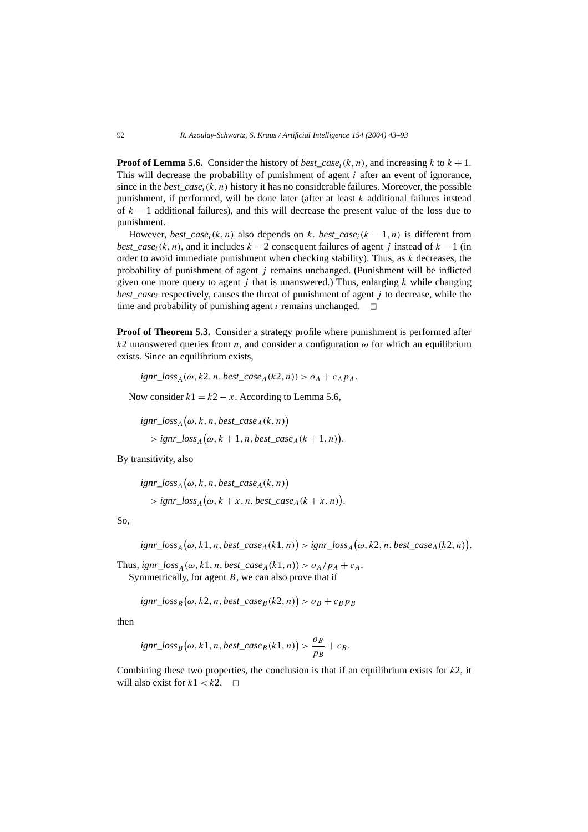**Proof of Lemma 5.6.** Consider the history of *best*  $case_i(k, n)$ , and increasing *k* to  $k + 1$ . This will decrease the probability of punishment of agent *i* after an event of ignorance, since in the *best*  $case<sub>i</sub>(k, n)$  history it has no considerable failures. Moreover, the possible punishment, if performed, will be done later (after at least *k* additional failures instead of *k* − 1 additional failures), and this will decrease the present value of the loss due to punishment.

However, *best\_case*<sub>*i*</sub>( $k, n$ ) also depends on  $k$ . *best\_case*<sub>*i*</sub>( $k - 1, n$ ) is different from *best\_case*<sup>*i*</sup>(*k, n*), and it includes *k* − 2 consequent failures of agent *j* instead of *k* − 1 (in order to avoid immediate punishment when checking stability). Thus, as *k* decreases, the probability of punishment of agent *j* remains unchanged. (Punishment will be inflicted given one more query to agent *j* that is unanswered.) Thus, enlarging *k* while changing *best* case<sub>i</sub> respectively, causes the threat of punishment of agent *j* to decrease, while the time and probability of punishing agent  $i$  remains unchanged.  $\Box$ 

**Proof of Theorem 5.3.** Consider a strategy profile where punishment is performed after  $k2$  unanswered queries from *n*, and consider a configuration  $\omega$  for which an equilibrium exists. Since an equilibrium exists,

 $ignr\_loss_A(\omega, k2, n, best\_case_A(k2, n)) > o_A + c_A p_A.$ 

Now consider  $k1 = k2 - x$ . According to Lemma 5.6,

 $\left( \omega, k, n, \text{best\_case}_A(k, n) \right)$  $>$  *ignr*\_*loss*<sub>*A*</sub>( $\omega$ *, k* + 1*, n, best\_case*<sub>*A*</sub>( $k$  + 1*, n*)).

By transitivity, also

$$
ignr\_loss_A(\omega, k, n, best\_case_A(k, n))
$$
  
> 
$$
ign\_loss_A(\omega, k + x, n, best\_case_A(k + x, n)).
$$

So,

$$
ignr\_loss_A(\omega, k1, n, best\_case_A(k1, n)) > ign\_loss_A(\omega, k2, n, best\_case_A(k2, n)).
$$

Thus,  $ignr\_loss_A(\omega, k1, n, best\_case_A(k1, n)) > o_A/p_A + c_A$ . Symmetrically, for agent *B*, we can also prove that if

 $\log n\left[log_{B}\left(\omega,k\right],n,best\_case_{B}(k\{2},n)\right] > o_{B} + c_{B}p_{B}$ 

then

$$
ignr\_loss_B\big(\omega, k1, n, best\_case_B(k1, n)\big) > \frac{o_B}{p_B} + c_B.
$$

Combining these two properties, the conclusion is that if an equilibrium exists for *k*2, it will also exist for  $k1 < k2$ .  $\Box$